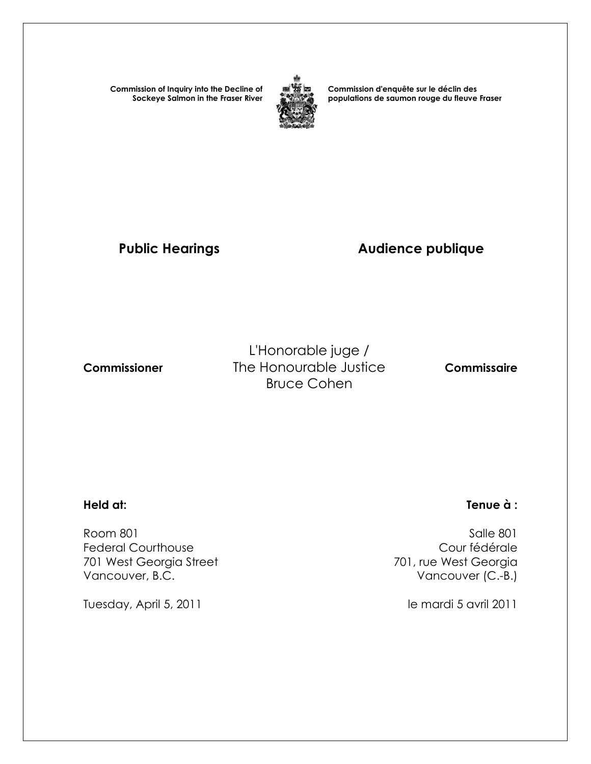**Commission of Inquiry into the Decline of Sockeye Salmon in the Fraser River**



**Commission d'enquête sur le déclin des populations de saumon rouge du fleuve Fraser** 

# **Public Hearings Audience publique**

L'Honorable juge /  **Commissioner** The Honourable Justice **Commissaire** Bruce Cohen

 Room 801 Salle 801 Federal Courthouse Cour fédérale 701 West Georgia Street Vancouver, B.C. **Vancouver (C.-B.)** 

Tuesday, April 5, 2011 and the mardi 5 avril 2011

## **Held at: Tenue à :**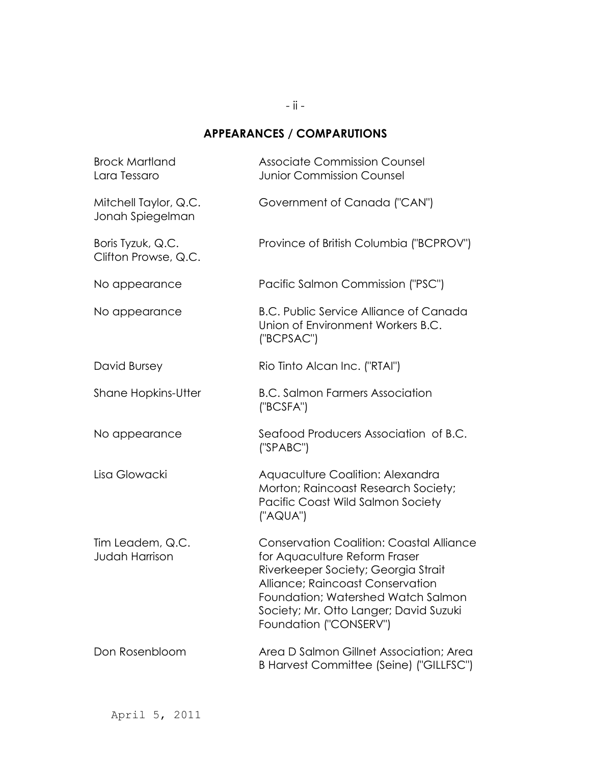## **APPEARANCES / COMPARUTIONS**

| <b>Brock Martland</b><br>Lara Tessaro     | <b>Associate Commission Counsel</b><br><b>Junior Commission Counsel</b>                                                                                                                                                                                               |
|-------------------------------------------|-----------------------------------------------------------------------------------------------------------------------------------------------------------------------------------------------------------------------------------------------------------------------|
| Mitchell Taylor, Q.C.<br>Jonah Spiegelman | Government of Canada ("CAN")                                                                                                                                                                                                                                          |
| Boris Tyzuk, Q.C.<br>Clifton Prowse, Q.C. | Province of British Columbia ("BCPROV")                                                                                                                                                                                                                               |
| No appearance                             | Pacific Salmon Commission ("PSC")                                                                                                                                                                                                                                     |
| No appearance                             | <b>B.C. Public Service Alliance of Canada</b><br>Union of Environment Workers B.C.<br>("BCPSAC")                                                                                                                                                                      |
| David Bursey                              | Rio Tinto Alcan Inc. ("RTAI")                                                                                                                                                                                                                                         |
| <b>Shane Hopkins-Utter</b>                | <b>B.C. Salmon Farmers Association</b><br>('BCSFA")                                                                                                                                                                                                                   |
| No appearance                             | Seafood Producers Association of B.C.<br>('SPABC")                                                                                                                                                                                                                    |
| Lisa Glowacki                             | Aquaculture Coalition: Alexandra<br>Morton; Raincoast Research Society;<br>Pacific Coast Wild Salmon Society<br>("AQUA")                                                                                                                                              |
| Tim Leadem, Q.C.<br><b>Judah Harrison</b> | <b>Conservation Coalition: Coastal Alliance</b><br>for Aquaculture Reform Fraser<br>Riverkeeper Society; Georgia Strait<br>Alliance; Raincoast Conservation<br>Foundation; Watershed Watch Salmon<br>Society; Mr. Otto Langer; David Suzuki<br>Foundation ("CONSERV") |
| Don Rosenbloom                            | Area D Salmon Gillnet Association; Area<br>B Harvest Committee (Seine) ("GILLFSC")                                                                                                                                                                                    |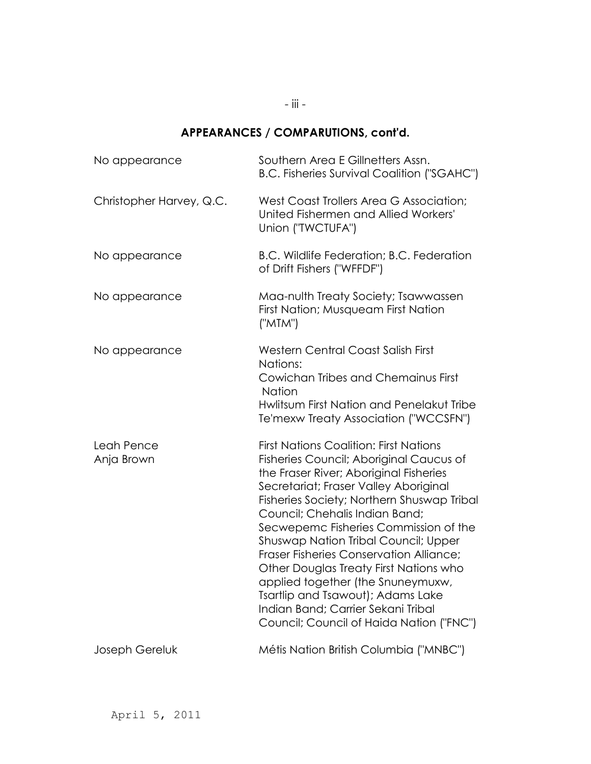### **APPEARANCES / COMPARUTIONS, cont'd.**

| No appearance            | Southern Area E Gillnetters Assn.<br><b>B.C. Fisheries Survival Coalition ("SGAHC")</b>                                                                                                                                                                                                                                                                                                                                                                                                                                                                                                       |
|--------------------------|-----------------------------------------------------------------------------------------------------------------------------------------------------------------------------------------------------------------------------------------------------------------------------------------------------------------------------------------------------------------------------------------------------------------------------------------------------------------------------------------------------------------------------------------------------------------------------------------------|
| Christopher Harvey, Q.C. | West Coast Trollers Area G Association;<br>United Fishermen and Allied Workers'<br>Union ("TWCTUFA")                                                                                                                                                                                                                                                                                                                                                                                                                                                                                          |
| No appearance            | B.C. Wildlife Federation; B.C. Federation<br>of Drift Fishers ("WFFDF")                                                                                                                                                                                                                                                                                                                                                                                                                                                                                                                       |
| No appearance            | Maa-nulth Treaty Society; Tsawwassen<br>First Nation; Musqueam First Nation<br>("MTM")                                                                                                                                                                                                                                                                                                                                                                                                                                                                                                        |
| No appearance            | <b>Western Central Coast Salish First</b><br>Nations:<br>Cowichan Tribes and Chemainus First<br><b>Nation</b><br>Hwlitsum First Nation and Penelakut Tribe<br>Te'mexw Treaty Association ("WCCSFN")                                                                                                                                                                                                                                                                                                                                                                                           |
| Leah Pence<br>Anja Brown | <b>First Nations Coalition: First Nations</b><br>Fisheries Council; Aboriginal Caucus of<br>the Fraser River; Aboriginal Fisheries<br>Secretariat; Fraser Valley Aboriginal<br>Fisheries Society; Northern Shuswap Tribal<br>Council; Chehalis Indian Band;<br>Secwepemc Fisheries Commission of the<br>Shuswap Nation Tribal Council; Upper<br>Fraser Fisheries Conservation Alliance;<br>Other Douglas Treaty First Nations who<br>applied together (the Snuneymuxw,<br>Tsartlip and Tsawout); Adams Lake<br>Indian Band; Carrier Sekani Tribal<br>Council; Council of Haida Nation ("FNC") |
| Joseph Gereluk           | Métis Nation British Columbia ("MNBC")                                                                                                                                                                                                                                                                                                                                                                                                                                                                                                                                                        |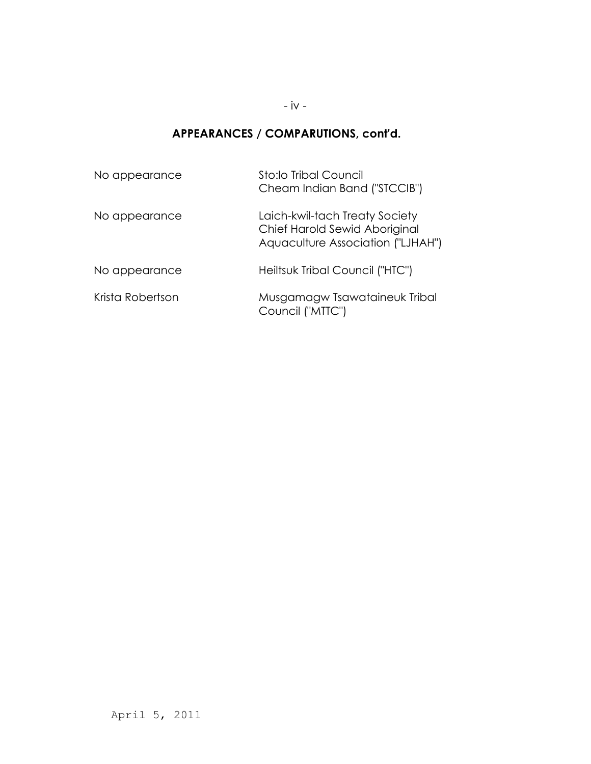### **APPEARANCES / COMPARUTIONS, cont'd.**

| No appearance    | Sto:lo Tribal Council<br>Cheam Indian Band ("STCCIB")                                                |
|------------------|------------------------------------------------------------------------------------------------------|
| No appearance    | Laich-kwil-tach Treaty Society<br>Chief Harold Sewid Aboriginal<br>Aquaculture Association ("LJHAH") |
| No appearance    | Heiltsuk Tribal Council ("HTC")                                                                      |
| Krista Robertson | Musgamagw Tsawataineuk Tribal<br>Council ("MTTC")                                                    |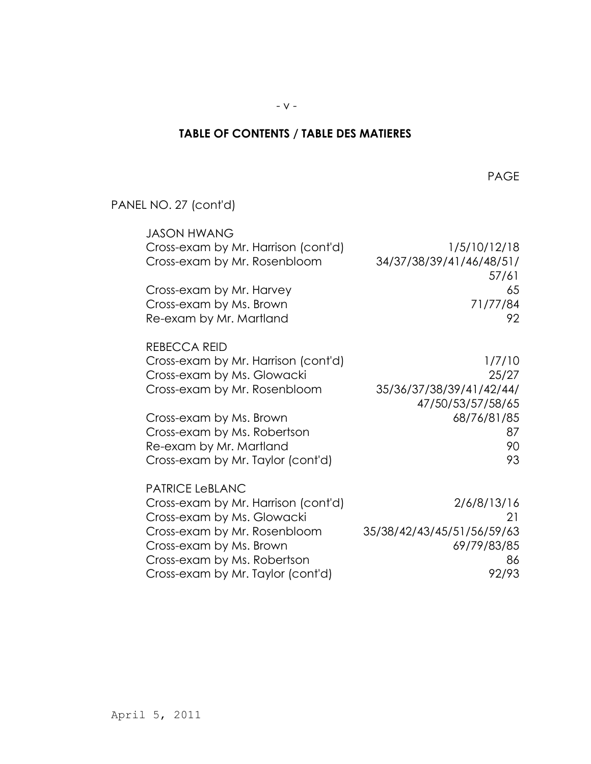## **TABLE OF CONTENTS / TABLE DES MATIERES**

en de la provincia de la provincia de la provincia de la provincia de la provincia de la provincia de la provi

PANEL NO. 27 (cont'd)

| <b>JASON HWANG</b>                  |                            |
|-------------------------------------|----------------------------|
| Cross-exam by Mr. Harrison (cont'd) | 1/5/10/12/18               |
| Cross-exam by Mr. Rosenbloom        | 34/37/38/39/41/46/48/51/   |
|                                     | 57/61                      |
| Cross-exam by Mr. Harvey            | 65                         |
| Cross-exam by Ms. Brown             | 71/77/84                   |
| Re-exam by Mr. Martland             | 92                         |
| REBECCA REID                        |                            |
| Cross-exam by Mr. Harrison (cont'd) | 1/7/10                     |
| Cross-exam by Ms. Glowacki          | 25/27                      |
| Cross-exam by Mr. Rosenbloom        | 35/36/37/38/39/41/42/44/   |
|                                     | 47/50/53/57/58/65          |
| Cross-exam by Ms. Brown             | 68/76/81/85                |
| Cross-exam by Ms. Robertson         | 87                         |
| Re-exam by Mr. Martland             | 90                         |
| Cross-exam by Mr. Taylor (cont'd)   | 93                         |
| <b>PATRICE LeBLANC</b>              |                            |
| Cross-exam by Mr. Harrison (cont'd) | 2/6/8/13/16                |
| Cross-exam by Ms. Glowacki          | 21                         |
| Cross-exam by Mr. Rosenbloom        | 35/38/42/43/45/51/56/59/63 |
| Cross-exam by Ms. Brown             | 69/79/83/85                |
| Cross-exam by Ms. Robertson         | 86                         |
| Cross-exam by Mr. Taylor (cont'd)   | 92/93                      |
|                                     |                            |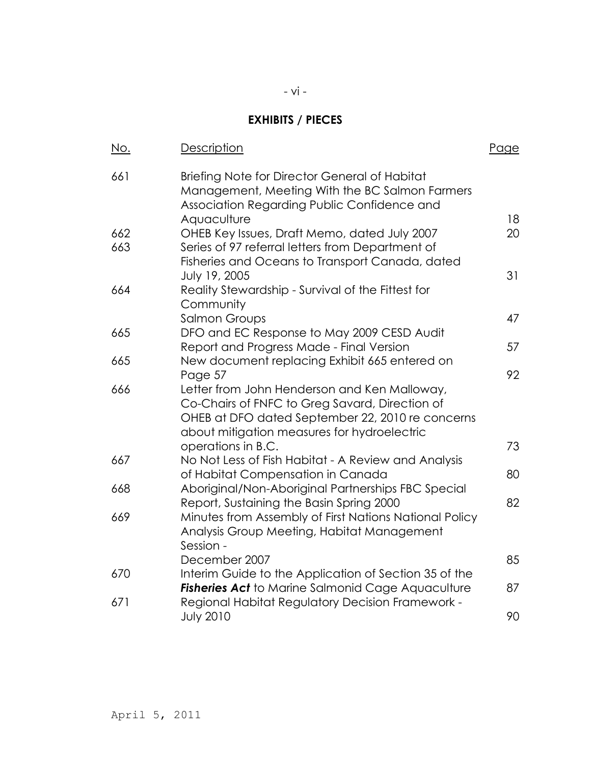## **EXHIBITS / PIECES**

| No. | <b>Description</b>                                                                                                                             | <u>Page</u> |
|-----|------------------------------------------------------------------------------------------------------------------------------------------------|-------------|
| 661 | Briefing Note for Director General of Habitat<br>Management, Meeting With the BC Salmon Farmers<br>Association Regarding Public Confidence and |             |
|     | Aquaculture                                                                                                                                    | 18          |
| 662 | OHEB Key Issues, Draft Memo, dated July 2007                                                                                                   | 20          |
| 663 | Series of 97 referral letters from Department of                                                                                               |             |
|     | Fisheries and Oceans to Transport Canada, dated<br>July 19, 2005                                                                               | 31          |
| 664 | Reality Stewardship - Survival of the Fittest for                                                                                              |             |
|     | Community                                                                                                                                      |             |
|     | <b>Salmon Groups</b>                                                                                                                           | 47          |
| 665 | DFO and EC Response to May 2009 CESD Audit                                                                                                     |             |
|     | Report and Progress Made - Final Version                                                                                                       | 57          |
| 665 | New document replacing Exhibit 665 entered on<br>Page 57                                                                                       | 92          |
| 666 | Letter from John Henderson and Ken Malloway,                                                                                                   |             |
|     | Co-Chairs of FNFC to Greg Savard, Direction of                                                                                                 |             |
|     | OHEB at DFO dated September 22, 2010 re concerns                                                                                               |             |
|     | about mitigation measures for hydroelectric                                                                                                    |             |
|     | operations in B.C.                                                                                                                             | 73          |
| 667 | No Not Less of Fish Habitat - A Review and Analysis<br>of Habitat Compensation in Canada                                                       | 80          |
| 668 | Aboriginal/Non-Aboriginal Partnerships FBC Special                                                                                             |             |
|     | Report, Sustaining the Basin Spring 2000                                                                                                       | 82          |
| 669 | Minutes from Assembly of First Nations National Policy                                                                                         |             |
|     | Analysis Group Meeting, Habitat Management                                                                                                     |             |
|     | Session -                                                                                                                                      |             |
| 670 | December 2007<br>Interim Guide to the Application of Section 35 of the                                                                         | 85          |
|     | <b>Fisheries Act to Marine Salmonid Cage Aquaculture</b>                                                                                       | 87          |
| 671 | Regional Habitat Regulatory Decision Framework -                                                                                               |             |
|     | <b>July 2010</b>                                                                                                                               | 90          |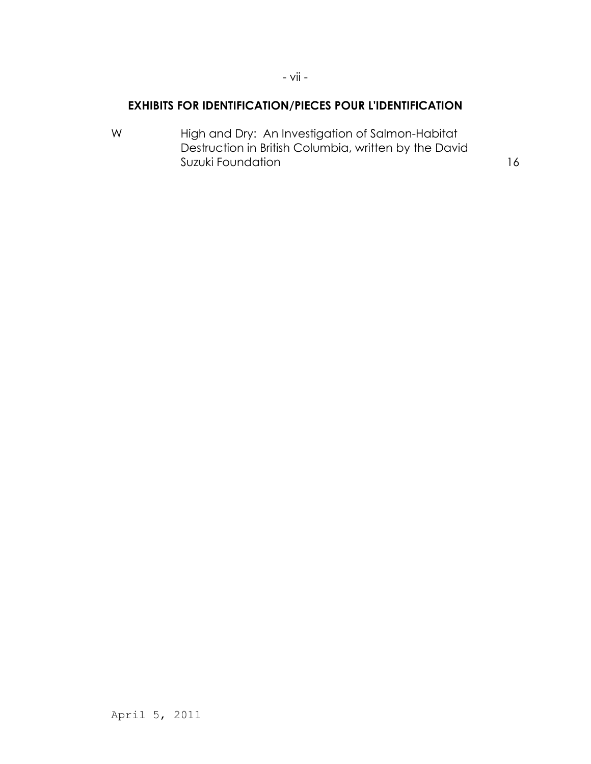### **EXHIBITS FOR IDENTIFICATION/PIECES POUR L'IDENTIFICATION**

- vii -

W High and Dry: An Investigation of Salmon-Habitat Destruction in British Columbia, written by the David Suzuki Foundation and the state of the state of the state of the state of the state of the state of the state o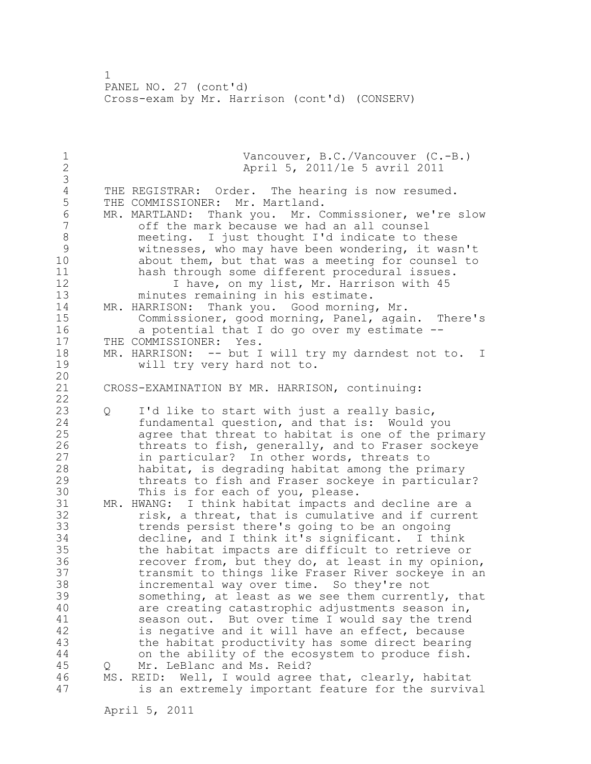1 PANEL NO. 27 (cont'd) Cross-exam by Mr. Harrison (cont'd) (CONSERV)

| $1\,$<br>$\overline{c}$                                                                |   | Vancouver, B.C./Vancouver (C.-B.)<br>April 5, 2011/le 5 avril 2011                                                                                                                                                                                                                                                                                                                                                                                                                                                                                                                                                                                                                                                                                                             |
|----------------------------------------------------------------------------------------|---|--------------------------------------------------------------------------------------------------------------------------------------------------------------------------------------------------------------------------------------------------------------------------------------------------------------------------------------------------------------------------------------------------------------------------------------------------------------------------------------------------------------------------------------------------------------------------------------------------------------------------------------------------------------------------------------------------------------------------------------------------------------------------------|
| $\frac{1}{3}$<br>5<br>$\overline{6}$<br>$\overline{7}$<br>8<br>9<br>10<br>11           |   | THE REGISTRAR: Order. The hearing is now resumed.<br>THE COMMISSIONER: Mr. Martland.<br>MR. MARTLAND: Thank you. Mr. Commissioner, we're slow<br>off the mark because we had an all counsel<br>meeting. I just thought I'd indicate to these<br>witnesses, who may have been wondering, it wasn't<br>about them, but that was a meeting for counsel to<br>hash through some different procedural issues.                                                                                                                                                                                                                                                                                                                                                                       |
| 12<br>13<br>14<br>15<br>16                                                             |   | I have, on my list, Mr. Harrison with 45<br>minutes remaining in his estimate.<br>MR. HARRISON: Thank you. Good morning, Mr.<br>Commissioner, good morning, Panel, again. There's<br>a potential that I do go over my estimate --                                                                                                                                                                                                                                                                                                                                                                                                                                                                                                                                              |
| 17<br>18<br>19                                                                         |   | THE COMMISSIONER: Yes.<br>MR. HARRISON: -- but I will try my darndest not to.<br>I<br>will try very hard not to.                                                                                                                                                                                                                                                                                                                                                                                                                                                                                                                                                                                                                                                               |
| 20<br>21<br>22                                                                         |   | CROSS-EXAMINATION BY MR. HARRISON, continuing:                                                                                                                                                                                                                                                                                                                                                                                                                                                                                                                                                                                                                                                                                                                                 |
| 23<br>24<br>25<br>26<br>27<br>28<br>29<br>30                                           | Q | I'd like to start with just a really basic,<br>fundamental question, and that is: Would you<br>agree that threat to habitat is one of the primary<br>threats to fish, generally, and to Fraser sockeye<br>in particular? In other words, threats to<br>habitat, is degrading habitat among the primary<br>threats to fish and Fraser sockeye in particular?<br>This is for each of you, please.                                                                                                                                                                                                                                                                                                                                                                                |
| 31<br>32<br>33<br>34<br>35<br>36<br>37<br>38<br>39<br>40<br>41<br>42<br>43<br>44<br>45 | Q | MR. HWANG: I think habitat impacts and decline are a<br>risk, a threat, that is cumulative and if current<br>trends persist there's going to be an ongoing<br>decline, and I think it's significant. I think<br>the habitat impacts are difficult to retrieve or<br>recover from, but they do, at least in my opinion,<br>transmit to things like Fraser River sockeye in an<br>incremental way over time. So they're not<br>something, at least as we see them currently, that<br>are creating catastrophic adjustments season in,<br>season out. But over time I would say the trend<br>is negative and it will have an effect, because<br>the habitat productivity has some direct bearing<br>on the ability of the ecosystem to produce fish.<br>Mr. LeBlanc and Ms. Reid? |
| 46<br>47                                                                               |   | MS. REID: Well, I would agree that, clearly, habitat<br>is an extremely important feature for the survival                                                                                                                                                                                                                                                                                                                                                                                                                                                                                                                                                                                                                                                                     |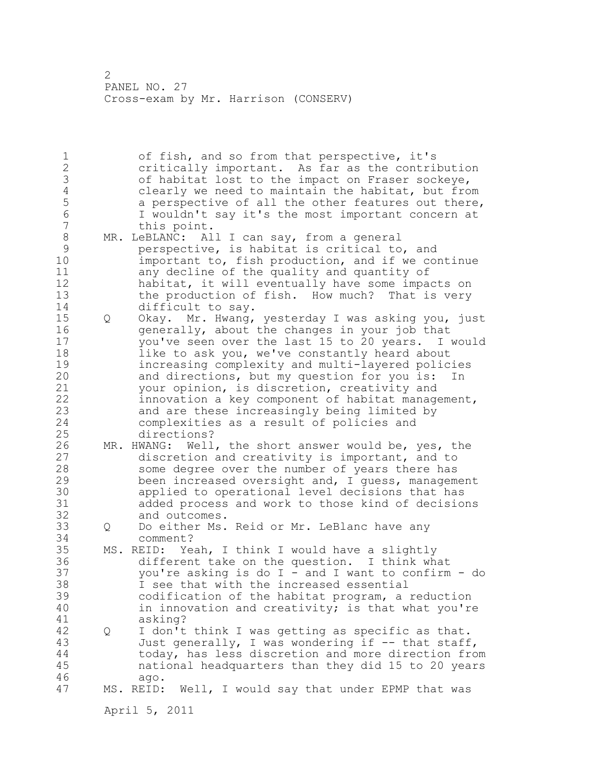1 of fish, and so from that perspective, it's 2 critically important. As far as the contribution 3 of habitat lost to the impact on Fraser sockeye,<br>4 clearly we need to maintain the habitat, but fro 4 clearly we need to maintain the habitat, but from<br>5 a perspective of all the other features out there, 5 a perspective of all the other features out there,<br>6 1 wouldn't sav it's the most important concern at 6 I wouldn't say it's the most important concern at this point. 8 MR. LeBLANC: All I can say, from a general<br>9 eerspective, is habitat is critical to 9 perspective, is habitat is critical to, and<br>10 important to, fish production, and if we co important to, fish production, and if we continue 11 any decline of the quality and quantity of 12 habitat, it will eventually have some impacts on 13 the production of fish. How much? That is very 14 difficult to say. 15 Q Okay. Mr. Hwang, yesterday I was asking you, just 16 generally, about the changes in your job that 17 you've seen over the last 15 to 20 years. I would 18 like to ask you, we've constantly heard about 19 increasing complexity and multi-layered policies<br>20 and directions, but my question for you is: In and directions, but my question for you is: In 21 your opinion, is discretion, creativity and 22 innovation a key component of habitat management, 23 and are these increasingly being limited by 24 complexities as a result of policies and 25 directions? 26 MR. HWANG: Well, the short answer would be, yes, the<br>27 discretion and creativity is important, and to discretion and creativity is important, and to 28 some degree over the number of years there has 29 been increased oversight and, I guess, management 30 applied to operational level decisions that has added process and work to those kind of decisions 32 and outcomes. 33 Q Do either Ms. Reid or Mr. LeBlanc have any 34 comment? 35 MS. REID: Yeah, I think I would have a slightly 36 different take on the question. I think what 37 you're asking is do I - and I want to confirm - do 38 I see that with the increased essential 39 codification of the habitat program, a reduction 40 in innovation and creativity; is that what you're 41 asking? 42 Q I don't think I was getting as specific as that. 43 Just generally, I was wondering if -- that staff, 44 today, has less discretion and more direction from 45 national headquarters than they did 15 to 20 years 46 ago. 47 MS. REID: Well, I would say that under EPMP that was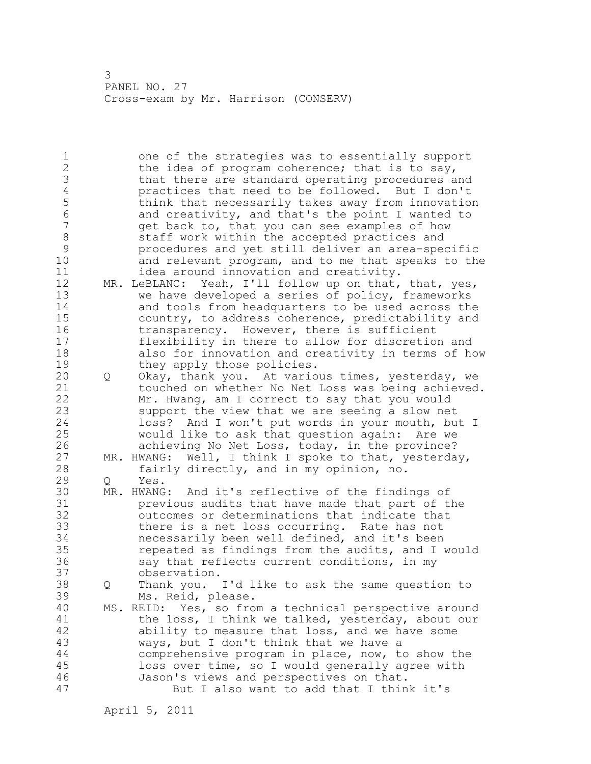1 one of the strategies was to essentially support 2 the idea of program coherence; that is to say, 3 that there are standard operating procedures and<br>4 **practices** that need to be followed. But I don't 4 practices that need to be followed. But I don't<br>5 think that necessarily takes away from innovation 5 think that necessarily takes away from innovation<br>6 and creativity, and that's the point I wanted to 6 and creativity, and that's the point I wanted to<br>7 and that you can see examples of how get back to, that you can see examples of how 8 staff work within the accepted practices and<br>9 state procedures and vet still deliver an area-spee 9 procedures and yet still deliver an area-specific and relevant program, and to me that speaks to the 11 idea around innovation and creativity. 12 MR. LeBLANC: Yeah, I'll follow up on that, that, yes, 13 we have developed a series of policy, frameworks 14 and tools from headquarters to be used across the 15 country, to address coherence, predictability and 16 transparency. However, there is sufficient 17 flexibility in there to allow for discretion and 18 also for innovation and creativity in terms of how 19 they apply those policies.<br>20 0 Okay, thank you. At vario 20 Q Okay, thank you. At various times, yesterday, we 21 touched on whether No Net Loss was being achieved. 22 Mr. Hwang, am I correct to say that you would 23 support the view that we are seeing a slow net 24 loss? And I won't put words in your mouth, but I 25 would like to ask that question again: Are we 26 achieving No Net Loss, today, in the province?<br>27 MR. HWANG: Well, I think I spoke to that, yesterda MR. HWANG: Well, I think I spoke to that, yesterday, 28 fairly directly, and in my opinion, no. 29 Q Yes. 30 MR. HWANG: And it's reflective of the findings of 31 **belogy previous audits that have made that part of the same of the set of the set of the same of the same of the same of the same of the same of the same of the same of the same of the same of the same of the same of t** outcomes or determinations that indicate that 33 there is a net loss occurring. Rate has not 34 necessarily been well defined, and it's been 35 repeated as findings from the audits, and I would 36 say that reflects current conditions, in my 37 observation. 38 Q Thank you. I'd like to ask the same question to 39 Ms. Reid, please. 40 MS. REID: Yes, so from a technical perspective around 41 the loss, I think we talked, yesterday, about our<br>42 ability to measure that loss, and we have some ability to measure that loss, and we have some 43 ways, but I don't think that we have a 44 comprehensive program in place, now, to show the 45 loss over time, so I would generally agree with 46 Jason's views and perspectives on that. 47 But I also want to add that I think it's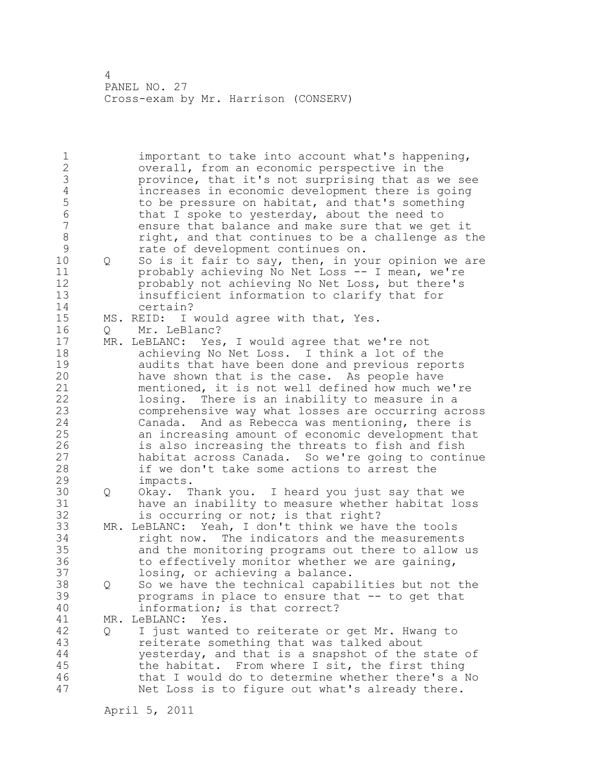1 important to take into account what's happening, 2 overall, from an economic perspective in the 3 province, that it's not surprising that as we see<br>4 increases in economic development there is going 4 increases in economic development there is going<br>5 to be pressure on habitat, and that's something 5 to be pressure on habitat, and that's something<br>6 that I spoke to vesterday, about the need to 6 that I spoke to yesterday, about the need to ensure that balance and make sure that we get it 8 right, and that continues to be a challenge as the<br>9 rate of development continues on. 9 rate of development continues on.<br>10 0 So is it fair to sav, then, in vo 10 Q So is it fair to say, then, in your opinion we are 11 probably achieving No Net Loss -- I mean, we're 12 probably not achieving No Net Loss, but there's 13 insufficient information to clarify that for 14 certain? 15 MS. REID: I would agree with that, Yes. 16 Q Mr. LeBlanc? 17 MR. LeBLANC: Yes, I would agree that we're not 18 achieving No Net Loss. I think a lot of the 19 audits that have been done and previous reports<br>20 have shown that is the case. As people have have shown that is the case. As people have 21 mentioned, it is not well defined how much we're 22 losing. There is an inability to measure in a 23 comprehensive way what losses are occurring across 24 Canada. And as Rebecca was mentioning, there is 25 an increasing amount of economic development that 26 is also increasing the threats to fish and fish<br>27 habitat across Canada. So we're going to contin 27 habitat across Canada. So we're going to continue<br>28 if we don't take some actions to arrest the if we don't take some actions to arrest the 29 impacts. 30 Q Okay. Thank you. I heard you just say that we  $31$  have an inability to measure whether habitat loss<br> $32$  is occurring or not; is that right? is occurring or not; is that right? 33 MR. LeBLANC: Yeah, I don't think we have the tools 34 right now. The indicators and the measurements 35 and the monitoring programs out there to allow us 36 to effectively monitor whether we are gaining, 37 losing, or achieving a balance. 38 Q So we have the technical capabilities but not the 39 programs in place to ensure that -- to get that 40 information; is that correct? 41 MR. LeBLANC: Yes.<br>42 0 I just wanted 42 Q I just wanted to reiterate or get Mr. Hwang to 43 reiterate something that was talked about 44 yesterday, and that is a snapshot of the state of 45 the habitat. From where I sit, the first thing 46 that I would do to determine whether there's a No 47 Net Loss is to figure out what's already there.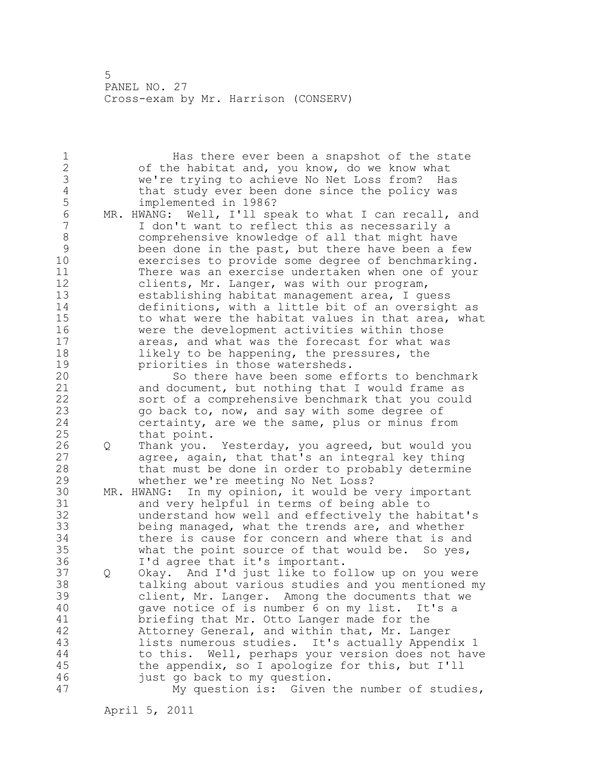1 Has there ever been a snapshot of the state 2 of the habitat and, you know, do we know what 3 we're trying to achieve No Net Loss from? Has 4 that study ever been done since the policy was<br>5 implemented in 1986? 5 implemented in 1986?<br>6 MR. HWANG: Well, I'll sp 6 MR. HWANG: Well, I'll speak to what I can recall, and<br>7 I don't want to reflect this as necessarily a I don't want to reflect this as necessarily a 8 comprehensive knowledge of all that might have 9 been done in the past, but there have been a few<br>10 exercises to provide some degree of benchmarking exercises to provide some degree of benchmarking. 11 There was an exercise undertaken when one of your 12 clients, Mr. Langer, was with our program, 13 establishing habitat management area, I guess 14 definitions, with a little bit of an oversight as 15 to what were the habitat values in that area, what 16 were the development activities within those 17 areas, and what was the forecast for what was 18 likely to be happening, the pressures, the 19 **priorities in those watersheds.**<br>20 **bless** So there have been some ef So there have been some efforts to benchmark 21 and document, but nothing that I would frame as 22 sort of a comprehensive benchmark that you could 23 go back to, now, and say with some degree of 24 certainty, are we the same, plus or minus from 25 that point. 26 Q Thank you. Yesterday, you agreed, but would you<br>27 agree, again, that that's an integral key thing agree, again, that that's an integral key thing 28 that must be done in order to probably determine 29 whether we're meeting No Net Loss? 30 MR. HWANG: In my opinion, it would be very important<br>31 and very helpful in terms of being able to 31 and very helpful in terms of being able to<br>32 understand how well and effectivelv the hal understand how well and effectively the habitat's 33 being managed, what the trends are, and whether 34 there is cause for concern and where that is and 35 what the point source of that would be. So yes, 36 I'd agree that it's important. 37 Q Okay. And I'd just like to follow up on you were 38 talking about various studies and you mentioned my 39 client, Mr. Langer. Among the documents that we 40 gave notice of is number 6 on my list. It's a 41 briefing that Mr. Otto Langer made for the 42 Attorney General, and within that, Mr. Langer 43 lists numerous studies. It's actually Appendix 1 44 to this. Well, perhaps your version does not have 45 the appendix, so I apologize for this, but I'll 46 just go back to my question. 47 My question is: Given the number of studies,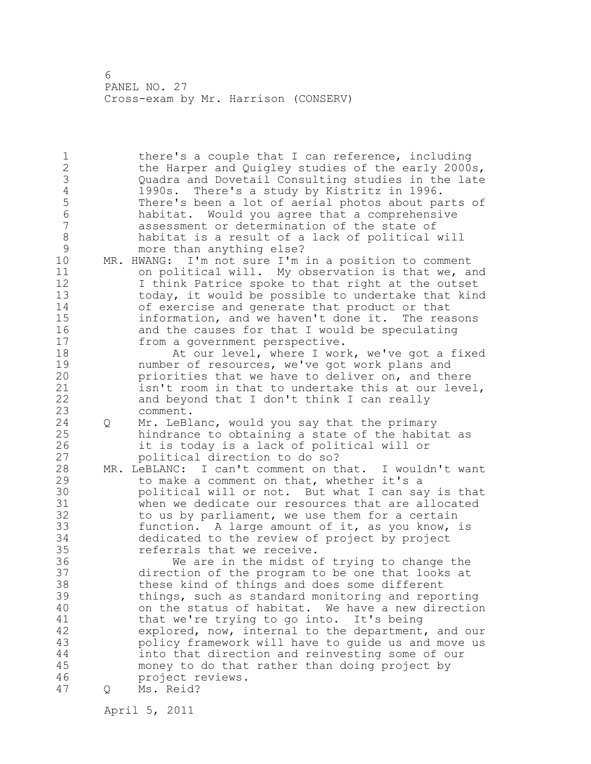1 there's a couple that I can reference, including 2 the Harper and Quigley studies of the early 2000s, 3 Quadra and Dovetail Consulting studies in the late 4 1990s. There's a study by Kistritz in 1996. 5 There's been a lot of aerial photos about parts of<br>6 habitat. Would vou agree that a comprehensive 6 habitat. Would you agree that a comprehensive assessment or determination of the state of 8 habitat is a result of a lack of political will<br>9 more than anything else? 9 more than anything else?<br>10 MR. HWANG: I'm not sure I'm  $MR.$  HWANG: I'm not sure I'm in a position to comment 11 on political will. My observation is that we, and 12 I think Patrice spoke to that right at the outset 13 today, it would be possible to undertake that kind 14 of exercise and generate that product or that 15 information, and we haven't done it. The reasons 16 and the causes for that I would be speculating 17 from a government perspective. 18 At our level, where I work, we've got a fixed 19 number of resources, we've got work plans and<br>20 priorities that we have to deliver on, and the priorities that we have to deliver on, and there 21 isn't room in that to undertake this at our level, 22 and beyond that I don't think I can really 23 comment. 24 Q Mr. LeBlanc, would you say that the primary 25 hindrance to obtaining a state of the habitat as 26 it is today is a lack of political will or<br>27 bolitical direction to do so? political direction to do so? 28 MR. LeBLANC: I can't comment on that. I wouldn't want 29 to make a comment on that, whether it's a 30 political will or not. But what I can say is that when we dedicate our resources that are allocated 32 to us by parliament, we use them for a certain 33 function. A large amount of it, as you know, is 34 dedicated to the review of project by project 35 referrals that we receive. 36 We are in the midst of trying to change the 37 direction of the program to be one that looks at 38 these kind of things and does some different 39 things, such as standard monitoring and reporting 40 on the status of habitat. We have a new direction 41 that we're trying to go into. It's being<br>42 explored, now, internal to the department, explored, now, internal to the department, and our 43 policy framework will have to guide us and move us 44 into that direction and reinvesting some of our 45 money to do that rather than doing project by 46 project reviews. 47 Q Ms. Reid?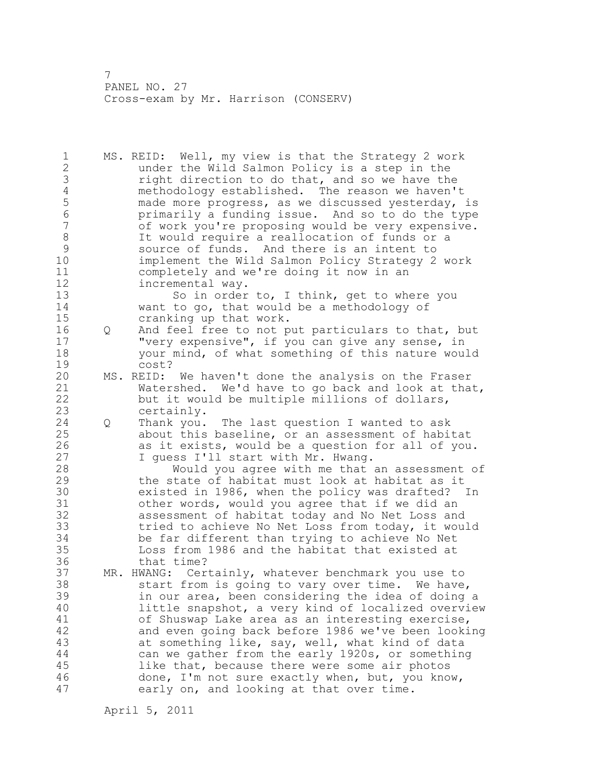1 MS. REID: Well, my view is that the Strategy 2 work 2 under the Wild Salmon Policy is a step in the 3 right direction to do that, and so we have the<br>4 methodology established. The reason we haven't 4 methodology established. The reason we haven't<br>5 made more progress, as we discussed yesterday, 5 made more progress, as we discussed yesterday, is<br>6 brimarily a funding issue. And so to do the type 6 primarily a funding issue. And so to do the type of work you're proposing would be very expensive. 8 It would require a reallocation of funds or a<br>9 Source of funds. And there is an intent to 9 source of funds. And there is an intent to<br>10 implement the Wild Salmon Policy Strategy 2 implement the Wild Salmon Policy Strategy 2 work 11 completely and we're doing it now in an 12 incremental way. 13 So in order to, I think, get to where you 14 want to go, that would be a methodology of 15 cranking up that work. 16 Q And feel free to not put particulars to that, but 17 "very expensive", if you can give any sense, in 18 your mind, of what something of this nature would 19 cost?<br>20 MS.REID: MS. REID: We haven't done the analysis on the Fraser 21 Watershed. We'd have to go back and look at that, 22 but it would be multiple millions of dollars, 23 certainly. 24 Q Thank you. The last question I wanted to ask 25 about this baseline, or an assessment of habitat 26 as it exists, would be a question for all of you.<br>27 I quess I'll start with Mr. Hwang. I quess I'll start with Mr. Hwang. 28 Would you agree with me that an assessment of 29 the state of habitat must look at habitat as it 30 existed in 1986, when the policy was drafted? In 31 other words, would you agree that if we did an<br>32 assessment of habitat today and No Net Loss and assessment of habitat today and No Net Loss and 33 tried to achieve No Net Loss from today, it would 34 be far different than trying to achieve No Net 35 Loss from 1986 and the habitat that existed at 36 that time? 37 MR. HWANG: Certainly, whatever benchmark you use to 38 start from is going to vary over time. We have, 39 in our area, been considering the idea of doing a 40 little snapshot, a very kind of localized overview 41 of Shuswap Lake area as an interesting exercise,<br>42 and even going back before 1986 we've been looki and even going back before 1986 we've been looking 43 at something like, say, well, what kind of data 44 can we gather from the early 1920s, or something 45 like that, because there were some air photos 46 done, I'm not sure exactly when, but, you know, 47 early on, and looking at that over time.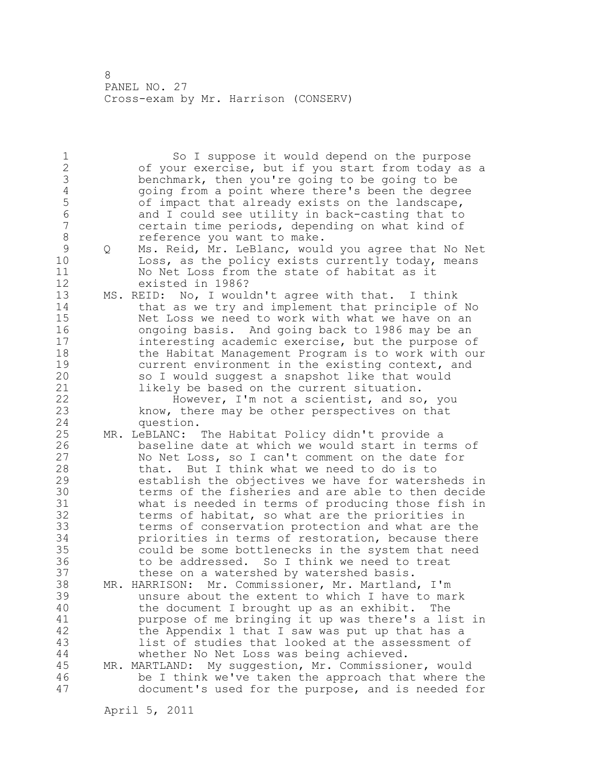1 So I suppose it would depend on the purpose 2 of your exercise, but if you start from today as a 3 benchmark, then you're going to be going to be<br>4 qoing from a point where there's been the degre 4 going from a point where there's been the degree<br>5 of impact that already exists on the landscape, 5 of impact that already exists on the landscape,<br>6 and I could see utility in back-casting that to 6 and I could see utility in back-casting that to certain time periods, depending on what kind of 8 reference you want to make. 9 Q Ms. Reid, Mr. LeBlanc, would you agree that No Net<br>10 Loss, as the policy exists currently today, means Loss, as the policy exists currently today, means 11 No Net Loss from the state of habitat as it 12 existed in 1986? 13 MS. REID: No, I wouldn't agree with that. I think 14 that as we try and implement that principle of No 15 Net Loss we need to work with what we have on an 16 ongoing basis. And going back to 1986 may be an 17 interesting academic exercise, but the purpose of 18 the Habitat Management Program is to work with our 19 current environment in the existing context, and<br>20 so I would suggest a snapshot like that would so I would suggest a snapshot like that would 21 likely be based on the current situation. 22 However, I'm not a scientist, and so, you 23 know, there may be other perspectives on that 24 question. 25 MR. LeBLANC: The Habitat Policy didn't provide a 26 baseline date at which we would start in terms of<br>27 Mo Net Loss, so I can't comment on the date for No Net Loss, so I can't comment on the date for 28 that. But I think what we need to do is to 29 establish the objectives we have for watersheds in 30 terms of the fisheries and are able to then decide<br>31 what is needed in terms of producing those fish in 31 what is needed in terms of producing those fish in<br>32 terms of habitat, so what are the priorities in terms of habitat, so what are the priorities in 33 terms of conservation protection and what are the 34 priorities in terms of restoration, because there 35 could be some bottlenecks in the system that need 36 to be addressed. So I think we need to treat 37 these on a watershed by watershed basis. 38 MR. HARRISON: Mr. Commissioner, Mr. Martland, I'm 39 unsure about the extent to which I have to mark 40 the document I brought up as an exhibit. The 41 burpose of me bringing it up was there's a list in<br>42 the Appendix 1 that I saw was put up that has a the Appendix 1 that I saw was put up that has a 43 list of studies that looked at the assessment of 44 whether No Net Loss was being achieved. 45 MR. MARTLAND: My suggestion, Mr. Commissioner, would 46 be I think we've taken the approach that where the 47 document's used for the purpose, and is needed for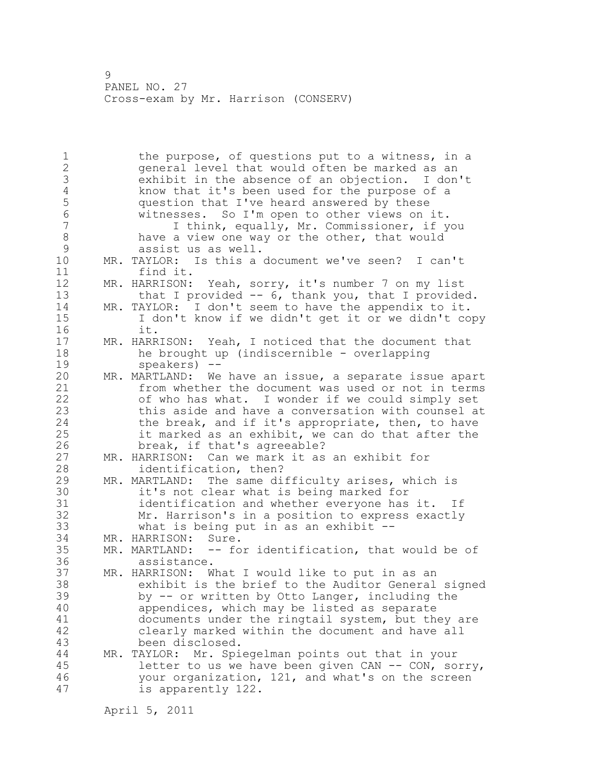1 the purpose, of questions put to a witness, in a 2 general level that would often be marked as an 3 exhibit in the absence of an objection. I don't 4 know that it's been used for the purpose of a<br>5 question that I've heard answered by these 5 question that I've heard answered by these<br>6 witnesses. So I'm open to other views on: 6 witnesses. So I'm open to other views on it. 7 I think, equally, Mr. Commissioner, if you 8 have a view one way or the other, that would 9 assist us as well.<br>10 MR. TAYLOR: Is this a MR. TAYLOR: Is this a document we've seen? I can't 11 find it. 12 MR. HARRISON: Yeah, sorry, it's number 7 on my list 13 that I provided -- 6, thank you, that I provided. 14 MR. TAYLOR: I don't seem to have the appendix to it. 15 I don't know if we didn't get it or we didn't copy 16 it. 17 MR. HARRISON: Yeah, I noticed that the document that 18 he brought up (indiscernible - overlapping 19 speakers) --<br>20 MR. MARTLAND: We MR. MARTLAND: We have an issue, a separate issue apart 21 from whether the document was used or not in terms 22 of who has what. I wonder if we could simply set 23 this aside and have a conversation with counsel at 24 the break, and if it's appropriate, then, to have 25 it marked as an exhibit, we can do that after the 26 break, if that's agreeable?<br>27 MR. HARRISON: Can we mark it as MR. HARRISON: Can we mark it as an exhibit for 28 identification, then? 29 MR. MARTLAND: The same difficulty arises, which is 30 it's not clear what is being marked for<br>31 identification and whether evervone has identification and whether everyone has it. If 32 Mr. Harrison's in a position to express exactly 33 what is being put in as an exhibit -- 34 MR. HARRISON: Sure. 35 MR. MARTLAND: -- for identification, that would be of 36 assistance. 37 MR. HARRISON: What I would like to put in as an 38 exhibit is the brief to the Auditor General signed 39 by -- or written by Otto Langer, including the 40 appendices, which may be listed as separate 41 documents under the ringtail system, but they are<br>42 clearly marked within the document and have all clearly marked within the document and have all 43 been disclosed. 44 MR. TAYLOR: Mr. Spiegelman points out that in your 45 letter to us we have been given CAN -- CON, sorry, 46 your organization, 121, and what's on the screen 47 is apparently 122.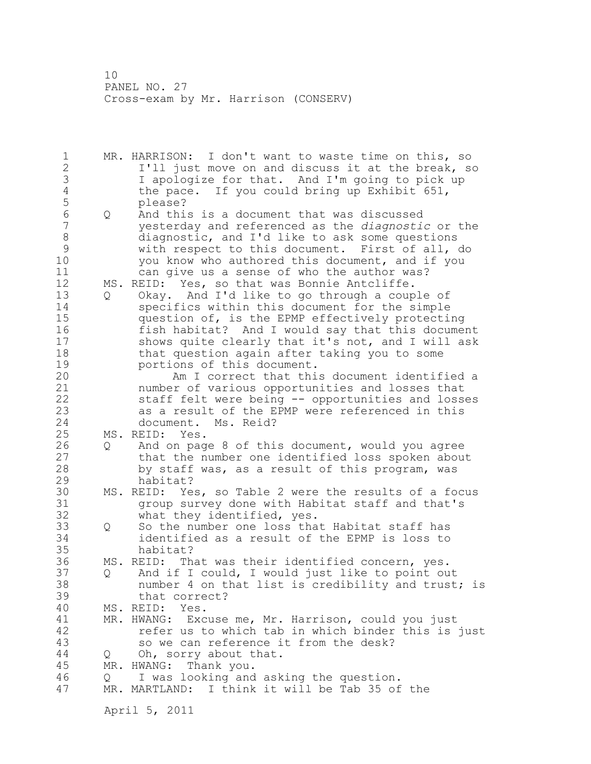1 MR. HARRISON: I don't want to waste time on this, so 2 I'll just move on and discuss it at the break, so 3 I apologize for that. And I'm going to pick up<br>4 the pace. If you could bring up Exhibit 651, 4 the pace. If you could bring up Exhibit 651,<br>5 blease? 5 please?<br>6 0 And thi 6 Q And this is a document that was discussed<br>7 The vesterday and referenced as the *diagnosti* 7 yesterday and referenced as the *diagnostic* or the 8 diagnostic, and I'd like to ask some questions<br>9 with respect to this document. First of all, 9 with respect to this document. First of all, do<br>10 vou know who authored this document, and if you you know who authored this document, and if you 11 can give us a sense of who the author was? 12 MS. REID: Yes, so that was Bonnie Antcliffe. 13 Q Okay. And I'd like to go through a couple of 14 specifics within this document for the simple 15 question of, is the EPMP effectively protecting 16 fish habitat? And I would say that this document 17 shows quite clearly that it's not, and I will ask 18 that question again after taking you to some 19 portions of this document.<br>20 Am I correct that thi Am I correct that this document identified a 21 number of various opportunities and losses that 22 staff felt were being -- opportunities and losses 23 as a result of the EPMP were referenced in this<br>24 document. Ms. Reid? document. Ms. Reid? 25 MS. REID: Yes. 26 Q And on page 8 of this document, would you agree<br>27 that the number one identified loss spoken abou 27 that the number one identified loss spoken about<br>28 by staff was, as a result of this program, was by staff was, as a result of this program, was 29 habitat? 30 MS. REID: Yes, so Table 2 were the results of a focus<br>31 The oroup survey done with Habitat staff and that's 31 group survey done with Habitat staff and that's<br>32 what they identified, yes. what they identified, yes. 33 Q So the number one loss that Habitat staff has 34 identified as a result of the EPMP is loss to 35 habitat? 36 MS. REID: That was their identified concern, yes. 37 Q And if I could, I would just like to point out 38 number 4 on that list is credibility and trust; is 39 that correct? 40 MS. REID: Yes. 41 MR. HWANG: Excuse me, Mr. Harrison, could you just<br>42 fefer us to which tab in which binder this is refer us to which tab in which binder this is just 43 so we can reference it from the desk? 44 Q Oh, sorry about that. 45 MR. HWANG: Thank you. 46 Q I was looking and asking the question. 47 MR. MARTLAND: I think it will be Tab 35 of the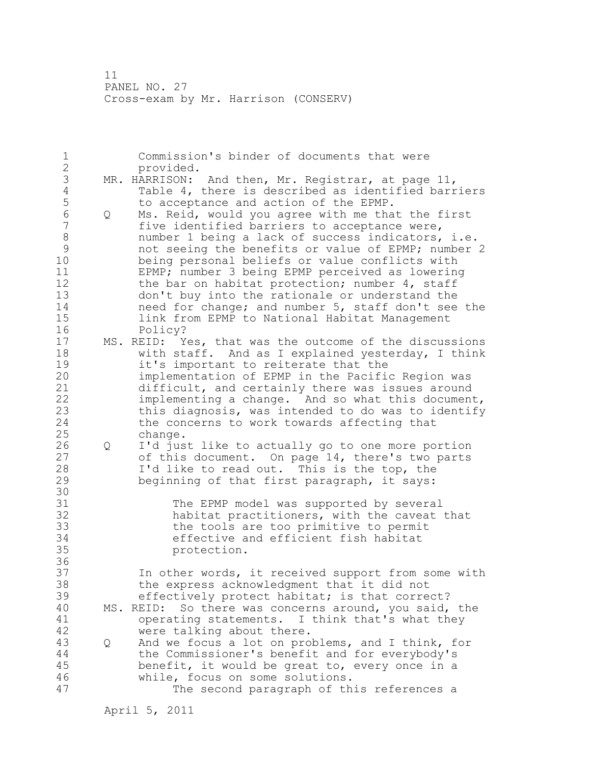| $\mathbf 1$               |   | Commission's binder of documents that were<br>provided.                                                   |
|---------------------------|---|-----------------------------------------------------------------------------------------------------------|
| $\frac{2}{3}$             |   | And then, Mr. Registrar, at page 11,<br>MR. HARRISON:                                                     |
| $\sqrt{4}$<br>5           |   | Table 4, there is described as identified barriers<br>to acceptance and action of the EPMP.               |
| $\sqrt{6}$                | Q | Ms. Reid, would you agree with me that the first                                                          |
| $\overline{7}$<br>$\,8\,$ |   | five identified barriers to acceptance were,<br>number 1 being a lack of success indicators, i.e.         |
| $\mathsf{S}$              |   | not seeing the benefits or value of EPMP; number 2                                                        |
| 10<br>11                  |   | being personal beliefs or value conflicts with<br>EPMP; number 3 being EPMP perceived as lowering         |
| 12                        |   | the bar on habitat protection; number 4, staff                                                            |
| 13                        |   | don't buy into the rationale or understand the                                                            |
| 14<br>15                  |   | need for change; and number 5, staff don't see the<br>link from EPMP to National Habitat Management       |
| 16                        |   | Policy?                                                                                                   |
| 17                        |   | MS. REID: Yes, that was the outcome of the discussions                                                    |
| 18<br>19                  |   | with staff. And as I explained yesterday, I think<br>it's important to reiterate that the                 |
| 20                        |   | implementation of EPMP in the Pacific Region was                                                          |
| 21                        |   | difficult, and certainly there was issues around                                                          |
| 22<br>23                  |   | implementing a change. And so what this document,<br>this diagnosis, was intended to do was to identify   |
| 24                        |   | the concerns to work towards affecting that                                                               |
| 25<br>26                  | Q | change.<br>I'd just like to actually go to one more portion                                               |
| 27                        |   | of this document. On page 14, there's two parts                                                           |
| 28                        |   | I'd like to read out. This is the top, the                                                                |
| 29<br>30                  |   | beginning of that first paragraph, it says:                                                               |
| 31                        |   | The EPMP model was supported by several                                                                   |
| 32<br>33                  |   | habitat practitioners, with the caveat that<br>the tools are too primitive to permit                      |
| 34                        |   | effective and efficient fish habitat                                                                      |
| 35                        |   | protection.                                                                                               |
| 36<br>37                  |   | In other words, it received support from some with                                                        |
| 38                        |   | the express acknowledgment that it did not                                                                |
| 39<br>40                  |   | effectively protect habitat; is that correct?<br>So there was concerns around, you said, the<br>MS. REID: |
| 41                        |   | operating statements. I think that's what they                                                            |
| 42                        |   | were talking about there.                                                                                 |
| 43<br>44                  | Q | And we focus a lot on problems, and I think, for<br>the Commissioner's benefit and for everybody's        |
| 45                        |   | benefit, it would be great to, every once in a                                                            |
| 46<br>47                  |   | while, focus on some solutions.<br>The second paragraph of this references a                              |
|                           |   |                                                                                                           |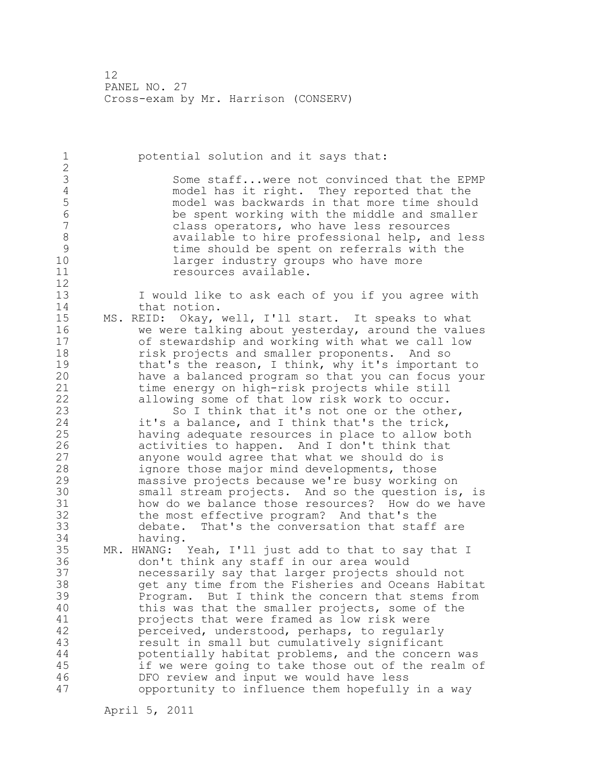1 potential solution and it says that: 2 3 Some staff...were not convinced that the EPMP<br>4 model has it right. They reported that the 4 model has it right. They reported that the<br>5 model was backwards in that more time should 5 model was backwards in that more time should<br>6 be spent working with the middle and smaller 6 be spent working with the middle and smaller<br>7 class operators, who have less resources class operators, who have less resources 8 available to hire professional help, and less<br>9 time should be spent on referrals with the 9 time should be spent on referrals with the<br>10 10 1arger industry groups who have more larger industry groups who have more 11 **resources** available. 12 13 I would like to ask each of you if you agree with 14 that notion. 15 MS. REID: Okay, well, I'll start. It speaks to what 16 we were talking about yesterday, around the values 17 of stewardship and working with what we call low 18 **risk projects and smaller proponents.** And so 19 that's the reason, I think, why it's important to<br>20 have a balanced program so that you can focus you have a balanced program so that you can focus your 21 time energy on high-risk projects while still 22 allowing some of that low risk work to occur. 23 So I think that it's not one or the other, 24 it's a balance, and I think that's the trick, 25 having adequate resources in place to allow both 26 activities to happen. And I don't think that<br>27 anyone would agree that what we should do is anyone would agree that what we should do is 28 ignore those major mind developments, those 29 massive projects because we're busy working on 30 small stream projects. And so the question is, is<br>31 how do we balance those resources? How do we have 31 how do we balance those resources? How do we have<br>32 the most effective program? And that's the the most effective program? And that's the 33 debate. That's the conversation that staff are 34 having. 35 MR. HWANG: Yeah, I'll just add to that to say that I 36 don't think any staff in our area would 37 necessarily say that larger projects should not 38 get any time from the Fisheries and Oceans Habitat 39 Program. But I think the concern that stems from 40 this was that the smaller projects, some of the 41 projects that were framed as low risk were<br>42 perceived, understood, perhaps, to regular perceived, understood, perhaps, to regularly 43 result in small but cumulatively significant 44 potentially habitat problems, and the concern was 45 if we were going to take those out of the realm of 46 DFO review and input we would have less 47 opportunity to influence them hopefully in a way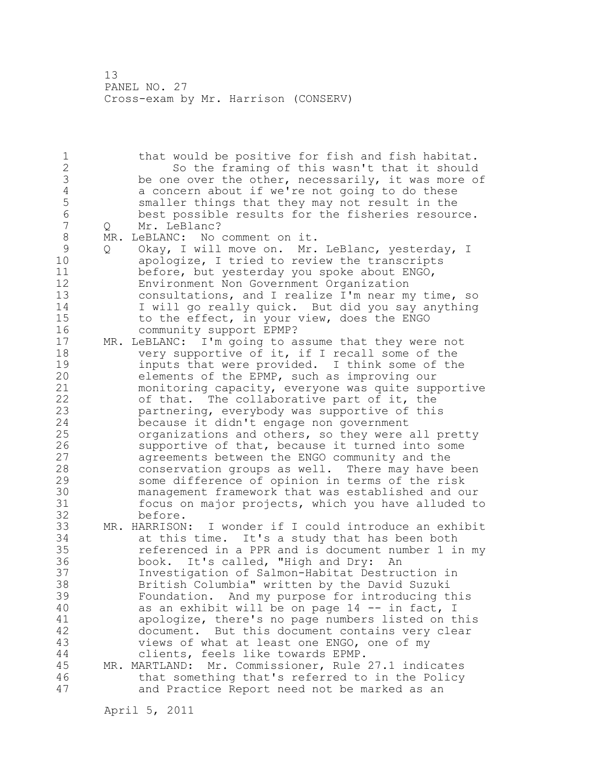1 that would be positive for fish and fish habitat. 2 So the framing of this wasn't that it should 3 be one over the other, necessarily, it was more of 4 concern about if we're not going to do these 4 a concern about if we're not going to do these<br>5 smaller things that they may not result in the 5 smaller things that they may not result in the<br>6 best possible results for the fisheries resour 6 best possible results for the fisheries resource. Q Mr. LeBlanc? 8 MR. LeBLANC: No comment on it.<br>9 0 Okav. I will move on. Mr. 9 Q Okay, I will move on. Mr. LeBlanc, yesterday, I<br>10 apologize, I tried to review the transcripts apologize, I tried to review the transcripts 11 before, but yesterday you spoke about ENGO, 12 Environment Non Government Organization 13 consultations, and I realize I'm near my time, so 14 I will go really quick. But did you say anything 15 to the effect, in your view, does the ENGO 16 community support EPMP? 17 MR. LeBLANC: I'm going to assume that they were not 18 very supportive of it, if I recall some of the 19 inputs that were provided. I think some of the<br>20 elements of the EPMP, such as improving our elements of the EPMP, such as improving our 21 monitoring capacity, everyone was quite supportive 22 of that. The collaborative part of it, the 23 partnering, everybody was supportive of this 24 because it didn't engage non government 25 organizations and others, so they were all pretty 26 supportive of that, because it turned into some<br>27 agreements between the ENGO community and the agreements between the ENGO community and the 28 conservation groups as well. There may have been 29 some difference of opinion in terms of the risk 30 management framework that was established and our 31 focus on major projects, which you have alluded to before. 33 MR. HARRISON: I wonder if I could introduce an exhibit 34 at this time. It's a study that has been both 35 referenced in a PPR and is document number 1 in my 36 book. It's called, "High and Dry: An 37 Investigation of Salmon-Habitat Destruction in 38 British Columbia" written by the David Suzuki 39 Foundation. And my purpose for introducing this 40 as an exhibit will be on page 14 -- in fact, I 41 apologize, there's no page numbers listed on this document. But this document contains very clear 43 views of what at least one ENGO, one of my 44 clients, feels like towards EPMP. 45 MR. MARTLAND: Mr. Commissioner, Rule 27.1 indicates 46 that something that's referred to in the Policy 47 and Practice Report need not be marked as an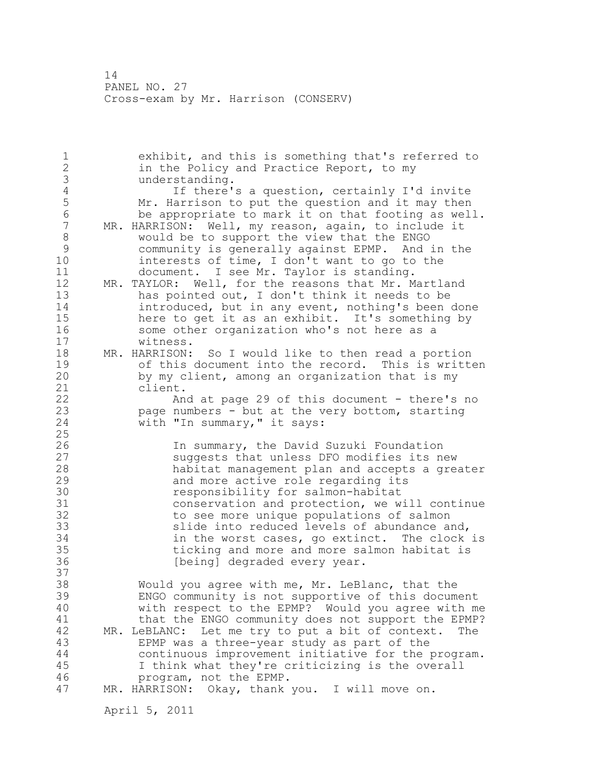1 exhibit, and this is something that's referred to 2 in the Policy and Practice Report, to my 3 understanding.<br>4 If there' 4 If there's a question, certainly I'd invite<br>5 Mr. Harrison to put the question and it may then 5 Mr. Harrison to put the question and it may then<br>6 be appropriate to mark it on that footing as wel. 6 be appropriate to mark it on that footing as well.<br>7 MR. HARRISON: Well, my reason, again, to include it MR. HARRISON: Well, my reason, again, to include it 8 would be to support the view that the ENGO<br>9 community is generally against EPMP. And: 9 community is generally against EPMP. And in the<br>10 interests of time, I don't want to go to the interests of time, I don't want to go to the 11 document. I see Mr. Taylor is standing. 12 MR. TAYLOR: Well, for the reasons that Mr. Martland 13 has pointed out, I don't think it needs to be 14 introduced, but in any event, nothing's been done 15 here to get it as an exhibit. It's something by 16 some other organization who's not here as a 17 witness. 18 MR. HARRISON: So I would like to then read a portion 19 of this document into the record. This is written<br>20 by my client, among an organization that is my by my client, among an organization that is my 21 client. 22 And at page 29 of this document - there's no 23 page numbers - but at the very bottom, starting 24 with "In summary," it says: 25 26 1n summary, the David Suzuki Foundation<br>27 31 Suqqests that unless DFO modifies its no 27 suggests that unless DFO modifies its new<br>28 habitat management plan and accepts a grea habitat management plan and accepts a greater 29 and more active role regarding its 30 **1988** responsibility for salmon-habitat<br>31 conservation and protection, we w 31 conservation and protection, we will continue<br>32 to see more unique populations of salmon to see more unique populations of salmon 33 slide into reduced levels of abundance and, 34 in the worst cases, go extinct. The clock is 35 ticking and more and more salmon habitat is 36 [being] degraded every year. 37 38 Would you agree with me, Mr. LeBlanc, that the 39 ENGO community is not supportive of this document 40 with respect to the EPMP? Would you agree with me 41 that the ENGO community does not support the EPMP?<br>42 MR. LeBLANC: Let me try to put a bit of context. The MR. LeBLANC: Let me try to put a bit of context. The 43 EPMP was a three-year study as part of the 44 continuous improvement initiative for the program. 45 I think what they're criticizing is the overall 46 program, not the EPMP. 47 MR. HARRISON: Okay, thank you. I will move on.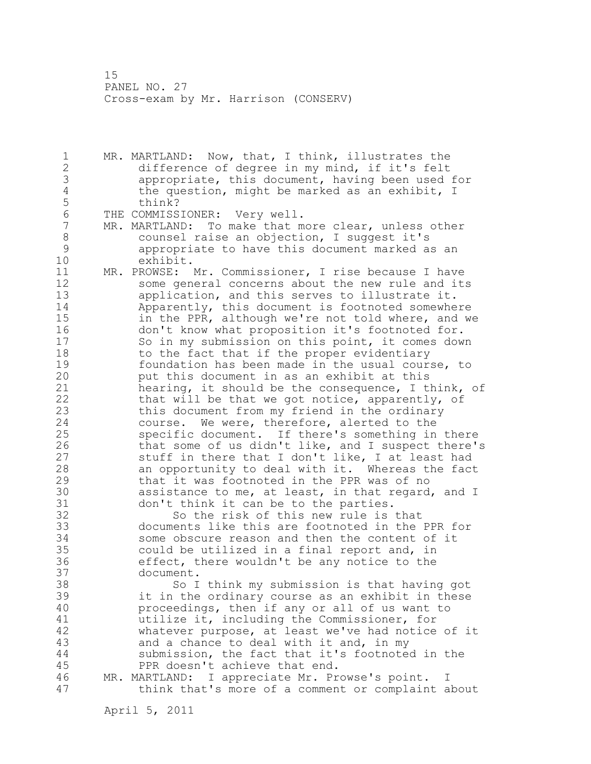1 MR. MARTLAND: Now, that, I think, illustrates the 2 difference of degree in my mind, if it's felt 3 appropriate, this document, having been used for 4 the question, might be marked as an exhibit, I<br>5 think? think? 6 THE COMMISSIONER: Very well.<br>7 MR. MARTLAND: To make that m

- MR. MARTLAND: To make that more clear, unless other 8 counsel raise an objection, I suggest it's 9 appropriate to have this document marked as an exhibit.
- 11 MR. PROWSE: Mr. Commissioner, I rise because I have 12 some general concerns about the new rule and its 13 application, and this serves to illustrate it. 14 Apparently, this document is footnoted somewhere 15 in the PPR, although we're not told where, and we 16 don't know what proposition it's footnoted for. 17 So in my submission on this point, it comes down 18 to the fact that if the proper evidentiary 19 foundation has been made in the usual course, to<br>20 but this document in as an exhibit at this put this document in as an exhibit at this 21 hearing, it should be the consequence, I think, of 22 that will be that we got notice, apparently, of 23 this document from my friend in the ordinary 24 course. We were, therefore, alerted to the 25 specific document. If there's something in there 26 that some of us didn't like, and I suspect there's<br>27 stuff in there that I don't like, I at least had stuff in there that I don't like, I at least had 28 an opportunity to deal with it. Whereas the fact 29 that it was footnoted in the PPR was of no 30 assistance to me, at least, in that regard, and I<br>31 don't think it can be to the parties. 31 don't think it can be to the parties.<br>32 So the risk of this new rule is

So the risk of this new rule is that 33 documents like this are footnoted in the PPR for 34 some obscure reason and then the content of it 35 could be utilized in a final report and, in 36 effect, there wouldn't be any notice to the 37 document.

38 So I think my submission is that having got 39 it in the ordinary course as an exhibit in these 40 proceedings, then if any or all of us want to 41 and the utilize it, including the Commissioner, for<br>42 by that whatever purpose, at least we've had notice whatever purpose, at least we've had notice of it 43 and a chance to deal with it and, in my 44 submission, the fact that it's footnoted in the 45 PPR doesn't achieve that end.

46 MR. MARTLAND: I appreciate Mr. Prowse's point. I 47 think that's more of a comment or complaint about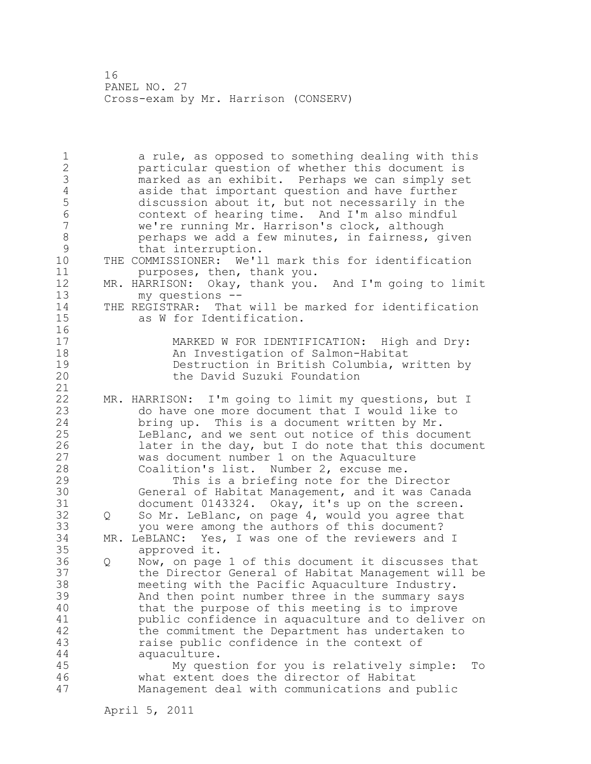1 a rule, as opposed to something dealing with this 2 particular question of whether this document is 3 marked as an exhibit. Perhaps we can simply set 4 aside that important question and have further<br>5 discussion about it, but not necessarily in the 5 discussion about it, but not necessarily in the<br>6 context of hearing time. And I'm also mindful 6 context of hearing time. And I'm also mindful we're running Mr. Harrison's clock, although 8 berhaps we add a few minutes, in fairness, given<br>9 that interruption. 9 that interruption.<br>10 THE COMMISSIONER: We'l THE COMMISSIONER: We'll mark this for identification 11 purposes, then, thank you. 12 MR. HARRISON: Okay, thank you. And I'm going to limit 13 my questions -- 14 THE REGISTRAR: That will be marked for identification<br>15 as W for Identification. as W for Identification.  $\begin{array}{c} 16 \\ 17 \end{array}$ MARKED W FOR IDENTIFICATION: High and Dry: 18 An Investigation of Salmon-Habitat 19 Destruction in British Columbia, written by<br>20 the David Suzuki Foundation the David Suzuki Foundation 21 22 MR. HARRISON: I'm going to limit my questions, but I 23 do have one more document that I would like to 24 bring up. This is a document written by Mr. 25 LeBlanc, and we sent out notice of this document 26 later in the day, but I do note that this document<br>27 was document number 1 on the Aquaculture 27 was document number 1 on the Aquaculture<br>28 Coalition's list. Number 2, excuse me. Coalition's list. Number 2, excuse me. 29 This is a briefing note for the Director 30 General of Habitat Management, and it was Canada<br>31 document 0143324. Okav, it's up on the screen. document 0143324. Okay, it's up on the screen. 32 Q So Mr. LeBlanc, on page 4, would you agree that 33 you were among the authors of this document? 34 MR. LeBLANC: Yes, I was one of the reviewers and I 35 approved it.<br>36 Q Now, on page Q Now, on page 1 of this document it discusses that 37 the Director General of Habitat Management will be 38 meeting with the Pacific Aquaculture Industry. 39 And then point number three in the summary says 40 that the purpose of this meeting is to improve 41 public confidence in aquaculture and to deliver on<br>42 the commitment the Department has undertaken to the commitment the Department has undertaken to 43 raise public confidence in the context of 44 aquaculture. 45 My question for you is relatively simple: To 46 what extent does the director of Habitat 47 Management deal with communications and public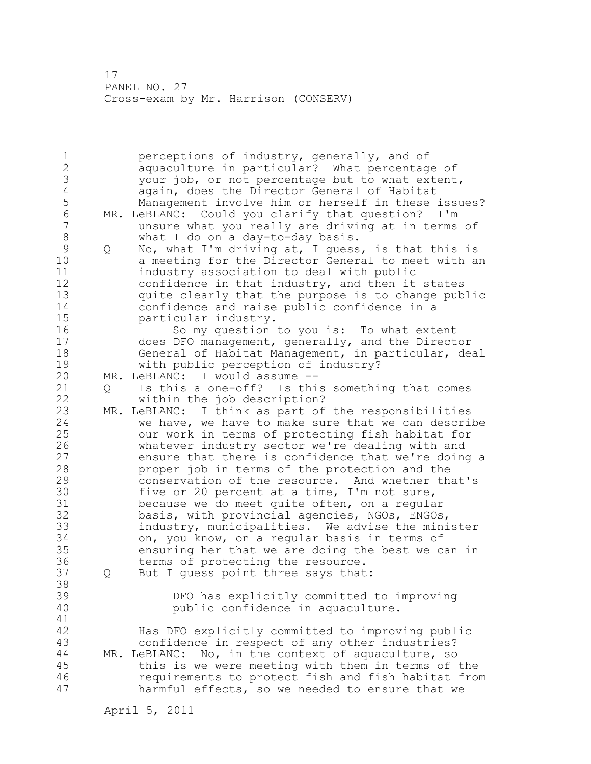1 perceptions of industry, generally, and of 2 aquaculture in particular? What percentage of 3 your job, or not percentage but to what extent,<br>4 again, does the Director General of Habitat 4 again, does the Director General of Habitat<br>5 Management involve him or herself in these : 5 Management involve him or herself in these issues?<br>6 MR. LeBLANC: Could you clarify that question? I'm 6 MR. LeBLANC: Could you clarify that question? I'm unsure what you really are driving at in terms of 8 what I do on a day-to-day basis.<br>9 0 No, what I'm driving at, I quess 9 Q No, what I'm driving at, I guess, is that this is<br>10 a meeting for the Director General to meet with a a meeting for the Director General to meet with an 11 industry association to deal with public 12 confidence in that industry, and then it states 13 quite clearly that the purpose is to change public 14 confidence and raise public confidence in a 15 particular industry. 16 So my question to you is: To what extent 17 does DFO management, generally, and the Director 18 General of Habitat Management, in particular, deal 19 with public perception of industry?<br>20 MR. LeBLANC: I would assume --MR. LeBLANC: I would assume --21 Q Is this a one-off? Is this something that comes 22 within the job description? 23 MR. LeBLANC: I think as part of the responsibilities 24 we have, we have to make sure that we can describe 25 our work in terms of protecting fish habitat for 26 whatever industry sector we're dealing with and<br>27 ensure that there is confidence that we're doine ensure that there is confidence that we're doing a 28 proper job in terms of the protection and the 29 conservation of the resource. And whether that's 30 five or 20 percent at a time, I'm not sure,<br>31 because we do meet quite often, on a regula because we do meet quite often, on a regular 32 basis, with provincial agencies, NGOs, ENGOs, 33 industry, municipalities. We advise the minister 34 on, you know, on a regular basis in terms of 35 ensuring her that we are doing the best we can in 36 terms of protecting the resource. 37 Q But I guess point three says that: 38 39 DFO has explicitly committed to improving 40 public confidence in aquaculture. 41<br>42 Has DFO explicitly committed to improving public 43 confidence in respect of any other industries? 44 MR. LeBLANC: No, in the context of aquaculture, so 45 this is we were meeting with them in terms of the 46 requirements to protect fish and fish habitat from 47 harmful effects, so we needed to ensure that we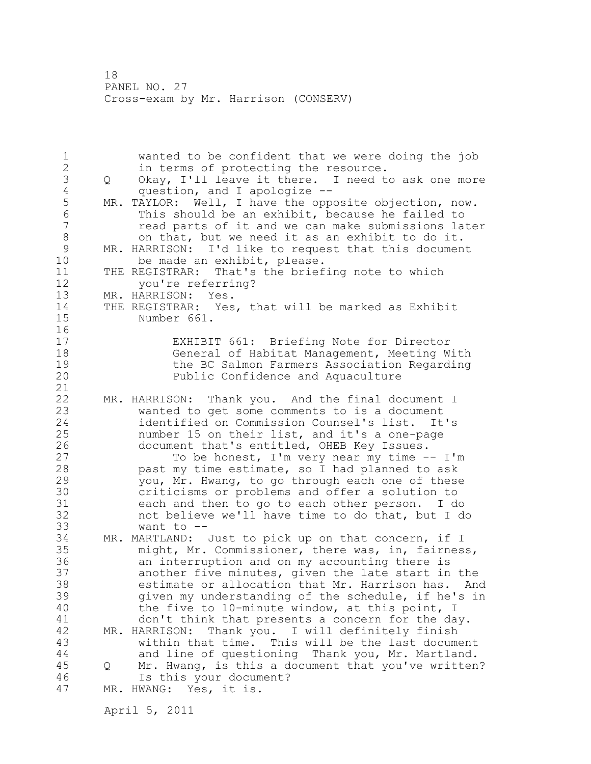1 wanted to be confident that we were doing the job 2 in terms of protecting the resource. 3 Q Okay, I'll leave it there. I need to ask one more<br>4 guestion, and I apologize --4 question, and I apologize --<br>5 MR. TAYLOR: Well, I have the opp 5 MR. TAYLOR: Well, I have the opposite objection, now.<br>6 This should be an exhibit, because he failed to 6 This should be an exhibit, because he failed to read parts of it and we can make submissions later 8 on that, but we need it as an exhibit to do it.<br>9 MR. HARRISON: I'd like to request that this documen 9 MR. HARRISON: I'd like to request that this document<br>10 be made an exhibit, please. be made an exhibit, please. 11 THE REGISTRAR: That's the briefing note to which 12 you're referring?<br>13 MR. HARRISON: Yes. 13 MR. HARRISON: 14 THE REGISTRAR: Yes, that will be marked as Exhibit 15 Number 661.  $\begin{array}{c} 16 \\ 17 \end{array}$ EXHIBIT 661: Briefing Note for Director 18 General of Habitat Management, Meeting With 19 the BC Salmon Farmers Association Regarding<br>20 Public Confidence and Aquaculture Public Confidence and Aquaculture 21 22 MR. HARRISON: Thank you. And the final document I 23 wanted to get some comments to is a document 24 identified on Commission Counsel's list. It's 25 number 15 on their list, and it's a one-page 26 document that's entitled, OHEB Key Issues.<br>27 To be honest, I'm very near my time -To be honest, I'm very near my time  $--$  I'm 28 past my time estimate, so I had planned to ask 29 you, Mr. Hwang, to go through each one of these 30 criticisms or problems and offer a solution to<br>31 cach and then to go to each other person. I do 31 each and then to go to each other person. I do<br>32 hot believe we'll have time to do that, but I d not believe we'll have time to do that, but I do 33 want to -- 34 MR. MARTLAND: Just to pick up on that concern, if I 35 might, Mr. Commissioner, there was, in, fairness, 36 an interruption and on my accounting there is 37 another five minutes, given the late start in the 38 estimate or allocation that Mr. Harrison has. And 39 given my understanding of the schedule, if he's in 40 the five to 10-minute window, at this point, I 41 don't think that presents a concern for the day.<br>42 MR. HARRISON: Thank you. I will definitely finish MR. HARRISON: Thank you. I will definitely finish 43 within that time. This will be the last document 44 and line of questioning Thank you, Mr. Martland. 45 Q Mr. Hwang, is this a document that you've written? 46 Is this your document? 47 MR. HWANG: Yes, it is.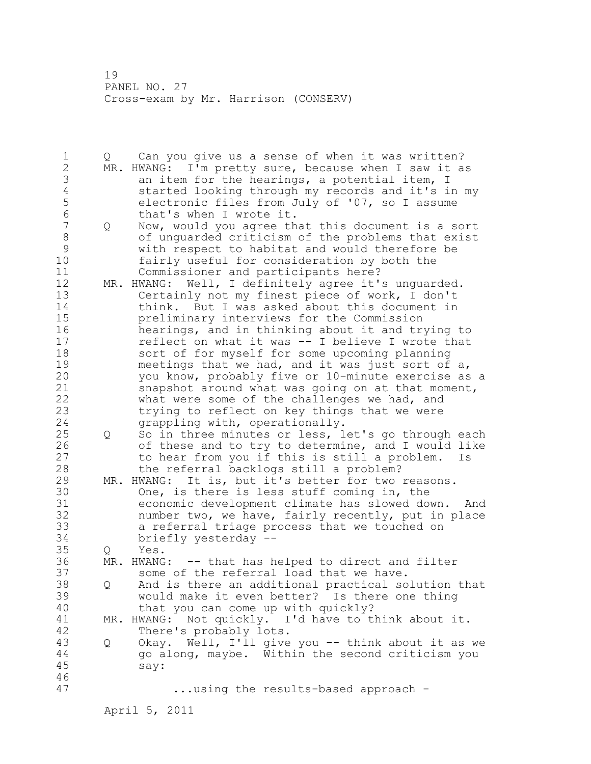1 Q Can you give us a sense of when it was written? 2 MR. HWANG: I'm pretty sure, because when I saw it as 3 an item for the hearings, a potential item, I<br>4 started looking through my records and it's i 4 started looking through my records and it's in my<br>5 electronic files from July of '07, so I assume 5 electronic files from July of '07, so I assume<br>6 that's when I wrote it. 6 that's when I wrote it.<br>7 0 Now, would you agree th 7 Q Now, would you agree that this document is a sort 8 of unguarded criticism of the problems that exist<br>9 with respect to habitat and would therefore be 9 with respect to habitat and would therefore be fairly useful for consideration by both the 11 Commissioner and participants here? 12 MR. HWANG: Well, I definitely agree it's unguarded. 13 Certainly not my finest piece of work, I don't 14 think. But I was asked about this document in 15 preliminary interviews for the Commission 16 hearings, and in thinking about it and trying to 17 reflect on what it was -- I believe I wrote that 18 sort of for myself for some upcoming planning 19 meetings that we had, and it was just sort of a,<br>20 vou know, probably five or 10-minute exercise as you know, probably five or 10-minute exercise as a 21 snapshot around what was going on at that moment, 22 what were some of the challenges we had, and 23 trying to reflect on key things that we were 24 grappling with, operationally. 25 Q So in three minutes or less, let's go through each 26 of these and to try to determine, and I would like<br>27 to hear from you if this is still a problem. Is to hear from you if this is still a problem. Is 28 the referral backlogs still a problem? 29 MR. HWANG: It is, but it's better for two reasons. 30 One, is there is less stuff coming in, the<br>31 economic development climate has slowed dow economic development climate has slowed down. And 32 number two, we have, fairly recently, put in place 33 a referral triage process that we touched on 34 briefly yesterday -- 35 Q Yes. 36 MR. HWANG: -- that has helped to direct and filter 37 some of the referral load that we have. 38 Q And is there an additional practical solution that 39 would make it even better? Is there one thing 40 that you can come up with quickly? 41 MR. HWANG: Not quickly. I'd have to think about it.<br>42 There's probably lots. There's probably lots. 43 Q Okay. Well, I'll give you -- think about it as we 44 go along, maybe. Within the second criticism you 45 say: 46 47 ...using the results-based approach -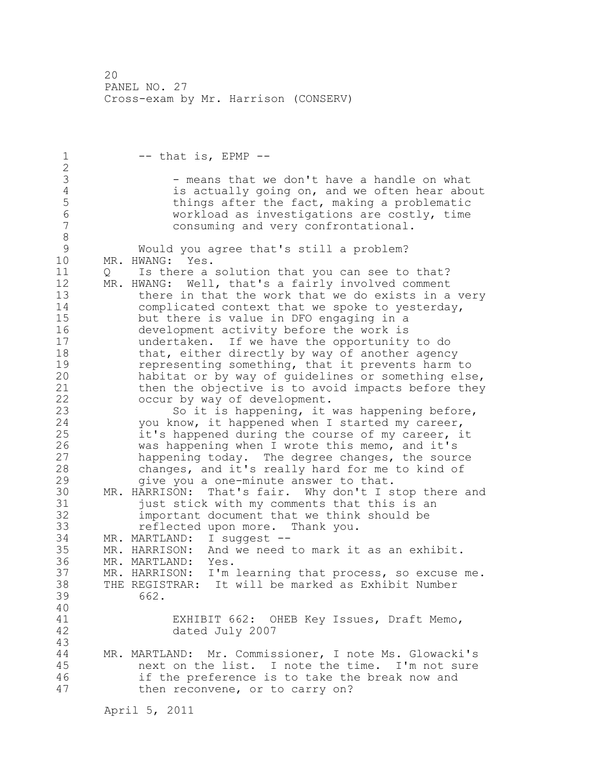$1 \qquad -$  that is, EPMP  $-$ 2 3 - means that we don't have a handle on what<br>4 is actually going on, and we often hear abo 4 is actually going on, and we often hear about<br>5 things after the fact, making a problematic 5 things after the fact, making a problematic<br>6 6 workload as investigations are costly, time 6 workload as investigations are costly, time consuming and very confrontational. 8<br>9 9 Would you agree that's still a problem?<br>10 MR. HWANG: Yes. MR. HWANG: Yes. 11 Q Is there a solution that you can see to that? 12 MR. HWANG: Well, that's a fairly involved comment 13 there in that the work that we do exists in a very 14 complicated context that we spoke to yesterday, 15 but there is value in DFO engaging in a 16 development activity before the work is 17 undertaken. If we have the opportunity to do 18 that, either directly by way of another agency 19 representing something, that it prevents harm to<br>20 habitat or by way of quidelines or something else habitat or by way of guidelines or something else, 21 then the objective is to avoid impacts before they 22 occur by way of development. 23 So it is happening, it was happening before, 24 you know, it happened when I started my career, 25 it's happened during the course of my career, it 26 was happening when I wrote this memo, and it's<br>27 happening today. The degree changes, the soure happening today. The degree changes, the source 28 changes, and it's really hard for me to kind of 29 give you a one-minute answer to that. 30 MR. HARRISON: That's fair. Why don't I stop there and<br>31 fust stick with my comments that this is an 31 just stick with my comments that this is an<br>32 important document that we think should be important document that we think should be 33 reflected upon more. Thank you. 34 MR. MARTLAND: I suggest -- 35 MR. HARRISON: And we need to mark it as an exhibit. 36 MR. MARTLAND: Yes. 37 MR. HARRISON: I'm learning that process, so excuse me. 38 THE REGISTRAR: It will be marked as Exhibit Number 39 662. 40 41 EXHIBIT 662: OHEB Key Issues, Draft Memo, dated July 2007 43 44 MR. MARTLAND: Mr. Commissioner, I note Ms. Glowacki's 45 next on the list. I note the time. I'm not sure 46 if the preference is to take the break now and 47 then reconvene, or to carry on?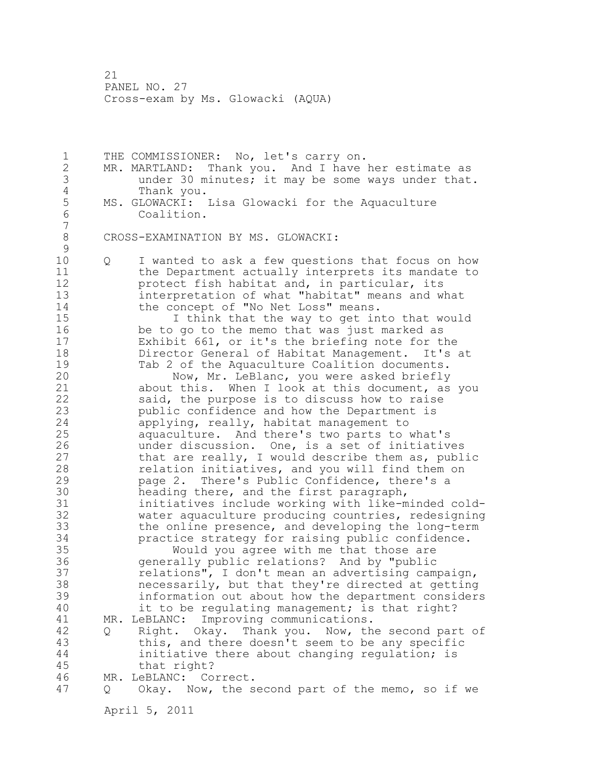1 THE COMMISSIONER: No, let's carry on. 2 MR. MARTLAND: Thank you. And I have her estimate as 3 under 30 minutes; it may be some ways under that. 4 Thank you.<br>5 MS. GLOWACKI: 5 MS. GLOWACKI: Lisa Glowacki for the Aquaculture Coalition. 7 8 CROSS-EXAMINATION BY MS. GLOWACKI:  $\begin{array}{c} 9 \\ 10 \end{array}$ 10 Q I wanted to ask a few questions that focus on how 11 the Department actually interprets its mandate to 12 protect fish habitat and, in particular, its 13 interpretation of what "habitat" means and what 14 the concept of "No Net Loss" means. 15 I think that the way to get into that would 16 be to go to the memo that was just marked as 17 Exhibit 661, or it's the briefing note for the 18 Director General of Habitat Management. It's at 19 Tab 2 of the Aquaculture Coalition documents.<br>20 Now, Mr. LeBlanc, you were asked briefly Now, Mr. LeBlanc, you were asked briefly 21 about this. When I look at this document, as you 22 said, the purpose is to discuss how to raise 23 public confidence and how the Department is 24 applying, really, habitat management to 25 aquaculture. And there's two parts to what's 26 under discussion. One, is a set of initiatives<br>27 that are really, I would describe them as, publ that are really, I would describe them as, public 28 relation initiatives, and you will find them on 29 page 2. There's Public Confidence, there's a 30 heading there, and the first paragraph,<br>31 initiatives include working with like-m 31 initiatives include working with like-minded cold-<br>32 water aquaculture producing countries, redesigning water aquaculture producing countries, redesigning 33 the online presence, and developing the long-term 34 practice strategy for raising public confidence. 35 Would you agree with me that those are 36 generally public relations? And by "public 37 relations", I don't mean an advertising campaign, 38 necessarily, but that they're directed at getting 39 information out about how the department considers 40 it to be regulating management; is that right? 41 MR. LeBLANC: Improving communications.<br>42 0 Right. Okay. Thank you. Now, th 42 Q Right. Okay. Thank you. Now, the second part of 43 this, and there doesn't seem to be any specific 44 initiative there about changing regulation; is 45 that right? 46 MR. LeBLANC: Correct. 47 Q Okay. Now, the second part of the memo, so if we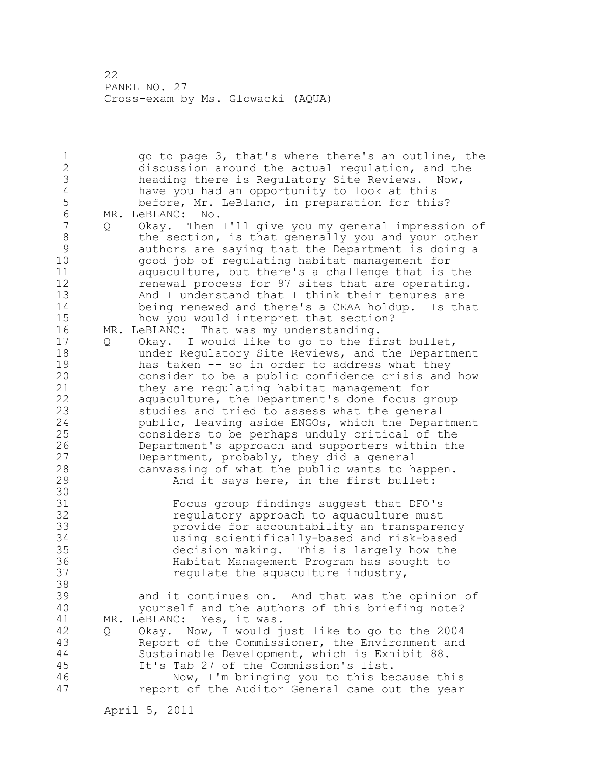1 go to page 3, that's where there's an outline, the 2 discussion around the actual regulation, and the 3 heading there is Regulatory Site Reviews. Now,<br>4 have you had an opportunity to look at this 4 have you had an opportunity to look at this<br>5 before, Mr. LeBlanc, in preparation for thi 5 before, Mr. LeBlanc, in preparation for this?<br>6 MR. LeBLANC: No. 6 MR. LeBLANC: No.<br>7 0 Okav. Then Q Okay. Then I'll give you my general impression of 8 the section, is that generally you and your other 9 authors are saying that the Department is doing a 10 good job of regulating habitat management for 11 aquaculture, but there's a challenge that is the 12 renewal process for 97 sites that are operating. 13 And I understand that I think their tenures are 14 being renewed and there's a CEAA holdup. Is that 15 how you would interpret that section? 16 MR. LeBLANC: That was my understanding. 17 Q Okay. I would like to go to the first bullet, 18 under Regulatory Site Reviews, and the Department 19 has taken -- so in order to address what they<br>20 consider to be a public confidence crisis and consider to be a public confidence crisis and how 21 they are regulating habitat management for 22 aquaculture, the Department's done focus group 23 studies and tried to assess what the general 24 public, leaving aside ENGOs, which the Department 25 considers to be perhaps unduly critical of the 26 Department's approach and supporters within the<br>27 Department, probably, they did a general Department, probably, they did a general 28 canvassing of what the public wants to happen. 29 And it says here, in the first bullet: 30<br>31 31 Focus group findings suggest that DFO's<br>32 Fequlatory approach to aquaculture must regulatory approach to aquaculture must 33 provide for accountability an transparency 34 using scientifically-based and risk-based 35 decision making. This is largely how the 36 Habitat Management Program has sought to 37 regulate the aquaculture industry, 38 39 and it continues on. And that was the opinion of 40 yourself and the authors of this briefing note? 41 MR. LeBLANC: Yes, it was.<br>42 0 Okav. Now, I would i 42 Q Okay. Now, I would just like to go to the 2004 43 Report of the Commissioner, the Environment and 44 Sustainable Development, which is Exhibit 88. 45 It's Tab 27 of the Commission's list. 46 Now, I'm bringing you to this because this 47 report of the Auditor General came out the year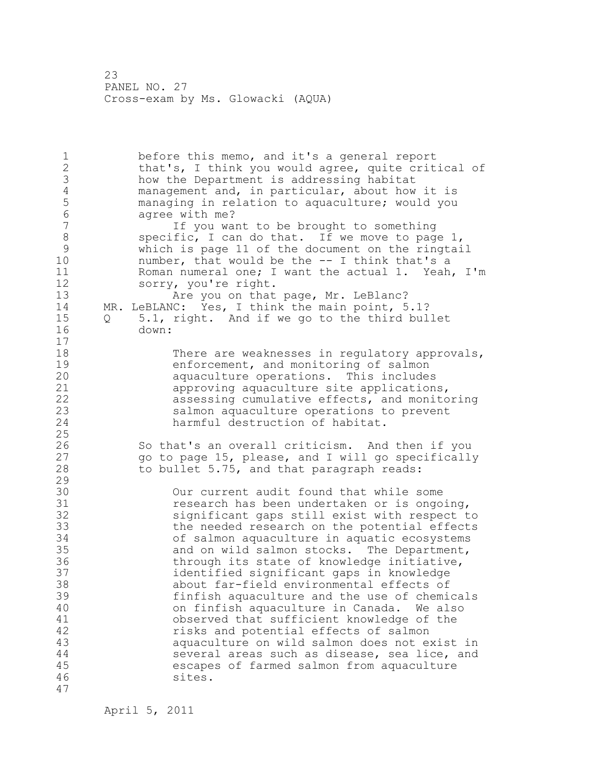1 before this memo, and it's a general report 2 that's, I think you would agree, quite critical of 3 how the Department is addressing habitat<br>4 management and, in particular, about how 4 management and, in particular, about how it is<br>5 managing in relation to aquaculture; would you 5 managing in relation to aquaculture; would you 6 agree with me?<br>7 1f you was If you want to be brought to something 8 specific, I can do that. If we move to page 1,<br>9 which is page 11 of the document on the ringtai 9 which is page 11 of the document on the ringtail<br>10 mumber, that would be the -- I think that's a number, that would be the  $-$  I think that's a 11 Roman numeral one; I want the actual 1. Yeah, I'm 12 sorry, you're right. 13 Are you on that page, Mr. LeBlanc? 14 MR. LeBLANC: Yes, I think the main point, 5.1? 15 Q 5.1, right. And if we go to the third bullet 16 down: 17 18 There are weaknesses in regulatory approvals, 19 enforcement, and monitoring of salmon<br>20 aquaculture operations. This includes aquaculture operations. This includes 21 approving aquaculture site applications, 22 assessing cumulative effects, and monitoring 23 salmon aquaculture operations to prevent 24 harmful destruction of habitat. 25 26 So that's an overall criticism. And then if you<br>27 oo to page 15, please, and I will go specifically 27 go to page 15, please, and I will go specifically<br>28 to bullet 5.75, and that paragraph reads: to bullet 5.75, and that paragraph reads: 29 30 Our current audit found that while some 31 care research has been undertaken or is ongoing,<br>32 care is significant gaps still exist with respect to significant gaps still exist with respect to 33 the needed research on the potential effects 34 of salmon aquaculture in aquatic ecosystems 35 and on wild salmon stocks. The Department, 36 through its state of knowledge initiative, 37 identified significant gaps in knowledge 38 about far-field environmental effects of 39 finfish aquaculture and the use of chemicals 40 on finfish aquaculture in Canada. We also 41 observed that sufficient knowledge of the<br>42 misks and potential effects of salmon risks and potential effects of salmon 43 aquaculture on wild salmon does not exist in 44 several areas such as disease, sea lice, and 45 escapes of farmed salmon from aquaculture 46 sites. 47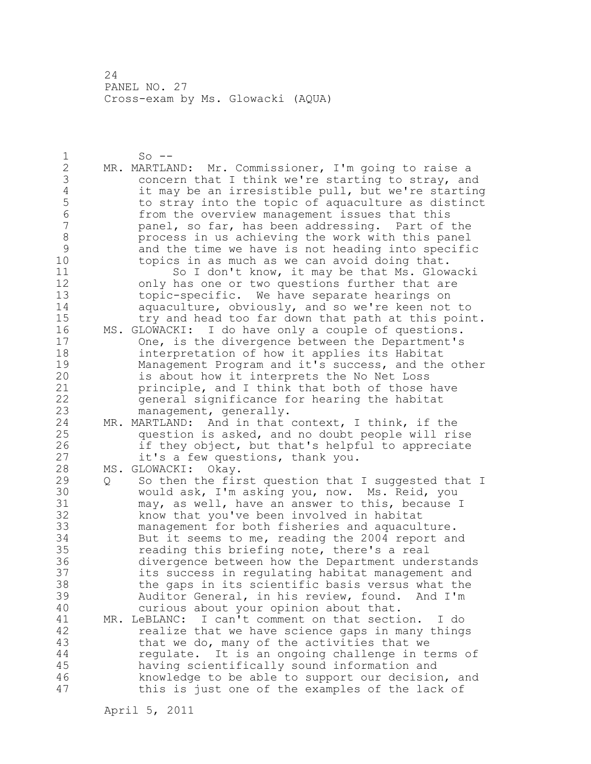1 So -- 2 MR. MARTLAND: Mr. Commissioner, I'm going to raise a 3 concern that I think we're starting to stray, and<br>4 it may be an irresistible pull, but we're starting 4 it may be an irresistible pull, but we're starting<br>5 to stray into the topic of aquaculture as distinct 5 to stray into the topic of aquaculture as distinct<br>6 from the overview management issues that this 6 from the overview management issues that this panel, so far, has been addressing. Part of the 8 process in us achieving the work with this panel<br>9 and the time we have is not heading into specifi 9 and the time we have is not heading into specific<br>10 topics in as much as we can avoid doing that. topics in as much as we can avoid doing that. 11 So I don't know, it may be that Ms. Glowacki 12 only has one or two questions further that are 13 topic-specific. We have separate hearings on 14 aquaculture, obviously, and so we're keen not to 15 try and head too far down that path at this point. 16 MS. GLOWACKI: I do have only a couple of questions. 17 One, is the divergence between the Department's 18 interpretation of how it applies its Habitat 19 Management Program and it's success, and the other<br>20 is about how it interprets the No Net Loss is about how it interprets the No Net Loss 21 principle, and I think that both of those have 22 general significance for hearing the habitat 23 management, generally. 24 MR. MARTLAND: And in that context, I think, if the 25 question is asked, and no doubt people will rise 26 if they object, but that's helpful to appreciate<br>27 it's a few questions, thank you. it's a few questions, thank you. 28 MS. GLOWACKI: Okay. 29 Q So then the first question that I suggested that I 30 would ask, I'm asking you, now. Ms. Reid, you<br>31 may, as well, have an answer to this, because 31 may, as well, have an answer to this, because I<br>32 have that you've been involved in habitat know that you've been involved in habitat 33 management for both fisheries and aquaculture. 34 But it seems to me, reading the 2004 report and 35 reading this briefing note, there's a real 36 divergence between how the Department understands 37 its success in regulating habitat management and 38 the gaps in its scientific basis versus what the 39 Auditor General, in his review, found. And I'm 40 curious about your opinion about that. 41 MR. LeBLANC: I can't comment on that section. I do<br>42 Tealize that we have science gaps in many thing. realize that we have science gaps in many things 43 that we do, many of the activities that we 44 regulate. It is an ongoing challenge in terms of 45 having scientifically sound information and 46 knowledge to be able to support our decision, and 47 this is just one of the examples of the lack of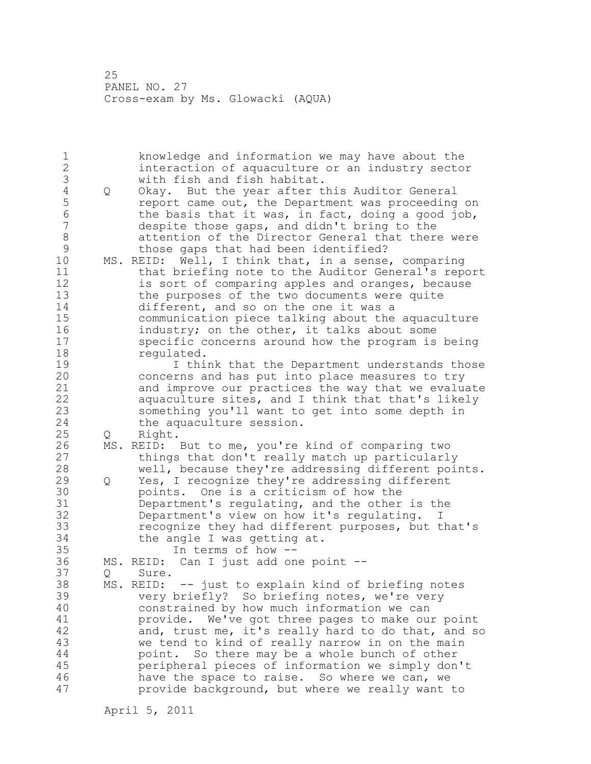1 knowledge and information we may have about the 2 interaction of aquaculture or an industry sector 3 with fish and fish habitat.<br>4 Q Okay. But the year after t 4 Q Okay. But the year after this Auditor General<br>5 ceport came out, the Department was proceeding 5 5 report came out, the Department was proceeding on<br>6 5 the basis that it was, in fact, doing a good job, 6 the basis that it was, in fact, doing a good job,<br>7 despite those gaps, and didn't bring to the despite those gaps, and didn't bring to the 8 attention of the Director General that there were 9 those gaps that had been identified?<br>10 MS. REID: Well, I think that, in a sense MS. REID: Well, I think that, in a sense, comparing 11 that briefing note to the Auditor General's report 12 is sort of comparing apples and oranges, because 13 the purposes of the two documents were quite 14 different, and so on the one it was a 15 communication piece talking about the aquaculture 16 industry; on the other, it talks about some 17 specific concerns around how the program is being 18 requlated. 19 19 I think that the Department understands those<br>20 concerns and has put into place measures to try concerns and has put into place measures to try 21 and improve our practices the way that we evaluate 22 aquaculture sites, and I think that that's likely 23 something you'll want to get into some depth in 24 the aquaculture session. 25 Q Right. 26 MS. REID: But to me, you're kind of comparing two<br>27 things that don't really match up particularl things that don't really match up particularly 28 well, because they're addressing different points. 29 Q Yes, I recognize they're addressing different 30 **points.** One is a criticism of how the 31 begans because the property people 31 begans the set of the set of  $\frac{31}{2}$  begans begans begans to  $\frac{31}{2}$  begans begans begans begans begans begans to  $\frac{31}{2}$  begans Department's regulating, and the other is the 32 Department's view on how it's regulating. I 33 recognize they had different purposes, but that's 34 the angle I was getting at. 35 In terms of how -- 36 MS. REID: Can I just add one point -- 37 Q Sure. 38 MS. REID: -- just to explain kind of briefing notes 39 very briefly? So briefing notes, we're very 40 constrained by how much information we can 41 provide. We've got three pages to make our point<br>42 and, trust me, it's really hard to do that, and s and, trust me, it's really hard to do that, and so 43 we tend to kind of really narrow in on the main 44 point. So there may be a whole bunch of other 45 peripheral pieces of information we simply don't 46 have the space to raise. So where we can, we 47 provide background, but where we really want to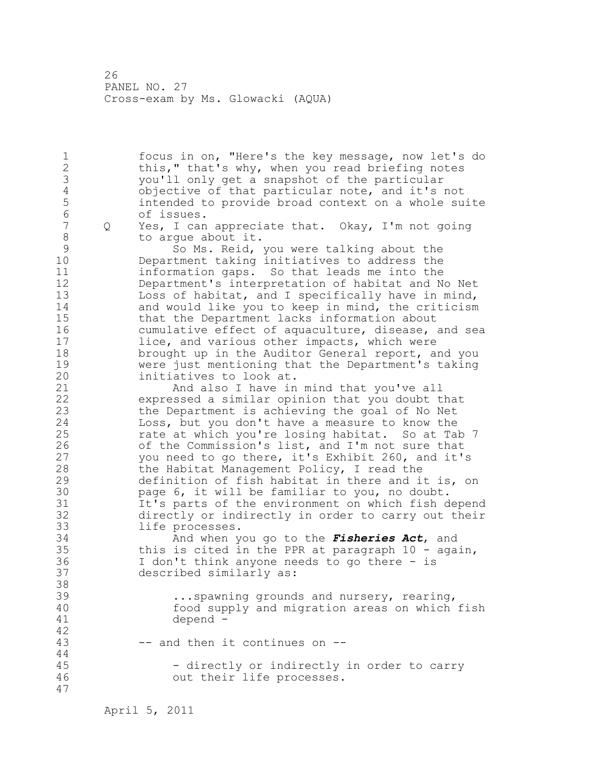1 focus in on, "Here's the key message, now let's do 2 this," that's why, when you read briefing notes 3 you'll only get a snapshot of the particular 4 objective of that particular note, and it's not<br>5 intended to provide broad context on a whole su 5 intended to provide broad context on a whole suite 6 of issues.<br>7 0 Yes, I can Q Yes, I can appreciate that. Okay, I'm not going 8 to argue about it. 9 So Ms. Reid, you were talking about the<br>10 Department taking initiatives to address the Department taking initiatives to address the 11 information gaps. So that leads me into the 12 Department's interpretation of habitat and No Net 13 Loss of habitat, and I specifically have in mind, 14 and would like you to keep in mind, the criticism 15 that the Department lacks information about 16 cumulative effect of aquaculture, disease, and sea 17 lice, and various other impacts, which were 18 brought up in the Auditor General report, and you 19 were just mentioning that the Department's taking<br>20 initiatives to look at. initiatives to look at. 21 And also I have in mind that you've all 22 expressed a similar opinion that you doubt that 23 the Department is achieving the goal of No Net 24 Loss, but you don't have a measure to know the 25 rate at which you're losing habitat. So at Tab 7 26 of the Commission's list, and I'm not sure that<br>27 vou need to go there, it's Exhibit 260, and it' you need to go there, it's Exhibit 260, and it's 28 the Habitat Management Policy, I read the 29 definition of fish habitat in there and it is, on 30 page 6, it will be familiar to you, no doubt.<br>31 This parts of the environment on which fish d It's parts of the environment on which fish depend 32 directly or indirectly in order to carry out their 33 life processes. 34 And when you go to the *Fisheries Act*, and 35 this is cited in the PPR at paragraph 10 - again, 36 I don't think anyone needs to go there - is 37 described similarly as: 38 39 ...spawning grounds and nursery, rearing, 40 food supply and migration areas on which fish 41 depend - 42 43 -- and then it continues on -- 44 45 - directly or indirectly in order to carry 46 out their life processes. 47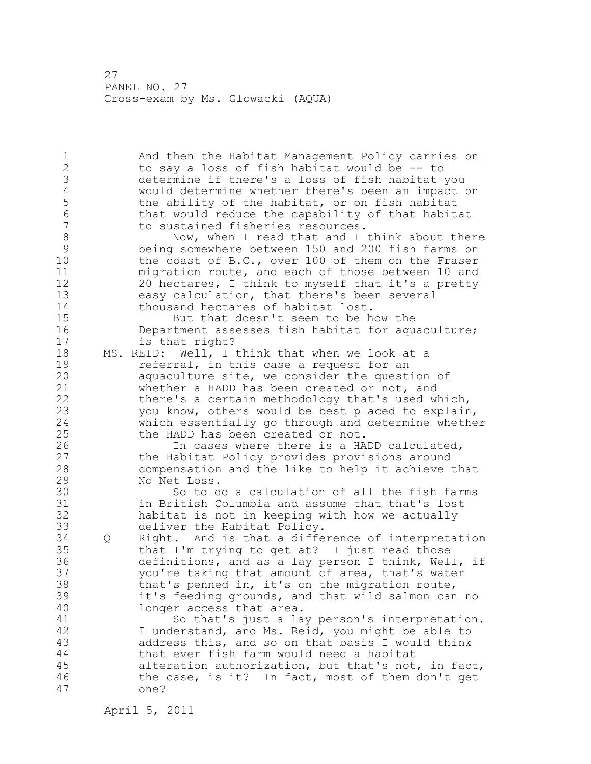1 And then the Habitat Management Policy carries on 2 to say a loss of fish habitat would be -- to 3 determine if there's a loss of fish habitat you<br>4 would determine whether there's been an impact 4 would determine whether there's been an impact on<br>5 the ability of the habitat, or on fish habitat 5 the ability of the habitat, or on fish habitat<br>6 that would reduce the capability of that habit. 6 that would reduce the capability of that habitat<br>7 to sustained fisheries resources. to sustained fisheries resources. 8 Now, when I read that and I think about there<br>9 being somewhere between 150 and 200 fish farms on 9 being somewhere between 150 and 200 fish farms on<br>10 the coast of B.C., over 100 of them on the Fraser the coast of B.C., over 100 of them on the Fraser 11 migration route, and each of those between 10 and 12 20 hectares, I think to myself that it's a pretty 13 easy calculation, that there's been several 14 thousand hectares of habitat lost. 15 But that doesn't seem to be how the 16 Department assesses fish habitat for aquaculture; 17 is that right? 18 MS. REID: Well, I think that when we look at a 19 19 referral, in this case a request for an<br>20 10 aquaculture site, we consider the quest. aquaculture site, we consider the question of 21 whether a HADD has been created or not, and 22 there's a certain methodology that's used which, 23 you know, others would be best placed to explain, 24 which essentially go through and determine whether 25 the HADD has been created or not. 26 In cases where there is a HADD calculated,<br>27 the Habitat Policy provides provisions around the Habitat Policy provides provisions around 28 compensation and the like to help it achieve that 29 No Net Loss. 30 So to do a calculation of all the fish farms<br>31 in British Columbia and assume that that's lost in British Columbia and assume that that's lost 32 habitat is not in keeping with how we actually 33 deliver the Habitat Policy. 34 Q Right. And is that a difference of interpretation 35 that I'm trying to get at? I just read those 36 definitions, and as a lay person I think, Well, if 37 you're taking that amount of area, that's water 38 that's penned in, it's on the migration route, 39 it's feeding grounds, and that wild salmon can no 40 longer access that area. 41 So that's just a lay person's interpretation.<br>42 I understand, and Ms. Reid, you might be able to I understand, and Ms. Reid, you might be able to 43 address this, and so on that basis I would think 44 that ever fish farm would need a habitat 45 alteration authorization, but that's not, in fact, 46 the case, is it? In fact, most of them don't get 47 one?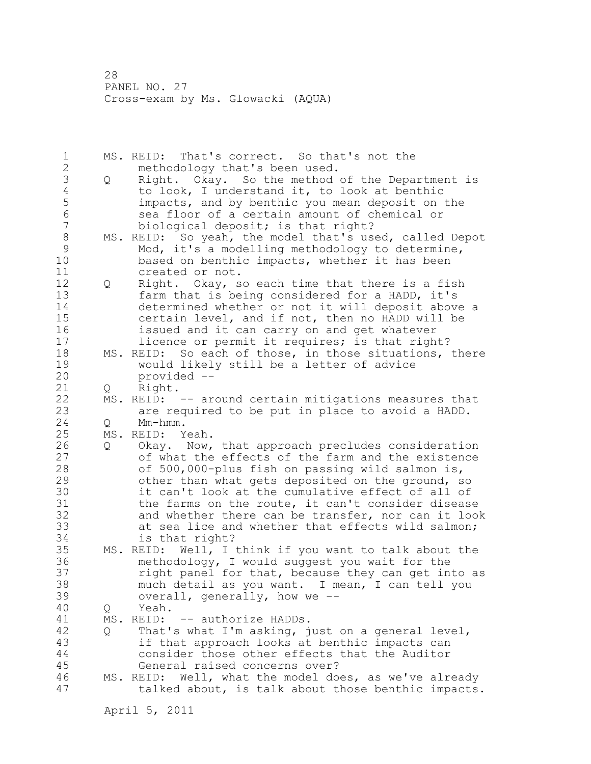1 MS. REID: That's correct. So that's not the 2 methodology that's been used. 3 Q Right. Okay. So the method of the Department is<br>4 to look, I understand it, to look at benthic 4 to look, I understand it, to look at benthic<br>5 impacts, and by benthic you mean deposit on 5 impacts, and by benthic you mean deposit on the 6 sea floor of a certain amount of chemical or<br>7 biological deposit: is that right? biological deposit; is that right? 8 MS. REID: So yeah, the model that's used, called Depot<br>9 Mod. it's a modelling methodology to determine. 9 Mod, it's a modelling methodology to determine,<br>10 based on benthic impacts, whether it has been based on benthic impacts, whether it has been 11 created or not. 12 Q Right. Okay, so each time that there is a fish 13 farm that is being considered for a HADD, it's 14 determined whether or not it will deposit above a 15 certain level, and if not, then no HADD will be 16 issued and it can carry on and get whatever 17 **licence or permit it requires; is that right?** 18 MS. REID: So each of those, in those situations, there 19 would likely still be a letter of advice<br>20 provided -provided --21 Q Right. 22 MS. REID: -- around certain mitigations measures that 23 are required to be put in place to avoid a HADD. 24 Q Mm-hmm. 25 MS. REID: Yeah. 26 Q Okay. Now, that approach precludes consideration<br>27 of what the effects of the farm and the existence of what the effects of the farm and the existence 28 of 500,000-plus fish on passing wild salmon is, 29 other than what gets deposited on the ground, so 30 it can't look at the cumulative effect of all of<br>31 the farms on the route, it can't consider diseas the farms on the route, it can't consider disease 32 and whether there can be transfer, nor can it look 33 at sea lice and whether that effects wild salmon; 34 is that right? 35 MS. REID: Well, I think if you want to talk about the 36 methodology, I would suggest you wait for the 37 right panel for that, because they can get into as 38 much detail as you want. I mean, I can tell you 39 overall, generally, how we -- 40 Q Yeah. 41 MS. REID: -- authorize HADDs.<br>42 0 That's what I'm asking, i 42 Q That's what I'm asking, just on a general level, 43 if that approach looks at benthic impacts can 44 consider those other effects that the Auditor 45 General raised concerns over? 46 MS. REID: Well, what the model does, as we've already 47 talked about, is talk about those benthic impacts.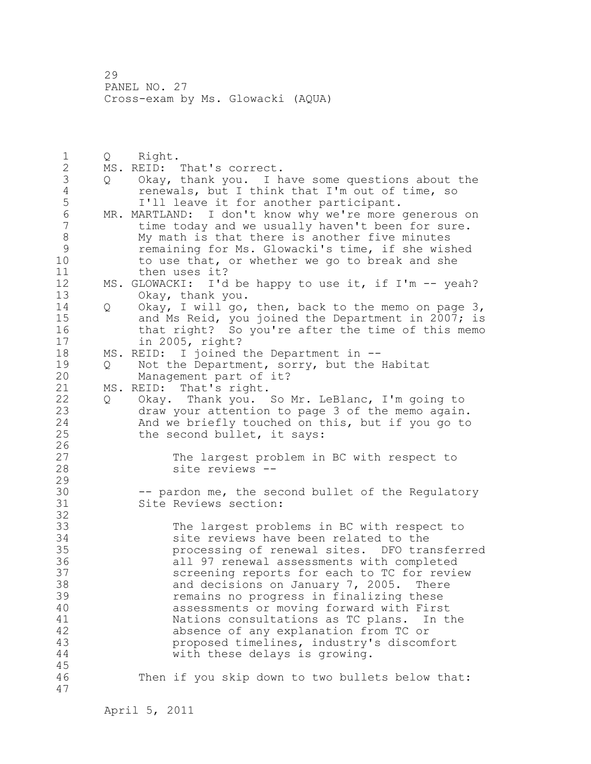1 Q Right.<br>2 MS. REID: 2 MS. REID: That's correct. 3 Q Okay, thank you. I have some questions about the 4 renewals, but I think that I'm out of time, so<br>5 I'll leave it for another participant. 5 I'll leave it for another participant.<br>6 MR. MARTLAND: I don't know why we're more 6 MR. MARTLAND: I don't know why we're more generous on<br>7 time today and we usually haven't been for sure. time today and we usually haven't been for sure. 8 My math is that there is another five minutes<br>9 memaining for Ms. Glowacki's time, if she wis 9 remaining for Ms. Glowacki's time, if she wished<br>10 to use that, or whether we go to break and she to use that, or whether we go to break and she 11 then uses it? 12 MS. GLOWACKI: I'd be happy to use it, if I'm -- yeah? 13 Okay, thank you. 14 Q Okay, I will go, then, back to the memo on page 3, 15 and Ms Reid, you joined the Department in 2007; is 16 that right? So you're after the time of this memo 17 in 2005, right? 18 MS. REID: I joined the Department in -- 19 Q Not the Department, sorry, but the Habitat<br>20 Management part of it? Management part of it? 21 MS. REID: That's right. 22 Q Okay. Thank you. So Mr. LeBlanc, I'm going to 23 draw your attention to page 3 of the memo again. 24 And we briefly touched on this, but if you go to 25 the second bullet, it says:  $\frac{26}{27}$ 27 The largest problem in BC with respect to<br>28 Site reviews -site reviews --29 30 -- pardon me, the second bullet of the Regulatory<br>31 Site Reviews section: Site Reviews section: 32 33 The largest problems in BC with respect to 34 site reviews have been related to the 35 processing of renewal sites. DFO transferred 36 all 97 renewal assessments with completed 37 screening reports for each to TC for review 38 and decisions on January 7, 2005. There 39 remains no progress in finalizing these 40 assessments or moving forward with First 41 1 Nations consultations as TC plans. In the 42 absence of any explanation from TC or 43 proposed timelines, industry's discomfort 44 with these delays is growing. 45 46 Then if you skip down to two bullets below that: 47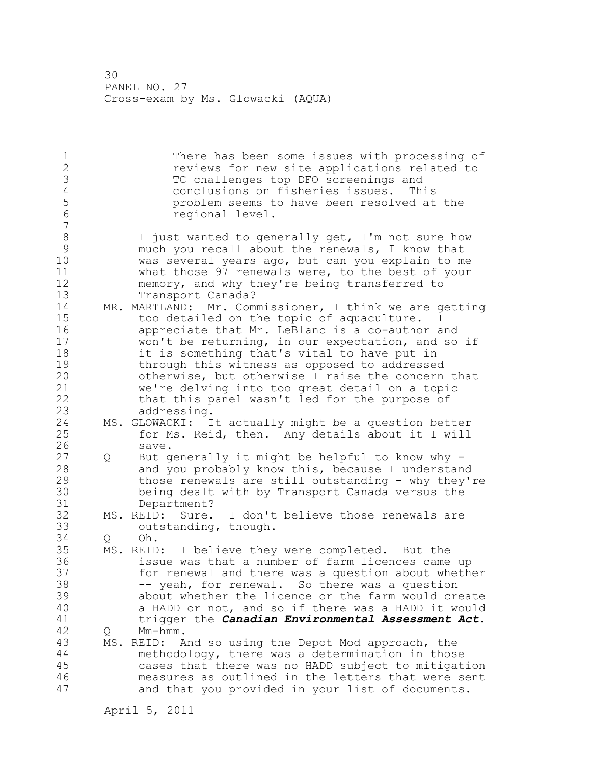30 PANEL NO. 27 Cross-exam by Ms. Glowacki (AQUA)

1 There has been some issues with processing of<br>2 There is the site applications related to reviews for new site applications related to 3 TC challenges top DFO screenings and<br>4 Conclusions on fisheries issues. Th 4 conclusions on fisheries issues. This 5 problem seems to have been resolved at the 6 regional level. 7 8 I just wanted to generally get, I'm not sure how<br>9 much you recall about the renewals, I know that 9 much you recall about the renewals, I know that<br>10 was several vears ago, but can you explain to me was several years ago, but can you explain to me 11 what those 97 renewals were, to the best of your 12 memory, and why they're being transferred to 13 Transport Canada? 14 MR. MARTLAND: Mr. Commissioner, I think we are getting 15 too detailed on the topic of aquaculture. I 16 appreciate that Mr. LeBlanc is a co-author and 17 won't be returning, in our expectation, and so if 18 it is something that's vital to have put in 19 through this witness as opposed to addressed<br>20 otherwise, but otherwise I raise the concern otherwise, but otherwise I raise the concern that 21 we're delving into too great detail on a topic 22 that this panel wasn't led for the purpose of 23 addressing. 24 MS. GLOWACKI: It actually might be a question better 25 for Ms. Reid, then. Any details about it I will 26 save.<br>27 Q But q 27 Q But generally it might be helpful to know why - 28 and you probably know this, because I understand 29 those renewals are still outstanding - why they're 30 being dealt with by Transport Canada versus the 31 Department?<br>32 MS. REID: Sure. Sure. I don't believe those renewals are 33 outstanding, though. 34 Q Oh. 35 MS. REID: I believe they were completed. But the 36 issue was that a number of farm licences came up 37 for renewal and there was a question about whether 38 -- yeah, for renewal. So there was a question 39 about whether the licence or the farm would create 40 a HADD or not, and so if there was a HADD it would 41 trigger the *Canadian Environmental Assessment Act*. Q Mm-hmm. 43 MS. REID: And so using the Depot Mod approach, the 44 methodology, there was a determination in those 45 cases that there was no HADD subject to mitigation 46 measures as outlined in the letters that were sent 47 and that you provided in your list of documents.

April 5, 2011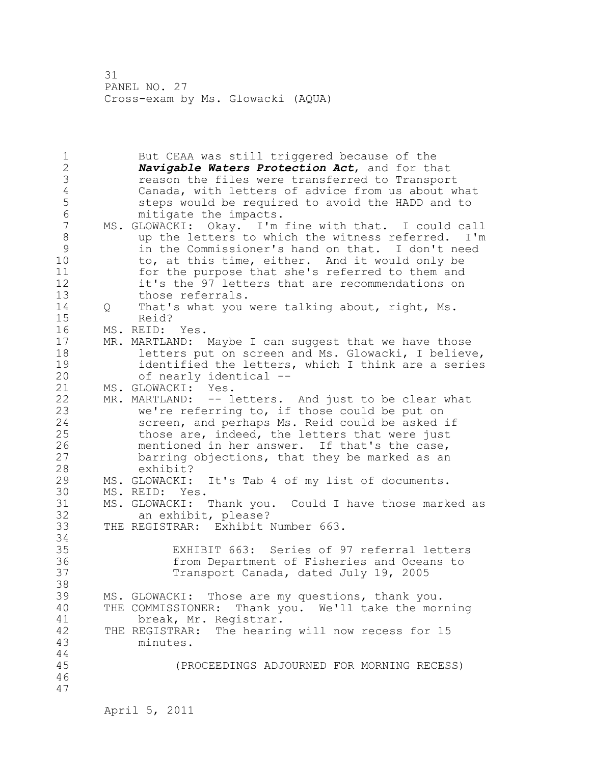31 PANEL NO. 27 Cross-exam by Ms. Glowacki (AQUA)

1 But CEAA was still triggered because of the 2 *Navigable Waters Protection Act*, and for that 3 3 reason the files were transferred to Transport<br>4 Canada, with letters of advice from us about w 4 Canada, with letters of advice from us about what 5 5 steps would be required to avoid the HADD and to 5 mitigate the impacts. 6 mitigate the impacts.<br>7 MS. GLOWACKI: Okav. I'm MS. GLOWACKI: Okay. I'm fine with that. I could call 8 up the letters to which the witness referred. I'm 9 in the Commissioner's hand on that. I don't need to, at this time, either. And it would only be 11 for the purpose that she's referred to them and 12 it's the 97 letters that are recommendations on 13 those referrals. 14 Q That's what you were talking about, right, Ms. 15 Reid? 16 MS. REID: Yes. 17 MR. MARTLAND: Maybe I can suggest that we have those 18 letters put on screen and Ms. Glowacki, I believe, 19 identified the letters, which I think are a series<br>20 of nearly identical -of nearly identical --21 MS. GLOWACKI: Yes. 22 MR. MARTLAND: -- letters. And just to be clear what 23 we're referring to, if those could be put on 24 screen, and perhaps Ms. Reid could be asked if 25 those are, indeed, the letters that were just 26 mentioned in her answer. If that's the case,<br>27 barring objections, that they be marked as an barring objections, that they be marked as an 28 exhibit? 29 MS. GLOWACKI: It's Tab 4 of my list of documents. 30 MS. REID: Yes.<br>31 MS. GLOWACKI: Thank you. MS. GLOWACKI: Thank you. Could I have those marked as 32 an exhibit, please? 33 THE REGISTRAR: Exhibit Number 663. 34 35 EXHIBIT 663: Series of 97 referral letters 36 from Department of Fisheries and Oceans to 37 Transport Canada, dated July 19, 2005 38 39 MS. GLOWACKI: Those are my questions, thank you. 40 THE COMMISSIONER: Thank you. We'll take the morning 41 break, Mr. Registrar.<br>42 THE REGISTRAR: The hearin THE REGISTRAR: The hearing will now recess for 15 43 minutes. 44 45 (PROCEEDINGS ADJOURNED FOR MORNING RECESS) 46 47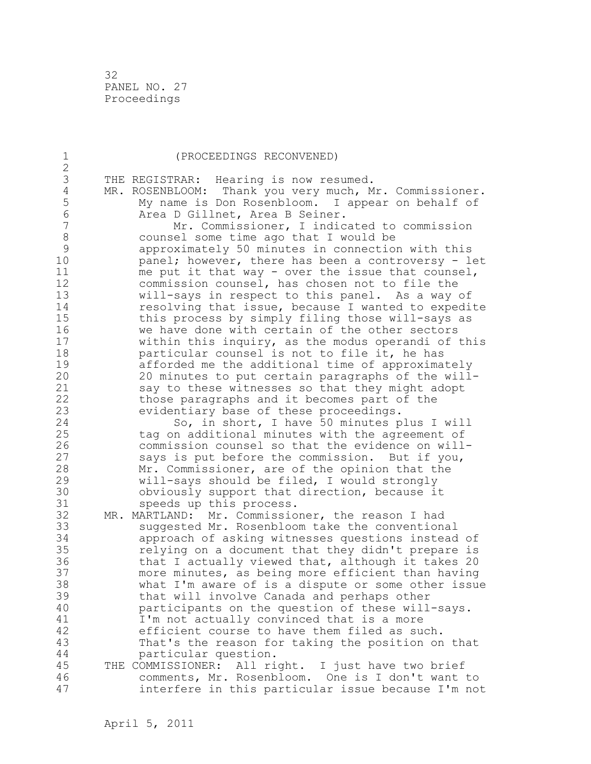32 PANEL NO. 27 Proceedings

| 1                   | (PROCEEDINGS RECONVENED)                                                                            |
|---------------------|-----------------------------------------------------------------------------------------------------|
| $\overline{2}$<br>3 |                                                                                                     |
| $\sqrt{4}$          | THE REGISTRAR: Hearing is now resumed.<br>MR. ROSENBLOOM: Thank you very much, Mr. Commissioner.    |
| 5                   | My name is Don Rosenbloom. I appear on behalf of                                                    |
| 6                   |                                                                                                     |
| 7                   | Area D Gillnet, Area B Seiner.                                                                      |
| 8                   | Mr. Commissioner, I indicated to commission                                                         |
| 9                   | counsel some time ago that I would be                                                               |
| 10                  | approximately 50 minutes in connection with this                                                    |
| 11                  | panel; however, there has been a controversy - let                                                  |
| 12                  | me put it that way - over the issue that counsel,<br>commission counsel, has chosen not to file the |
| 13                  | will-says in respect to this panel. As a way of                                                     |
| 14                  | resolving that issue, because I wanted to expedite                                                  |
| 15                  | this process by simply filing those will-says as                                                    |
| 16                  | we have done with certain of the other sectors                                                      |
| 17                  | within this inquiry, as the modus operandi of this                                                  |
| 18                  | particular counsel is not to file it, he has                                                        |
| 19                  | afforded me the additional time of approximately                                                    |
| 20                  | 20 minutes to put certain paragraphs of the will-                                                   |
| 21                  | say to these witnesses so that they might adopt                                                     |
| 22                  | those paragraphs and it becomes part of the                                                         |
| 23                  | evidentiary base of these proceedings.                                                              |
| 24                  | So, in short, I have 50 minutes plus I will                                                         |
| 25                  | tag on additional minutes with the agreement of                                                     |
| 26                  | commission counsel so that the evidence on will-                                                    |
| 27                  | says is put before the commission. But if you,                                                      |
| 28                  | Mr. Commissioner, are of the opinion that the                                                       |
| 29                  | will-says should be filed, I would strongly                                                         |
| 30                  | obviously support that direction, because it                                                        |
| 31                  | speeds up this process.                                                                             |
| 32                  | MR. MARTLAND:<br>Mr. Commissioner, the reason I had                                                 |
| 33                  | suggested Mr. Rosenbloom take the conventional                                                      |
| 34                  | approach of asking witnesses questions instead of                                                   |
| 35                  | relying on a document that they didn't prepare is                                                   |
| 36                  | that I actually viewed that, although it takes 20                                                   |
| 37                  | more minutes, as being more efficient than having                                                   |
| 38                  | what I'm aware of is a dispute or some other issue                                                  |
| 39                  | that will involve Canada and perhaps other                                                          |
| 40                  | participants on the question of these will-says.                                                    |
| 41                  | I'm not actually convinced that is a more                                                           |
| 42                  | efficient course to have them filed as such.                                                        |
| 43<br>44            | That's the reason for taking the position on that                                                   |
| 45                  | particular question.<br>THE COMMISSIONER: All right. I just have two brief                          |
| 46                  | comments, Mr. Rosenbloom. One is I don't want to                                                    |
| 47                  | interfere in this particular issue because I'm not                                                  |
|                     |                                                                                                     |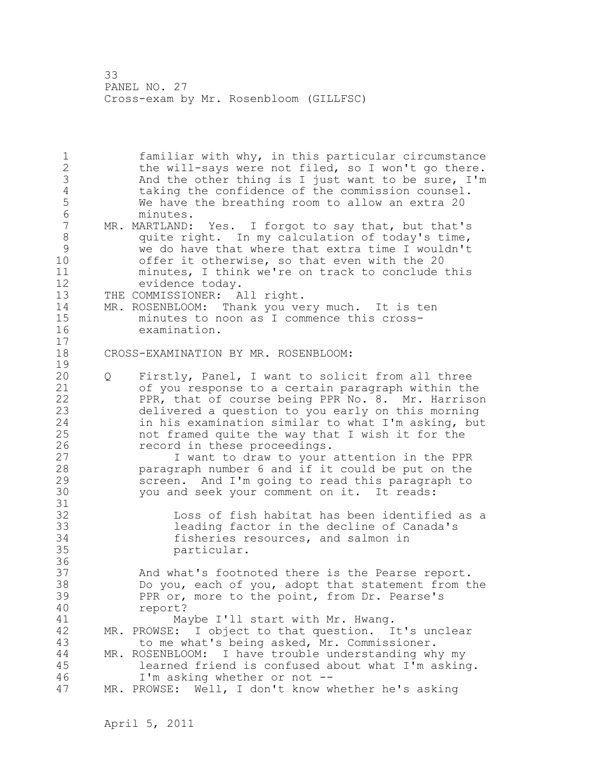1 familiar with why, in this particular circumstance 2 the will-says were not filed, so I won't go there. 3 And the other thing is I just want to be sure, I'm<br>4 taking the confidence of the commission counsel. 4 taking the confidence of the commission counsel.<br>5 We have the breathing room to allow an extra 20 5 We have the breathing room to allow an extra 20<br>6 minutes. 6 minutes.<br>7 MR. MARTLAND: MR. MARTLAND: Yes. I forgot to say that, but that's 8 quite right. In my calculation of today's time, 9 we do have that where that extra time I wouldn't offer it otherwise, so that even with the 20 11 minutes, I think we're on track to conclude this 12 evidence today. 13 THE COMMISSIONER: All right. 14 MR. ROSENBLOOM: Thank you very much. It is ten 15 minutes to noon as I commence this cross-16 examination. 17 18 CROSS-EXAMINATION BY MR. ROSENBLOOM:  $\frac{19}{20}$ 20 Q Firstly, Panel, I want to solicit from all three 21 of you response to a certain paragraph within the 22 PPR, that of course being PPR No. 8. Mr. Harrison 23 delivered a question to you early on this morning 24 in his examination similar to what I'm asking, but 25 not framed quite the way that I wish it for the 26 record in these proceedings.<br>27 1 want to draw to your I want to draw to your attention in the PPR 28 paragraph number 6 and if it could be put on the 29 screen. And I'm going to read this paragraph to 30 you and seek your comment on it. It reads: 31<br>32 Loss of fish habitat has been identified as a 33 leading factor in the decline of Canada's 34 fisheries resources, and salmon in 35 particular. 36 37 And what's footnoted there is the Pearse report. 38 Do you, each of you, adopt that statement from the 39 PPR or, more to the point, from Dr. Pearse's 40 report? 41 Maybe I'll start with Mr. Hwang.<br>42 MR. PROWSE: I object to that question. I MR. PROWSE: I object to that question. It's unclear 43 to me what's being asked, Mr. Commissioner. 44 MR. ROSENBLOOM: I have trouble understanding why my 45 learned friend is confused about what I'm asking. 46 I'm asking whether or not -- 47 MR. PROWSE: Well, I don't know whether he's asking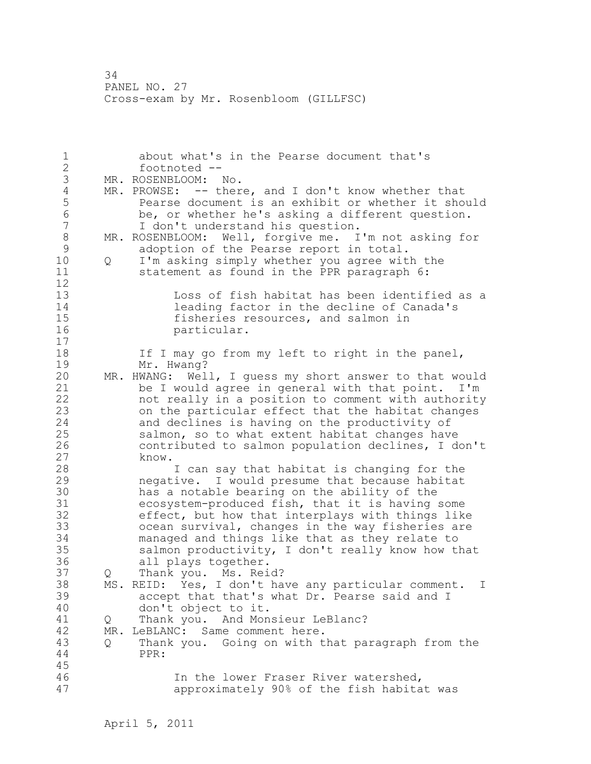1 about what's in the Pearse document that's 2 footnoted -- 3 MR. ROSENBLOOM: No.<br>4 MR. PROWSE: -- ther 4 MR. PROWSE: -- there, and I don't know whether that<br>5 Pearse document is an exhibit or whether it show 5 Bearse document is an exhibit or whether it should<br>6 be, or whether he's asking a different question. 6 be, or whether he's asking a different question. I don't understand his question. 8 MR. ROSENBLOOM: Well, forgive me. I'm not asking for<br>9 adoption of the Pearse report in total. 9 adoption of the Pearse report in total.<br>10 0 I'm asking simply whether you agree wit 10 Q I'm asking simply whether you agree with the 11 statement as found in the PPR paragraph 6: 12 13 Loss of fish habitat has been identified as a 14 14 leading factor in the decline of Canada's<br>15 15 fisheries resources, and salmon in 15 fisheries resources, and salmon in<br>16 fishericular. particular. 17 18 If I may go from my left to right in the panel, 19 Mr. Hwang?<br>20 MR. HWANG: Wel. MR. HWANG: Well, I guess my short answer to that would 21 be I would agree in general with that point. I'm 22 not really in a position to comment with authority 23 on the particular effect that the habitat changes 24 and declines is having on the productivity of 25 salmon, so to what extent habitat changes have 26 contributed to salmon population declines, I don't 27 know. I can say that habitat is changing for the 29 negative. I would presume that because habitat 30 has a notable bearing on the ability of the 31 ecosystem-produced fish, that it is having some<br>32 effect, but how that interplays with things like effect, but how that interplays with things like 33 ocean survival, changes in the way fisheries are 34 managed and things like that as they relate to 35 salmon productivity, I don't really know how that 36 all plays together. 37 Q Thank you. Ms. Reid? 38 MS. REID: Yes, I don't have any particular comment. I 39 accept that that's what Dr. Pearse said and I 40 don't object to it. 41 Q Thank you. And Monsieur LeBlanc?<br>42 MR. LeBLANC: Same comment here. MR. LeBLANC: Same comment here. 43 Q Thank you. Going on with that paragraph from the 44 PPR: 45 46 In the lower Fraser River watershed, 47 approximately 90% of the fish habitat was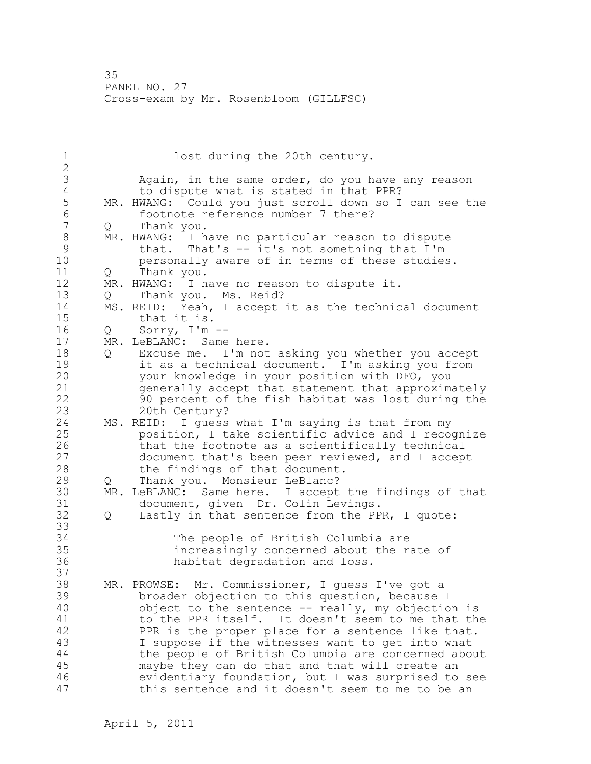1 lost during the 20th century. 2 3 Again, in the same order, do you have any reason<br>4 to dispute what is stated in that PPR? 4 to dispute what is stated in that PPR?<br>5 MR. HWANG: Could you just scroll down so I 5 MR. HWANG: Could you just scroll down so I can see the<br>6 footnote reference number 7 there? 6 footnote reference number 7 there?<br>7 0 Thank you. Q Thank you. 8 MR. HWANG: I have no particular reason to dispute<br>9 that. That's -- it's not something that I'm 9 that. That's -- it's not something that I'm personally aware of in terms of these studies. 11 Q Thank you. 12 MR. HWANG: I have no reason to dispute it. 13 Q Thank you. Ms. Reid? 14 MS. REID: Yeah, I accept it as the technical document 15 that it is. 16 Q Sorry, I'm -- 17 MR. LeBLANC: Same here. 18 Q Excuse me. I'm not asking you whether you accept 19 it as a technical document. I'm asking you from<br>20 vour knowledge in your position with DFO, you your knowledge in your position with DFO, you 21 generally accept that statement that approximately 22 90 percent of the fish habitat was lost during the 23 20th Century? 24 MS. REID: I guess what I'm saying is that from my 25 position, I take scientific advice and I recognize 26 that the footnote as a scientifically technical<br>27 document that's been peer reviewed, and I accep document that's been peer reviewed, and I accept 28 the findings of that document. 29 Q Thank you. Monsieur LeBlanc? 30 MR. LeBLANC: Same here. I accept the findings of that 31 document, given Dr. Colin Levings.<br>32 0 Lastly in that sentence from the PP 32 Q Lastly in that sentence from the PPR, I quote: 33 34 The people of British Columbia are 35 increasingly concerned about the rate of 36 habitat degradation and loss. 37 38 MR. PROWSE: Mr. Commissioner, I guess I've got a 39 broader objection to this question, because I 40 object to the sentence -- really, my objection is 41 to the PPR itself. It doesn't seem to me that the<br>42 PPR is the proper place for a sentence like that. PPR is the proper place for a sentence like that. 43 I suppose if the witnesses want to get into what 44 the people of British Columbia are concerned about 45 maybe they can do that and that will create an 46 evidentiary foundation, but I was surprised to see 47 this sentence and it doesn't seem to me to be an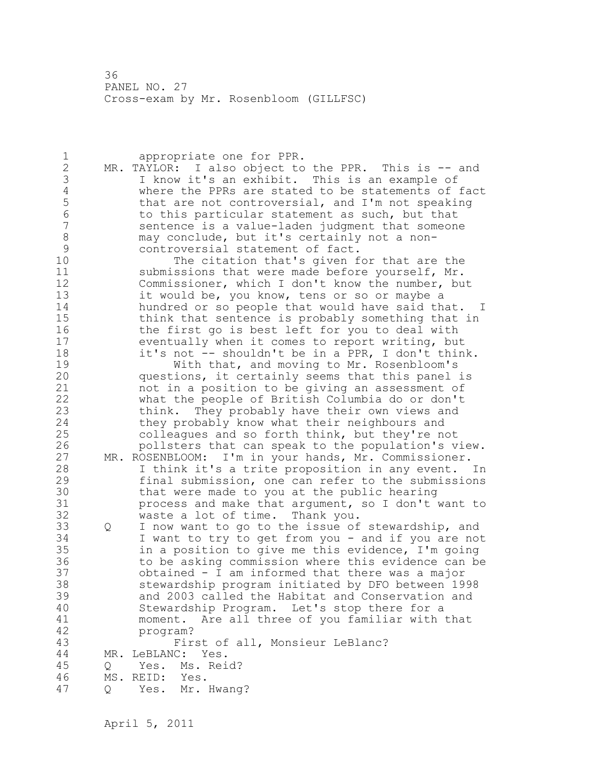| $\mathbf 1$    |     | appropriate one for PPR.                             |
|----------------|-----|------------------------------------------------------|
| $\mathbf{2}$   |     | MR. TAYLOR: I also object to the PPR. This is -- and |
| 3              |     | I know it's an exhibit. This is an example of        |
| $\sqrt{4}$     |     | where the PPRs are stated to be statements of fact   |
| 5              |     | that are not controversial, and I'm not speaking     |
| $\sqrt{6}$     |     | to this particular statement as such, but that       |
| $\overline{7}$ |     | sentence is a value-laden judgment that someone      |
| $\,8\,$        |     | may conclude, but it's certainly not a non-          |
| 9              |     | controversial statement of fact.                     |
| 10             |     | The citation that's given for that are the           |
| 11             |     |                                                      |
| 12             |     | submissions that were made before yourself, Mr.      |
|                |     | Commissioner, which I don't know the number, but     |
| 13             |     | it would be, you know, tens or so or maybe a         |
| 14             |     | hundred or so people that would have said that. I    |
| 15             |     | think that sentence is probably something that in    |
| 16             |     | the first go is best left for you to deal with       |
| 17             |     | eventually when it comes to report writing, but      |
| 18             |     | it's not -- shouldn't be in a PPR, I don't think.    |
| 19             |     | With that, and moving to Mr. Rosenbloom's            |
| 20             |     | questions, it certainly seems that this panel is     |
| 21             |     | not in a position to be giving an assessment of      |
| 22             |     | what the people of British Columbia do or don't      |
| 23             |     | think. They probably have their own views and        |
| 24             |     | they probably know what their neighbours and         |
| 25             |     | colleagues and so forth think, but they're not       |
| 26             |     | pollsters that can speak to the population's view.   |
| 27             |     | MR. ROSENBLOOM: I'm in your hands, Mr. Commissioner. |
| 28             |     | I think it's a trite proposition in any event. In    |
| 29             |     | final submission, one can refer to the submissions   |
| 30             |     | that were made to you at the public hearing          |
| 31             |     | process and make that argument, so I don't want to   |
| 32             |     | waste a lot of time. Thank you.                      |
| 33             | Q   | I now want to go to the issue of stewardship, and    |
| 34             |     | I want to try to get from you - and if you are not   |
| 35             |     | in a position to give me this evidence, I'm going    |
| 36             |     | to be asking commission where this evidence can be   |
| 37             |     | obtained - I am informed that there was a major      |
| 38             |     | stewardship program initiated by DFO between 1998    |
| 39             |     | and 2003 called the Habitat and Conservation and     |
| 40             |     | Stewardship Program. Let's stop there for a          |
| 41             |     |                                                      |
|                |     | moment. Are all three of you familiar with that      |
| 42             |     | program?                                             |
| 43             |     | First of all, Monsieur LeBlanc?                      |
| 44             | MR. | LeBLANC:<br>Yes.                                     |
| 45             | Q   | Yes. Ms. Reid?                                       |
| 46             |     | MS. REID:<br>Yes.                                    |
| 47             | Q   | Mr. Hwang?<br>Yes.                                   |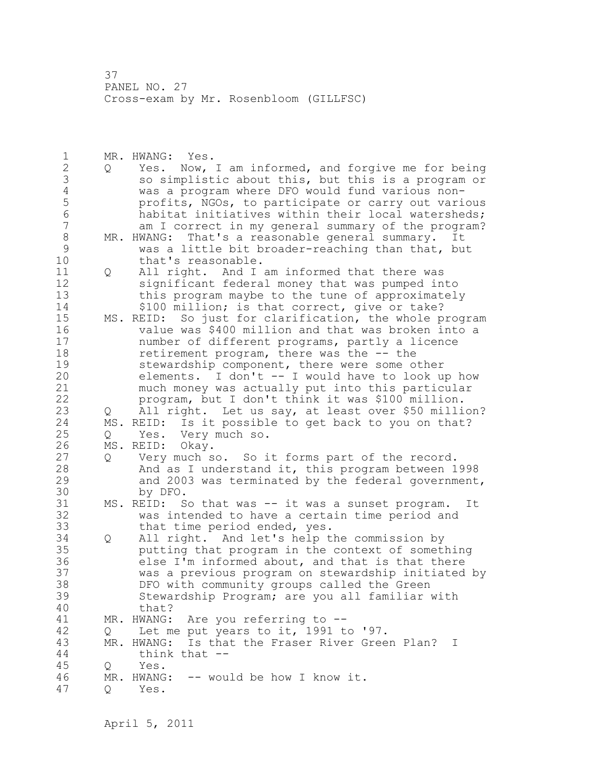1 MR. HWANG: Yes. 2 Q Yes. Now, I am informed, and forgive me for being 3 so simplistic about this, but this is a program or<br>4 was a program where DFO would fund various non-4 was a program where DFO would fund various non-5 profits, NGOs, to participate or carry out various<br>6 habitat initiatives within their local watersheds: 6 habitat initiatives within their local watersheds;<br>7 am I correct in my general summary of the program? am I correct in my general summary of the program? 8 MR. HWANG: That's a reasonable general summary. It<br>9 Was a little bit broader-reaching than that, bu 9 was a little bit broader-reaching than that, but<br>10 that's reasonable. that's reasonable. 11 Q All right. And I am informed that there was 12 significant federal money that was pumped into 13 this program maybe to the tune of approximately 14 \$100 million; is that correct, give or take? 15 MS. REID: So just for clarification, the whole program 16 value was \$400 million and that was broken into a 17 number of different programs, partly a licence 18 retirement program, there was the -- the 19 stewardship component, there were some other<br>20 elements. I don't -- I would have to look up elements. I don't  $--$  I would have to look up how 21 much money was actually put into this particular 22 program, but I don't think it was \$100 million. 23 Q All right. Let us say, at least over \$50 million? 24 MS. REID: Is it possible to get back to you on that? 25 Q Yes. Very much so. 26 MS. REID: Okay.<br>27 0 Very much s Very much so. So it forms part of the record. 28 And as I understand it, this program between 1998 29 and 2003 was terminated by the federal government, 30 by DFO.<br>31 MS. REID: S MS. REID: So that was -- it was a sunset program. It 32 was intended to have a certain time period and 33 that time period ended, yes. 34 Q All right. And let's help the commission by 35 putting that program in the context of something 36 else I'm informed about, and that is that there 37 was a previous program on stewardship initiated by 38 DFO with community groups called the Green 39 Stewardship Program; are you all familiar with 40 that? 41 MR. HWANG: Are you referring to --<br>42 Q Let me put years to it, 1991 t 42 Q Let me put years to it, 1991 to '97. 43 MR. HWANG: Is that the Fraser River Green Plan? I 44 think that -- 45 Q Yes. 46 MR. HWANG: -- would be how I know it.

47 Q Yes.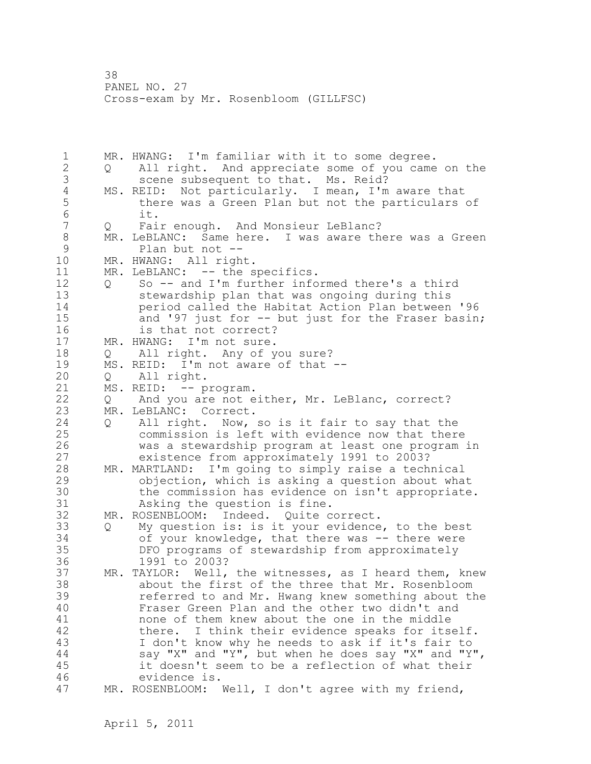1 MR. HWANG: I'm familiar with it to some degree. 2 Q All right. And appreciate some of you came on the 3 scene subsequent to that. Ms. Reid? 4 MS. REID: Not particularly. I mean, I'm aware that<br>5 there was a Green Plan but not the particulars 5 there was a Green Plan but not the particulars of 6 it.<br>7 O Fai 7 Q Fair enough. And Monsieur LeBlanc? 8 MR. LeBLANC: Same here. I was aware there was a Green<br>9 Plan but not --9 Plan but not --<br>10 MR. HWANG: All righ MR. HWANG: All right. 11 MR. LeBLANC: -- the specifics. 12 Q So -- and I'm further informed there's a third 13 stewardship plan that was ongoing during this 14 period called the Habitat Action Plan between '96 15 and '97 just for -- but just for the Fraser basin; 16 is that not correct? 17 MR. HWANG: I'm not sure. 18 Q All right. Any of you sure? 19 MS. REID: I'm not aware of that --<br>20 0 All right. 20 Q All right. 21 MS. REID: -- program. 22 Q And you are not either, Mr. LeBlanc, correct? 23 MR. LeBLANC: Correct. 24 Q All right. Now, so is it fair to say that the 25 commission is left with evidence now that there 26 was a stewardship program at least one program in existence from approximately 1991 to 2003? 28 MR. MARTLAND: I'm going to simply raise a technical 29 objection, which is asking a question about what 30 the commission has evidence on isn't appropriate.<br>31 Asking the question is fine. Asking the question is fine. 32 MR. ROSENBLOOM: Indeed. Quite correct. 33 Q My question is: is it your evidence, to the best 34 of your knowledge, that there was -- there were 35 DFO programs of stewardship from approximately 36 1991 to 2003? 37 MR. TAYLOR: Well, the witnesses, as I heard them, knew 38 about the first of the three that Mr. Rosenbloom 39 referred to and Mr. Hwang knew something about the 40 Fraser Green Plan and the other two didn't and 41 mone of them knew about the one in the middle<br>42 there. I think their evidence speaks for its there. I think their evidence speaks for itself. 43 I don't know why he needs to ask if it's fair to 44 say "X" and "Y", but when he does say "X" and "Y", 45 it doesn't seem to be a reflection of what their 46 evidence is. 47 MR. ROSENBLOOM: Well, I don't agree with my friend,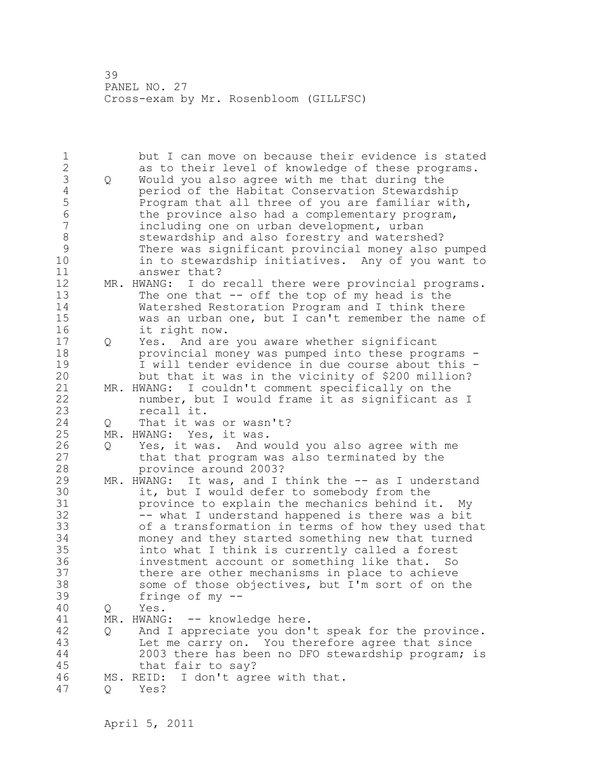| 3<br>Would you also agree with me that during the<br>Q<br>$\overline{4}$<br>period of the Habitat Conservation Stewardship<br>5<br>Program that all three of you are familiar with,<br>$\overline{6}$<br>the province also had a complementary program,<br>$\boldsymbol{7}$<br>including one on urban development, urban<br>8<br>stewardship and also forestry and watershed?<br>9<br>There was significant provincial money also pumped<br>10<br>in to stewardship initiatives. Any of you want to<br>11<br>answer that?<br>12<br>MR. HWANG: I do recall there were provincial programs.<br>13<br>The one that $--$ off the top of my head is the<br>14<br>Watershed Restoration Program and I think there<br>15<br>was an urban one, but I can't remember the name of<br>16<br>it right now.<br>17<br>Yes. And are you aware whether significant<br>$\mathsf{Q}$<br>18<br>provincial money was pumped into these programs -<br>19<br>I will tender evidence in due course about this -<br>20<br>but that it was in the vicinity of \$200 million?<br>21<br>MR. HWANG: I couldn't comment specifically on the<br>22<br>number, but I would frame it as significant as I<br>23<br>recall it.<br>24<br>That it was or wasn't?<br>Q<br>25<br>MR. HWANG: Yes, it was.<br>26<br>Yes, it was. And would you also agree with me<br>Q<br>27<br>that that program was also terminated by the<br>28<br>province around 2003?<br>29<br>MR. HWANG: It was, and I think the -- as I understand<br>30<br>it, but I would defer to somebody from the<br>31<br>province to explain the mechanics behind it. My<br>32<br>-- what I understand happened is there was a bit<br>33<br>of a transformation in terms of how they used that<br>34<br>money and they started something new that turned<br>35<br>into what I think is currently called a forest<br>36<br>investment account or something like that. So<br>37<br>there are other mechanisms in place to achieve<br>38<br>some of those objectives, but I'm sort of on the<br>39<br>fringe of my $--$<br>40<br>Yes.<br>Q<br>41<br>MR. HWANG:<br>-- knowledge here.<br>42<br>And I appreciate you don't speak for the province.<br>Q<br>43<br>Let me carry on. You therefore agree that since<br>44<br>2003 there has been no DFO stewardship program; is<br>45<br>that fair to say?<br>46<br>I don't agree with that.<br>MS. REID:<br>47<br>Yes?<br>Q | $\mathbf 1$<br>$\overline{2}$ | but I can move on because their evidence is stated<br>as to their level of knowledge of these programs. |
|---------------------------------------------------------------------------------------------------------------------------------------------------------------------------------------------------------------------------------------------------------------------------------------------------------------------------------------------------------------------------------------------------------------------------------------------------------------------------------------------------------------------------------------------------------------------------------------------------------------------------------------------------------------------------------------------------------------------------------------------------------------------------------------------------------------------------------------------------------------------------------------------------------------------------------------------------------------------------------------------------------------------------------------------------------------------------------------------------------------------------------------------------------------------------------------------------------------------------------------------------------------------------------------------------------------------------------------------------------------------------------------------------------------------------------------------------------------------------------------------------------------------------------------------------------------------------------------------------------------------------------------------------------------------------------------------------------------------------------------------------------------------------------------------------------------------------------------------------------------------------------------------------------------------------------------------------------------------------------------------------------------------------------------------------------------------------------------------------------------------------------------------------------------------------------------------------------------------------------------------------------------------------------------------------------------------------------------------------------------------------------------------|-------------------------------|---------------------------------------------------------------------------------------------------------|
|                                                                                                                                                                                                                                                                                                                                                                                                                                                                                                                                                                                                                                                                                                                                                                                                                                                                                                                                                                                                                                                                                                                                                                                                                                                                                                                                                                                                                                                                                                                                                                                                                                                                                                                                                                                                                                                                                                                                                                                                                                                                                                                                                                                                                                                                                                                                                                                             |                               |                                                                                                         |
|                                                                                                                                                                                                                                                                                                                                                                                                                                                                                                                                                                                                                                                                                                                                                                                                                                                                                                                                                                                                                                                                                                                                                                                                                                                                                                                                                                                                                                                                                                                                                                                                                                                                                                                                                                                                                                                                                                                                                                                                                                                                                                                                                                                                                                                                                                                                                                                             |                               |                                                                                                         |
|                                                                                                                                                                                                                                                                                                                                                                                                                                                                                                                                                                                                                                                                                                                                                                                                                                                                                                                                                                                                                                                                                                                                                                                                                                                                                                                                                                                                                                                                                                                                                                                                                                                                                                                                                                                                                                                                                                                                                                                                                                                                                                                                                                                                                                                                                                                                                                                             |                               |                                                                                                         |
|                                                                                                                                                                                                                                                                                                                                                                                                                                                                                                                                                                                                                                                                                                                                                                                                                                                                                                                                                                                                                                                                                                                                                                                                                                                                                                                                                                                                                                                                                                                                                                                                                                                                                                                                                                                                                                                                                                                                                                                                                                                                                                                                                                                                                                                                                                                                                                                             |                               |                                                                                                         |
|                                                                                                                                                                                                                                                                                                                                                                                                                                                                                                                                                                                                                                                                                                                                                                                                                                                                                                                                                                                                                                                                                                                                                                                                                                                                                                                                                                                                                                                                                                                                                                                                                                                                                                                                                                                                                                                                                                                                                                                                                                                                                                                                                                                                                                                                                                                                                                                             |                               |                                                                                                         |
|                                                                                                                                                                                                                                                                                                                                                                                                                                                                                                                                                                                                                                                                                                                                                                                                                                                                                                                                                                                                                                                                                                                                                                                                                                                                                                                                                                                                                                                                                                                                                                                                                                                                                                                                                                                                                                                                                                                                                                                                                                                                                                                                                                                                                                                                                                                                                                                             |                               |                                                                                                         |
|                                                                                                                                                                                                                                                                                                                                                                                                                                                                                                                                                                                                                                                                                                                                                                                                                                                                                                                                                                                                                                                                                                                                                                                                                                                                                                                                                                                                                                                                                                                                                                                                                                                                                                                                                                                                                                                                                                                                                                                                                                                                                                                                                                                                                                                                                                                                                                                             |                               |                                                                                                         |
|                                                                                                                                                                                                                                                                                                                                                                                                                                                                                                                                                                                                                                                                                                                                                                                                                                                                                                                                                                                                                                                                                                                                                                                                                                                                                                                                                                                                                                                                                                                                                                                                                                                                                                                                                                                                                                                                                                                                                                                                                                                                                                                                                                                                                                                                                                                                                                                             |                               |                                                                                                         |
|                                                                                                                                                                                                                                                                                                                                                                                                                                                                                                                                                                                                                                                                                                                                                                                                                                                                                                                                                                                                                                                                                                                                                                                                                                                                                                                                                                                                                                                                                                                                                                                                                                                                                                                                                                                                                                                                                                                                                                                                                                                                                                                                                                                                                                                                                                                                                                                             |                               |                                                                                                         |
|                                                                                                                                                                                                                                                                                                                                                                                                                                                                                                                                                                                                                                                                                                                                                                                                                                                                                                                                                                                                                                                                                                                                                                                                                                                                                                                                                                                                                                                                                                                                                                                                                                                                                                                                                                                                                                                                                                                                                                                                                                                                                                                                                                                                                                                                                                                                                                                             |                               |                                                                                                         |
|                                                                                                                                                                                                                                                                                                                                                                                                                                                                                                                                                                                                                                                                                                                                                                                                                                                                                                                                                                                                                                                                                                                                                                                                                                                                                                                                                                                                                                                                                                                                                                                                                                                                                                                                                                                                                                                                                                                                                                                                                                                                                                                                                                                                                                                                                                                                                                                             |                               |                                                                                                         |
|                                                                                                                                                                                                                                                                                                                                                                                                                                                                                                                                                                                                                                                                                                                                                                                                                                                                                                                                                                                                                                                                                                                                                                                                                                                                                                                                                                                                                                                                                                                                                                                                                                                                                                                                                                                                                                                                                                                                                                                                                                                                                                                                                                                                                                                                                                                                                                                             |                               |                                                                                                         |
|                                                                                                                                                                                                                                                                                                                                                                                                                                                                                                                                                                                                                                                                                                                                                                                                                                                                                                                                                                                                                                                                                                                                                                                                                                                                                                                                                                                                                                                                                                                                                                                                                                                                                                                                                                                                                                                                                                                                                                                                                                                                                                                                                                                                                                                                                                                                                                                             |                               |                                                                                                         |
|                                                                                                                                                                                                                                                                                                                                                                                                                                                                                                                                                                                                                                                                                                                                                                                                                                                                                                                                                                                                                                                                                                                                                                                                                                                                                                                                                                                                                                                                                                                                                                                                                                                                                                                                                                                                                                                                                                                                                                                                                                                                                                                                                                                                                                                                                                                                                                                             |                               |                                                                                                         |
|                                                                                                                                                                                                                                                                                                                                                                                                                                                                                                                                                                                                                                                                                                                                                                                                                                                                                                                                                                                                                                                                                                                                                                                                                                                                                                                                                                                                                                                                                                                                                                                                                                                                                                                                                                                                                                                                                                                                                                                                                                                                                                                                                                                                                                                                                                                                                                                             |                               |                                                                                                         |
|                                                                                                                                                                                                                                                                                                                                                                                                                                                                                                                                                                                                                                                                                                                                                                                                                                                                                                                                                                                                                                                                                                                                                                                                                                                                                                                                                                                                                                                                                                                                                                                                                                                                                                                                                                                                                                                                                                                                                                                                                                                                                                                                                                                                                                                                                                                                                                                             |                               |                                                                                                         |
|                                                                                                                                                                                                                                                                                                                                                                                                                                                                                                                                                                                                                                                                                                                                                                                                                                                                                                                                                                                                                                                                                                                                                                                                                                                                                                                                                                                                                                                                                                                                                                                                                                                                                                                                                                                                                                                                                                                                                                                                                                                                                                                                                                                                                                                                                                                                                                                             |                               |                                                                                                         |
|                                                                                                                                                                                                                                                                                                                                                                                                                                                                                                                                                                                                                                                                                                                                                                                                                                                                                                                                                                                                                                                                                                                                                                                                                                                                                                                                                                                                                                                                                                                                                                                                                                                                                                                                                                                                                                                                                                                                                                                                                                                                                                                                                                                                                                                                                                                                                                                             |                               |                                                                                                         |
|                                                                                                                                                                                                                                                                                                                                                                                                                                                                                                                                                                                                                                                                                                                                                                                                                                                                                                                                                                                                                                                                                                                                                                                                                                                                                                                                                                                                                                                                                                                                                                                                                                                                                                                                                                                                                                                                                                                                                                                                                                                                                                                                                                                                                                                                                                                                                                                             |                               |                                                                                                         |
|                                                                                                                                                                                                                                                                                                                                                                                                                                                                                                                                                                                                                                                                                                                                                                                                                                                                                                                                                                                                                                                                                                                                                                                                                                                                                                                                                                                                                                                                                                                                                                                                                                                                                                                                                                                                                                                                                                                                                                                                                                                                                                                                                                                                                                                                                                                                                                                             |                               |                                                                                                         |
|                                                                                                                                                                                                                                                                                                                                                                                                                                                                                                                                                                                                                                                                                                                                                                                                                                                                                                                                                                                                                                                                                                                                                                                                                                                                                                                                                                                                                                                                                                                                                                                                                                                                                                                                                                                                                                                                                                                                                                                                                                                                                                                                                                                                                                                                                                                                                                                             |                               |                                                                                                         |
|                                                                                                                                                                                                                                                                                                                                                                                                                                                                                                                                                                                                                                                                                                                                                                                                                                                                                                                                                                                                                                                                                                                                                                                                                                                                                                                                                                                                                                                                                                                                                                                                                                                                                                                                                                                                                                                                                                                                                                                                                                                                                                                                                                                                                                                                                                                                                                                             |                               |                                                                                                         |
|                                                                                                                                                                                                                                                                                                                                                                                                                                                                                                                                                                                                                                                                                                                                                                                                                                                                                                                                                                                                                                                                                                                                                                                                                                                                                                                                                                                                                                                                                                                                                                                                                                                                                                                                                                                                                                                                                                                                                                                                                                                                                                                                                                                                                                                                                                                                                                                             |                               |                                                                                                         |
|                                                                                                                                                                                                                                                                                                                                                                                                                                                                                                                                                                                                                                                                                                                                                                                                                                                                                                                                                                                                                                                                                                                                                                                                                                                                                                                                                                                                                                                                                                                                                                                                                                                                                                                                                                                                                                                                                                                                                                                                                                                                                                                                                                                                                                                                                                                                                                                             |                               |                                                                                                         |
|                                                                                                                                                                                                                                                                                                                                                                                                                                                                                                                                                                                                                                                                                                                                                                                                                                                                                                                                                                                                                                                                                                                                                                                                                                                                                                                                                                                                                                                                                                                                                                                                                                                                                                                                                                                                                                                                                                                                                                                                                                                                                                                                                                                                                                                                                                                                                                                             |                               |                                                                                                         |
|                                                                                                                                                                                                                                                                                                                                                                                                                                                                                                                                                                                                                                                                                                                                                                                                                                                                                                                                                                                                                                                                                                                                                                                                                                                                                                                                                                                                                                                                                                                                                                                                                                                                                                                                                                                                                                                                                                                                                                                                                                                                                                                                                                                                                                                                                                                                                                                             |                               |                                                                                                         |
|                                                                                                                                                                                                                                                                                                                                                                                                                                                                                                                                                                                                                                                                                                                                                                                                                                                                                                                                                                                                                                                                                                                                                                                                                                                                                                                                                                                                                                                                                                                                                                                                                                                                                                                                                                                                                                                                                                                                                                                                                                                                                                                                                                                                                                                                                                                                                                                             |                               |                                                                                                         |
|                                                                                                                                                                                                                                                                                                                                                                                                                                                                                                                                                                                                                                                                                                                                                                                                                                                                                                                                                                                                                                                                                                                                                                                                                                                                                                                                                                                                                                                                                                                                                                                                                                                                                                                                                                                                                                                                                                                                                                                                                                                                                                                                                                                                                                                                                                                                                                                             |                               |                                                                                                         |
|                                                                                                                                                                                                                                                                                                                                                                                                                                                                                                                                                                                                                                                                                                                                                                                                                                                                                                                                                                                                                                                                                                                                                                                                                                                                                                                                                                                                                                                                                                                                                                                                                                                                                                                                                                                                                                                                                                                                                                                                                                                                                                                                                                                                                                                                                                                                                                                             |                               |                                                                                                         |
|                                                                                                                                                                                                                                                                                                                                                                                                                                                                                                                                                                                                                                                                                                                                                                                                                                                                                                                                                                                                                                                                                                                                                                                                                                                                                                                                                                                                                                                                                                                                                                                                                                                                                                                                                                                                                                                                                                                                                                                                                                                                                                                                                                                                                                                                                                                                                                                             |                               |                                                                                                         |
|                                                                                                                                                                                                                                                                                                                                                                                                                                                                                                                                                                                                                                                                                                                                                                                                                                                                                                                                                                                                                                                                                                                                                                                                                                                                                                                                                                                                                                                                                                                                                                                                                                                                                                                                                                                                                                                                                                                                                                                                                                                                                                                                                                                                                                                                                                                                                                                             |                               |                                                                                                         |
|                                                                                                                                                                                                                                                                                                                                                                                                                                                                                                                                                                                                                                                                                                                                                                                                                                                                                                                                                                                                                                                                                                                                                                                                                                                                                                                                                                                                                                                                                                                                                                                                                                                                                                                                                                                                                                                                                                                                                                                                                                                                                                                                                                                                                                                                                                                                                                                             |                               |                                                                                                         |
|                                                                                                                                                                                                                                                                                                                                                                                                                                                                                                                                                                                                                                                                                                                                                                                                                                                                                                                                                                                                                                                                                                                                                                                                                                                                                                                                                                                                                                                                                                                                                                                                                                                                                                                                                                                                                                                                                                                                                                                                                                                                                                                                                                                                                                                                                                                                                                                             |                               |                                                                                                         |
|                                                                                                                                                                                                                                                                                                                                                                                                                                                                                                                                                                                                                                                                                                                                                                                                                                                                                                                                                                                                                                                                                                                                                                                                                                                                                                                                                                                                                                                                                                                                                                                                                                                                                                                                                                                                                                                                                                                                                                                                                                                                                                                                                                                                                                                                                                                                                                                             |                               |                                                                                                         |
|                                                                                                                                                                                                                                                                                                                                                                                                                                                                                                                                                                                                                                                                                                                                                                                                                                                                                                                                                                                                                                                                                                                                                                                                                                                                                                                                                                                                                                                                                                                                                                                                                                                                                                                                                                                                                                                                                                                                                                                                                                                                                                                                                                                                                                                                                                                                                                                             |                               |                                                                                                         |
|                                                                                                                                                                                                                                                                                                                                                                                                                                                                                                                                                                                                                                                                                                                                                                                                                                                                                                                                                                                                                                                                                                                                                                                                                                                                                                                                                                                                                                                                                                                                                                                                                                                                                                                                                                                                                                                                                                                                                                                                                                                                                                                                                                                                                                                                                                                                                                                             |                               |                                                                                                         |
|                                                                                                                                                                                                                                                                                                                                                                                                                                                                                                                                                                                                                                                                                                                                                                                                                                                                                                                                                                                                                                                                                                                                                                                                                                                                                                                                                                                                                                                                                                                                                                                                                                                                                                                                                                                                                                                                                                                                                                                                                                                                                                                                                                                                                                                                                                                                                                                             |                               |                                                                                                         |
|                                                                                                                                                                                                                                                                                                                                                                                                                                                                                                                                                                                                                                                                                                                                                                                                                                                                                                                                                                                                                                                                                                                                                                                                                                                                                                                                                                                                                                                                                                                                                                                                                                                                                                                                                                                                                                                                                                                                                                                                                                                                                                                                                                                                                                                                                                                                                                                             |                               |                                                                                                         |
|                                                                                                                                                                                                                                                                                                                                                                                                                                                                                                                                                                                                                                                                                                                                                                                                                                                                                                                                                                                                                                                                                                                                                                                                                                                                                                                                                                                                                                                                                                                                                                                                                                                                                                                                                                                                                                                                                                                                                                                                                                                                                                                                                                                                                                                                                                                                                                                             |                               |                                                                                                         |
|                                                                                                                                                                                                                                                                                                                                                                                                                                                                                                                                                                                                                                                                                                                                                                                                                                                                                                                                                                                                                                                                                                                                                                                                                                                                                                                                                                                                                                                                                                                                                                                                                                                                                                                                                                                                                                                                                                                                                                                                                                                                                                                                                                                                                                                                                                                                                                                             |                               |                                                                                                         |
|                                                                                                                                                                                                                                                                                                                                                                                                                                                                                                                                                                                                                                                                                                                                                                                                                                                                                                                                                                                                                                                                                                                                                                                                                                                                                                                                                                                                                                                                                                                                                                                                                                                                                                                                                                                                                                                                                                                                                                                                                                                                                                                                                                                                                                                                                                                                                                                             |                               |                                                                                                         |
|                                                                                                                                                                                                                                                                                                                                                                                                                                                                                                                                                                                                                                                                                                                                                                                                                                                                                                                                                                                                                                                                                                                                                                                                                                                                                                                                                                                                                                                                                                                                                                                                                                                                                                                                                                                                                                                                                                                                                                                                                                                                                                                                                                                                                                                                                                                                                                                             |                               |                                                                                                         |
|                                                                                                                                                                                                                                                                                                                                                                                                                                                                                                                                                                                                                                                                                                                                                                                                                                                                                                                                                                                                                                                                                                                                                                                                                                                                                                                                                                                                                                                                                                                                                                                                                                                                                                                                                                                                                                                                                                                                                                                                                                                                                                                                                                                                                                                                                                                                                                                             |                               |                                                                                                         |
|                                                                                                                                                                                                                                                                                                                                                                                                                                                                                                                                                                                                                                                                                                                                                                                                                                                                                                                                                                                                                                                                                                                                                                                                                                                                                                                                                                                                                                                                                                                                                                                                                                                                                                                                                                                                                                                                                                                                                                                                                                                                                                                                                                                                                                                                                                                                                                                             |                               |                                                                                                         |
|                                                                                                                                                                                                                                                                                                                                                                                                                                                                                                                                                                                                                                                                                                                                                                                                                                                                                                                                                                                                                                                                                                                                                                                                                                                                                                                                                                                                                                                                                                                                                                                                                                                                                                                                                                                                                                                                                                                                                                                                                                                                                                                                                                                                                                                                                                                                                                                             |                               |                                                                                                         |
|                                                                                                                                                                                                                                                                                                                                                                                                                                                                                                                                                                                                                                                                                                                                                                                                                                                                                                                                                                                                                                                                                                                                                                                                                                                                                                                                                                                                                                                                                                                                                                                                                                                                                                                                                                                                                                                                                                                                                                                                                                                                                                                                                                                                                                                                                                                                                                                             |                               |                                                                                                         |
|                                                                                                                                                                                                                                                                                                                                                                                                                                                                                                                                                                                                                                                                                                                                                                                                                                                                                                                                                                                                                                                                                                                                                                                                                                                                                                                                                                                                                                                                                                                                                                                                                                                                                                                                                                                                                                                                                                                                                                                                                                                                                                                                                                                                                                                                                                                                                                                             |                               |                                                                                                         |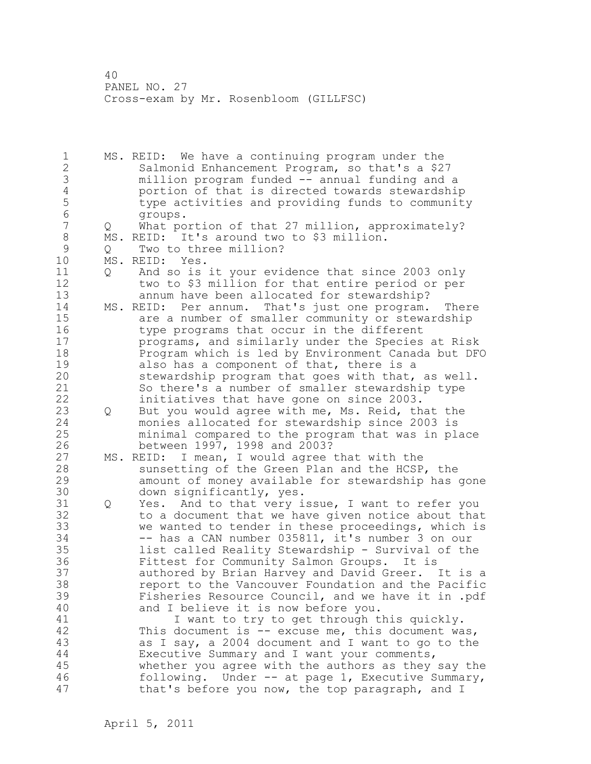1 MS. REID: We have a continuing program under the 2 Salmonid Enhancement Program, so that's a \$27 3 million program funded -- annual funding and a 4 portion of that is directed towards stewardship<br>5 type activities and providing funds to communit 5 type activities and providing funds to community 6 groups.<br>7 0 What po Q What portion of that 27 million, approximately? 8 MS. REID: It's around two to \$3 million. 9 Q Two to three million?<br>10 MS. REID: Yes. MS. REID: Yes. 11 Q And so is it your evidence that since 2003 only 12 two to \$3 million for that entire period or per 13 annum have been allocated for stewardship? 14 MS. REID: Per annum. That's just one program. There 15 are a number of smaller community or stewardship 16 type programs that occur in the different 17 programs, and similarly under the Species at Risk 18 Program which is led by Environment Canada but DFO 19 also has a component of that, there is a<br>20 stewardship program that goes with that, stewardship program that goes with that, as well. 21 So there's a number of smaller stewardship type 22 initiatives that have gone on since 2003. 23 Q But you would agree with me, Ms. Reid, that the 24 monies allocated for stewardship since 2003 is 25 minimal compared to the program that was in place 26 between 1997, 1998 and 2003?<br>27 MS. REID: I mean, I would agree MS. REID: I mean, I would agree that with the 28 sunsetting of the Green Plan and the HCSP, the 29 amount of money available for stewardship has gone 30 down significantly, yes.<br>31 0 Yes. And to that very i Q Yes. And to that very issue, I want to refer you 32 to a document that we have given notice about that 33 we wanted to tender in these proceedings, which is 34 -- has a CAN number 035811, it's number 3 on our 35 list called Reality Stewardship - Survival of the 36 Fittest for Community Salmon Groups. It is 37 authored by Brian Harvey and David Greer. It is a 38 report to the Vancouver Foundation and the Pacific 39 Fisheries Resource Council, and we have it in .pdf 40 and I believe it is now before you. 41 I want to try to get through this quickly.<br>42 This document is -- excuse me, this document wa This document is  $-$  excuse me, this document was, 43 as I say, a 2004 document and I want to go to the 44 Executive Summary and I want your comments, 45 whether you agree with the authors as they say the 46 following. Under -- at page 1, Executive Summary, 47 that's before you now, the top paragraph, and I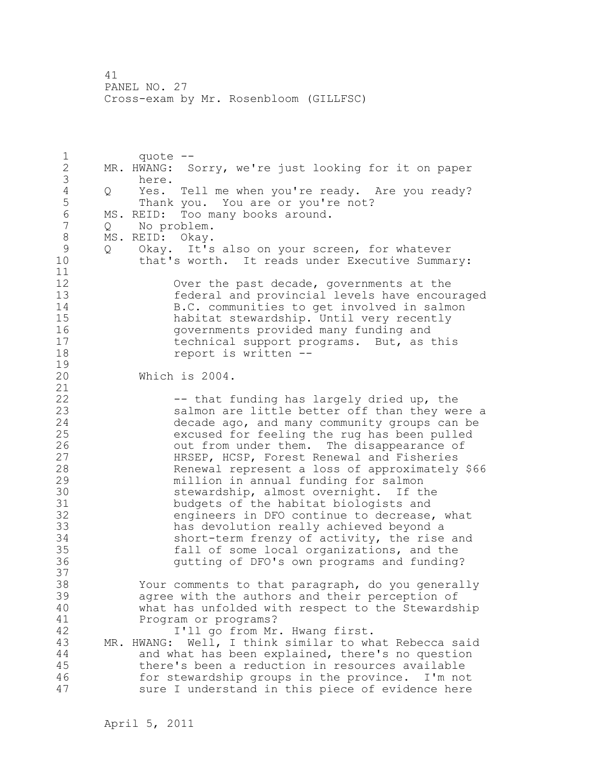1 quote -- 2 MR. HWANG: Sorry, we're just looking for it on paper 3 here.<br>4 Q Yes. 4 Q Yes. Tell me when you're ready. Are you ready?<br>5 Thank you. You are or you're not? Thank you. You are or you're not? 6 MS. REID: Too many books around. Q No problem. 8 MS.REID: Okay.<br>9 O Okav. It's 9 Q Okay. It's also on your screen, for whatever<br>10 that's worth. It reads under Executive Summa that's worth. It reads under Executive Summary: 11 12 Over the past decade, governments at the 13 federal and provincial levels have encouraged 14 B.C. communities to get involved in salmon 15 habitat stewardship. Until very recently 16 governments provided many funding and 17 technical support programs. But, as this 18 report is written --  $\frac{19}{20}$ Which is 2004. 21 22 -- that funding has largely dried up, the 23 salmon are little better off than they were a 24 decade ago, and many community groups can be 25 excused for feeling the rug has been pulled 26 out from under them. The disappearance of<br>27 HRSEP, HCSP, Forest Renewal and Fisheries 27 HRSEP, HCSP, Forest Renewal and Fisheries<br>28 Renewal represent a loss of approximately Renewal represent a loss of approximately \$66 29 million in annual funding for salmon 30 Stewardship, almost overnight. If the<br>31 budgets of the habitat biologists and 31 budgets of the habitat biologists and<br>32 engineers in DFO continue to decrease. engineers in DFO continue to decrease, what 33 has devolution really achieved beyond a 34 short-term frenzy of activity, the rise and 35 fall of some local organizations, and the 36 gutting of DFO's own programs and funding? 37 38 Your comments to that paragraph, do you generally 39 agree with the authors and their perception of 40 what has unfolded with respect to the Stewardship 41 Program or programs?<br>42 1'11 go from Mr I'll go from Mr. Hwang first. 43 MR. HWANG: Well, I think similar to what Rebecca said 44 and what has been explained, there's no question 45 there's been a reduction in resources available 46 for stewardship groups in the province. I'm not 47 sure I understand in this piece of evidence here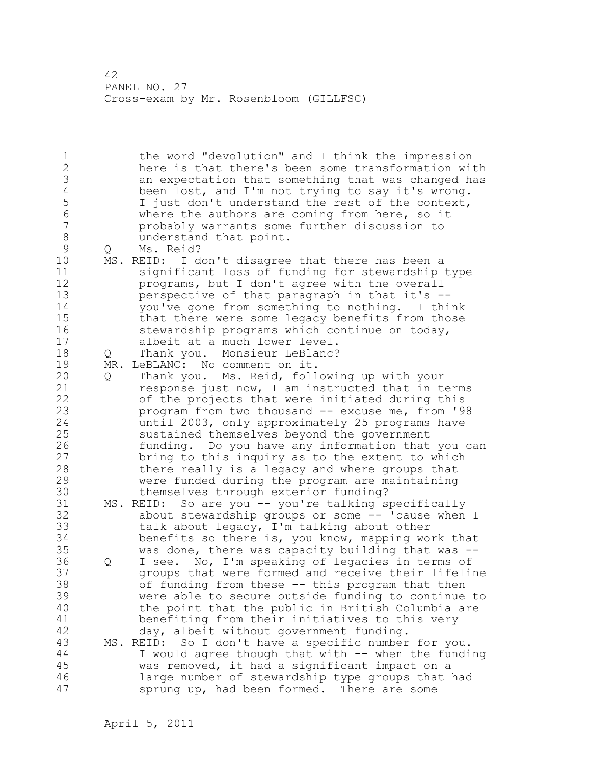1 the word "devolution" and I think the impression 2 here is that there's been some transformation with 3 an expectation that something that was changed has<br>4 been lost, and I'm not trying to say it's wrong. 4 been lost, and I'm not trying to say it's wrong.<br>5 1 just don't understand the rest of the context, 5 I just don't understand the rest of the context,<br>6 Where the authors are coming from here, so it 6 where the authors are coming from here, so it 7 probably warrants some further discussion to 8 understand that point.<br>9 0 Ms. Reid? 9 Q Ms. Reid? MS. REID: I don't disagree that there has been a 11 significant loss of funding for stewardship type 12 programs, but I don't agree with the overall 13 perspective of that paragraph in that it's -- 14 you've gone from something to nothing. I think 15 that there were some legacy benefits from those 16 stewardship programs which continue on today, 17 albeit at a much lower level. 18 Q Thank you. Monsieur LeBlanc? 19 MR. LeBLANC: No comment on it.<br>20 0 Thank you. Ms. Reid, foll 20 Q Thank you. Ms. Reid, following up with your 21 response just now, I am instructed that in terms 22 of the projects that were initiated during this 23 program from two thousand -- excuse me, from '98 24 until 2003, only approximately 25 programs have 25 sustained themselves beyond the government 26 funding. Do you have any information that you can<br>27 bring to this inquiry as to the extent to which bring to this inquiry as to the extent to which 28 there really is a legacy and where groups that 29 were funded during the program are maintaining 30 themselves through exterior funding?<br>31 MS. REID: So are you -- you're talking s MS. REID: So are you -- you're talking specifically 32 about stewardship groups or some -- 'cause when I 33 talk about legacy, I'm talking about other 34 benefits so there is, you know, mapping work that 35 was done, there was capacity building that was -- 36 Q I see. No, I'm speaking of legacies in terms of 37 groups that were formed and receive their lifeline 38 of funding from these -- this program that then 39 were able to secure outside funding to continue to 40 the point that the public in British Columbia are 41 benefiting from their initiatives to this very<br>42 day, albeit without government funding. day, albeit without government funding. 43 MS. REID: So I don't have a specific number for you. 44 I would agree though that with -- when the funding 45 was removed, it had a significant impact on a 46 large number of stewardship type groups that had 47 sprung up, had been formed. There are some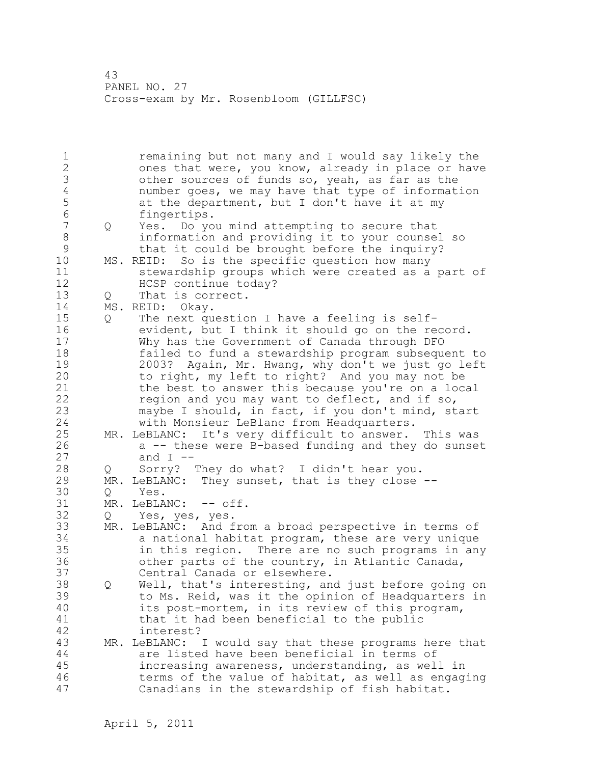1 remaining but not many and I would say likely the 2 ones that were, you know, already in place or have 3 other sources of funds so, yeah, as far as the<br>4 number goes, we may have that type of informat 4 number goes, we may have that type of information<br>5 at the department, but I don't have it at my 5 at the department, but I don't have it at my<br>6 fingertips. 6 fingertips.<br>7 0 Yes. Do vo 7 Q Yes. Do you mind attempting to secure that 8 information and providing it to your counsel so 9 that it could be brought before the inquiry?<br>10 MS. REID: So is the specific question how many MS. REID: So is the specific question how many 11 stewardship groups which were created as a part of 12 HCSP continue today? 13 Q That is correct. 14 MS. REID: Okay. 15 Q The next question I have a feeling is self-16 evident, but I think it should go on the record. 17 Why has the Government of Canada through DFO 18 failed to fund a stewardship program subsequent to 19 2003? Again, Mr. Hwang, why don't we just go left 20 to right, my left to right? And you may not be 21 the best to answer this because you're on a local 22 region and you may want to deflect, and if so, 23 maybe I should, in fact, if you don't mind, start 24 with Monsieur LeBlanc from Headquarters. 25 MR. LeBLANC: It's very difficult to answer. This was 26  $a \rightarrow$  these were B-based funding and they do sunset 27 and  $I$  --28 Q Sorry? They do what? I didn't hear you. 29 MR. LeBLANC: They sunset, that is they close -- 30 Q Yes.<br>31 MR. LeBLA MR. LeBLANC: -- off. 32 Q Yes, yes, yes. 33 MR. LeBLANC: And from a broad perspective in terms of 34 a national habitat program, these are very unique 35 in this region. There are no such programs in any 36 other parts of the country, in Atlantic Canada, 37 Central Canada or elsewhere. 38 Q Well, that's interesting, and just before going on 39 to Ms. Reid, was it the opinion of Headquarters in 40 its post-mortem, in its review of this program, 41 that it had been beneficial to the public<br>42 interest? interest? 43 MR. LeBLANC: I would say that these programs here that 44 are listed have been beneficial in terms of 45 increasing awareness, understanding, as well in 46 terms of the value of habitat, as well as engaging 47 Canadians in the stewardship of fish habitat.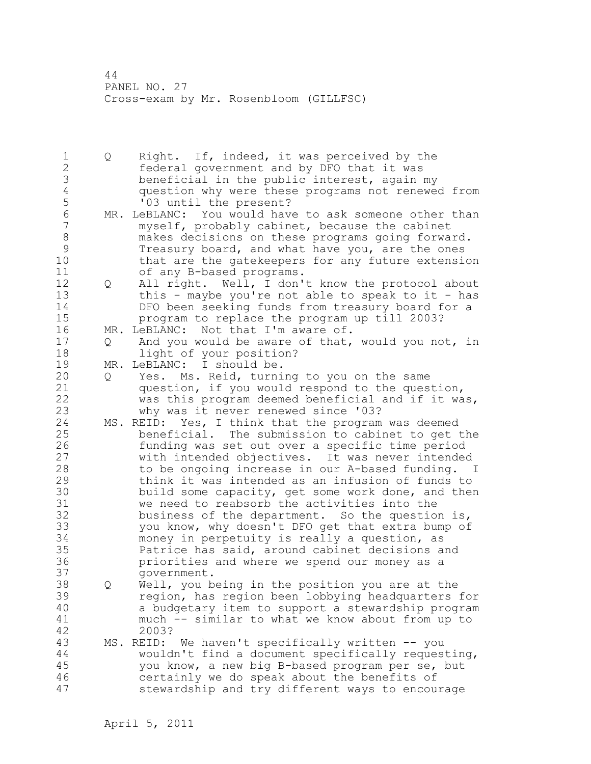1 Q Right. If, indeed, it was perceived by the 2 federal government and by DFO that it was 3 beneficial in the public interest, again my 4 question why were these programs not renewed from 5 '03 until the present? 6 MR. LeBLANC: You would have to ask someone other than<br>7 myself, probably cabinet, because the cabinet myself, probably cabinet, because the cabinet 8 makes decisions on these programs going forward. 9 Treasury board, and what have you, are the ones<br>10 that are the gatekeepers for any future extensi that are the gatekeepers for any future extension 11 of any B-based programs. 12 Q All right. Well, I don't know the protocol about 13 this - maybe you're not able to speak to it - has 14 DFO been seeking funds from treasury board for a 15 program to replace the program up till 2003? 16 MR. LeBLANC: Not that I'm aware of. 17 Q And you would be aware of that, would you not, in 18 light of your position? 19 MR. LeBLANC: I should be. 20 Q Yes. Ms. Reid, turning to you on the same 21 question, if you would respond to the question, 22 was this program deemed beneficial and if it was, 23 why was it never renewed since '03? 24 MS. REID: Yes, I think that the program was deemed 25 beneficial. The submission to cabinet to get the 26 funding was set out over a specific time period<br>27 buith intended objectives. It was never intended with intended objectives. It was never intended 28 to be ongoing increase in our A-based funding. I 29 think it was intended as an infusion of funds to 30 build some capacity, get some work done, and then<br>31 we need to reabsorb the activities into the we need to reabsorb the activities into the 32 business of the department. So the question is, 33 you know, why doesn't DFO get that extra bump of 34 money in perpetuity is really a question, as 35 Patrice has said, around cabinet decisions and 36 priorities and where we spend our money as a 37 government. 38 Q Well, you being in the position you are at the 39 region, has region been lobbying headquarters for 40 a budgetary item to support a stewardship program 41 much -- similar to what we know about from up to 42 2003? 43 MS. REID: We haven't specifically written -- you 44 wouldn't find a document specifically requesting, 45 you know, a new big B-based program per se, but 46 certainly we do speak about the benefits of 47 stewardship and try different ways to encourage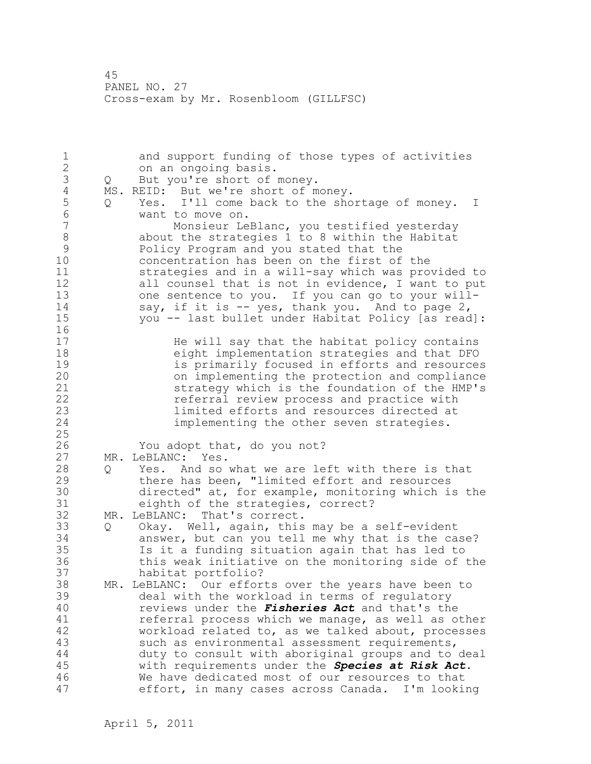| $\mathbf 1$                                                                          |     | and support funding of those types of activities                                                                                                                                                                                                                                                                                                                                                                                                              |
|--------------------------------------------------------------------------------------|-----|---------------------------------------------------------------------------------------------------------------------------------------------------------------------------------------------------------------------------------------------------------------------------------------------------------------------------------------------------------------------------------------------------------------------------------------------------------------|
| $\frac{2}{3}$                                                                        |     | on an ongoing basis.                                                                                                                                                                                                                                                                                                                                                                                                                                          |
|                                                                                      | Q   | But you're short of money.                                                                                                                                                                                                                                                                                                                                                                                                                                    |
| $\sqrt{4}$                                                                           | MS. | REID: But we're short of money.                                                                                                                                                                                                                                                                                                                                                                                                                               |
| 5<br>$\sqrt{6}$                                                                      | Q   | Yes. I'll come back to the shortage of money. I<br>want to move on.                                                                                                                                                                                                                                                                                                                                                                                           |
| $\overline{7}$<br>$\,8\,$<br>$\mathcal{G}$<br>10<br>11<br>12<br>13<br>14<br>15<br>16 |     | Monsieur LeBlanc, you testified yesterday<br>about the strategies 1 to 8 within the Habitat<br>Policy Program and you stated that the<br>concentration has been on the first of the<br>strategies and in a will-say which was provided to<br>all counsel that is not in evidence, I want to put<br>one sentence to you. If you can go to your will-<br>say, if it is $-$ yes, thank you. And to page 2,<br>you -- last bullet under Habitat Policy [as read]: |
| 17<br>18<br>19<br>20<br>21<br>22<br>23<br>24<br>25                                   |     | He will say that the habitat policy contains<br>eight implementation strategies and that DFO<br>is primarily focused in efforts and resources<br>on implementing the protection and compliance<br>strategy which is the foundation of the HMP's<br>referral review process and practice with<br>limited efforts and resources directed at<br>implementing the other seven strategies.                                                                         |
| 26                                                                                   |     | You adopt that, do you not?                                                                                                                                                                                                                                                                                                                                                                                                                                   |
| 27                                                                                   | MR. | LeBLANC: Yes.                                                                                                                                                                                                                                                                                                                                                                                                                                                 |
| 28                                                                                   | Q   | Yes. And so what we are left with there is that                                                                                                                                                                                                                                                                                                                                                                                                               |
| 29                                                                                   |     | there has been, "limited effort and resources                                                                                                                                                                                                                                                                                                                                                                                                                 |
| 30                                                                                   |     |                                                                                                                                                                                                                                                                                                                                                                                                                                                               |
|                                                                                      |     | directed" at, for example, monitoring which is the                                                                                                                                                                                                                                                                                                                                                                                                            |
| 31                                                                                   |     | eighth of the strategies, correct?                                                                                                                                                                                                                                                                                                                                                                                                                            |
| 32                                                                                   | MR. | LeBLANC:<br>That's correct.                                                                                                                                                                                                                                                                                                                                                                                                                                   |
| 33                                                                                   | Q   | Okay. Well, again, this may be a self-evident                                                                                                                                                                                                                                                                                                                                                                                                                 |
| 34                                                                                   |     | answer, but can you tell me why that is the case?                                                                                                                                                                                                                                                                                                                                                                                                             |
| 35                                                                                   |     | Is it a funding situation again that has led to                                                                                                                                                                                                                                                                                                                                                                                                               |
| 36                                                                                   |     | this weak initiative on the monitoring side of the                                                                                                                                                                                                                                                                                                                                                                                                            |
| 37                                                                                   |     | habitat portfolio?                                                                                                                                                                                                                                                                                                                                                                                                                                            |
| 38                                                                                   |     | MR. LeBLANC: Our efforts over the years have been to                                                                                                                                                                                                                                                                                                                                                                                                          |
| 39                                                                                   |     | deal with the workload in terms of regulatory                                                                                                                                                                                                                                                                                                                                                                                                                 |
| 40                                                                                   |     | reviews under the <i>Fisheries Act</i> and that's the                                                                                                                                                                                                                                                                                                                                                                                                         |
| 41                                                                                   |     |                                                                                                                                                                                                                                                                                                                                                                                                                                                               |
|                                                                                      |     | referral process which we manage, as well as other                                                                                                                                                                                                                                                                                                                                                                                                            |
| 42                                                                                   |     | workload related to, as we talked about, processes                                                                                                                                                                                                                                                                                                                                                                                                            |
| 43                                                                                   |     | such as environmental assessment requirements,                                                                                                                                                                                                                                                                                                                                                                                                                |
| $4\,4$                                                                               |     | duty to consult with aboriginal groups and to deal                                                                                                                                                                                                                                                                                                                                                                                                            |
| 45                                                                                   |     | with requirements under the Species at Risk Act.                                                                                                                                                                                                                                                                                                                                                                                                              |
| 46                                                                                   |     | We have dedicated most of our resources to that                                                                                                                                                                                                                                                                                                                                                                                                               |
| 47                                                                                   |     | effort, in many cases across Canada. I'm looking                                                                                                                                                                                                                                                                                                                                                                                                              |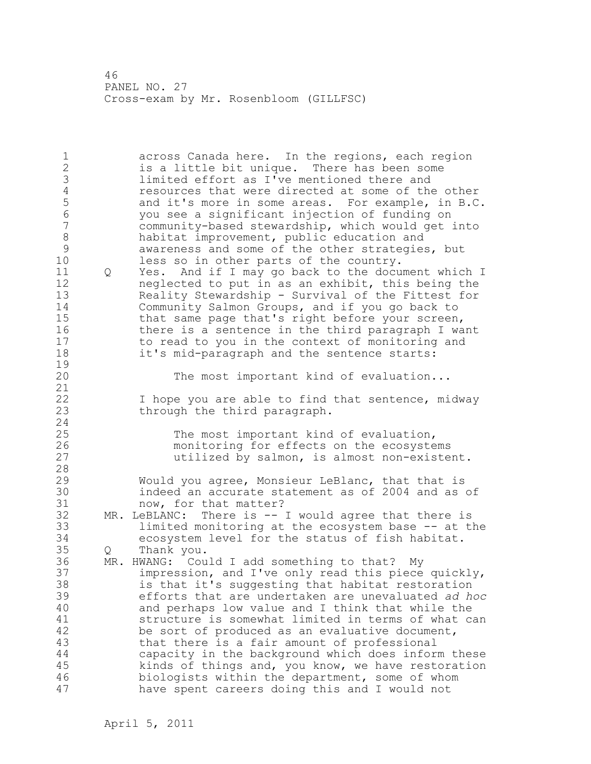1 across Canada here. In the regions, each region 2 is a little bit unique. There has been some 3 limited effort as I've mentioned there and<br>4 eesources that were directed at some of the 4 resources that were directed at some of the other<br>5 and it's more in some areas. For example, in B.C 5 and it's more in some areas. For example, in B.C. 6 you see a significant injection of funding on community-based stewardship, which would get into 8 habitat improvement, public education and<br>9 awareness and some of the other strategies 9 awareness and some of the other strategies, but<br>10 less so in other parts of the country. less so in other parts of the country. 11 Q Yes. And if I may go back to the document which I 12 neglected to put in as an exhibit, this being the 13 Reality Stewardship - Survival of the Fittest for 14 Community Salmon Groups, and if you go back to 15 that same page that's right before your screen, 16 there is a sentence in the third paragraph I want 17 to read to you in the context of monitoring and 18 it's mid-paragraph and the sentence starts:  $\frac{19}{20}$ The most important kind of evaluation... 21 22 I hope you are able to find that sentence, midway 23 through the third paragraph. 24 25 The most important kind of evaluation, 26 monitoring for effects on the ecosystems<br>27 dtilized by salmon, is almost non-existe utilized by salmon, is almost non-existent. 28 29 Would you agree, Monsieur LeBlanc, that that is 30 indeed an accurate statement as of 2004 and as of<br>31 mow, for that matter? 31 now, for that matter?<br>32 MR. LeBLANC: There is -- $MR.$  LeBLANC: There is  $--$  I would agree that there is 33 limited monitoring at the ecosystem base -- at the 34 ecosystem level for the status of fish habitat. 35 Q Thank you. 36 MR. HWANG: Could I add something to that? My 37 impression, and I've only read this piece quickly, 38 is that it's suggesting that habitat restoration 39 efforts that are undertaken are unevaluated *ad hoc* 40 and perhaps low value and I think that while the 41 structure is somewhat limited in terms of what can<br>42 be sort of produced as an evaluative document, be sort of produced as an evaluative document, 43 that there is a fair amount of professional 44 capacity in the background which does inform these 45 kinds of things and, you know, we have restoration 46 biologists within the department, some of whom 47 have spent careers doing this and I would not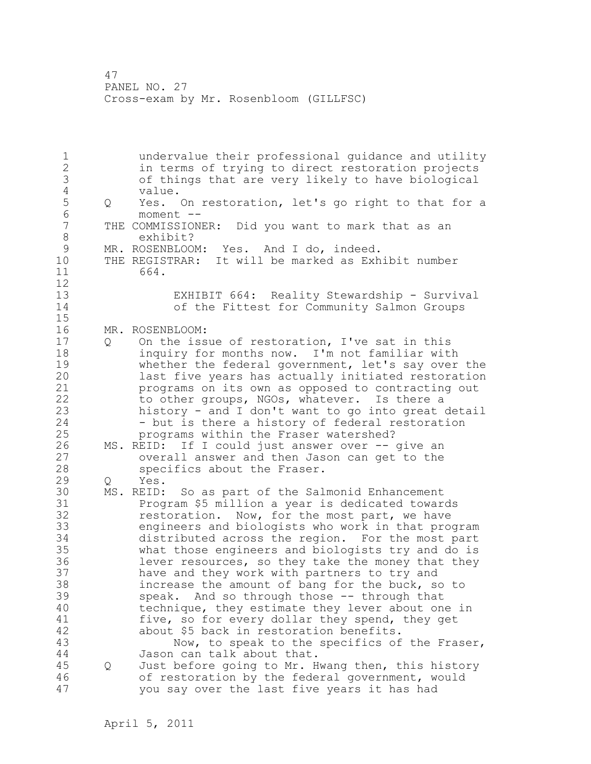1 undervalue their professional guidance and utility 2 in terms of trying to direct restoration projects 3 of things that are very likely to have biological 4 value.<br>5 Q Yes. 5 Q Yes. On restoration, let's go right to that for a<br>6 moment --6 moment --<br>7 THE COMMISSION THE COMMISSIONER: Did you want to mark that as an 8 exhibit? 9 MR. ROSENBLOOM: Yes. And I do, indeed.<br>10 THE REGISTRAR: It will be marked as Exh THE REGISTRAR: It will be marked as Exhibit number 11 664. 12 13 EXHIBIT 664: Reality Stewardship - Survival 14 of the Fittest for Community Salmon Groups 15 16 MR. ROSENBLOOM: 17 Q On the issue of restoration, I've sat in this 18 inquiry for months now. I'm not familiar with 19 whether the federal government, let's say over the<br>20 1ast five years has actually initiated restoration last five years has actually initiated restoration 21 programs on its own as opposed to contracting out 22 to other groups, NGOs, whatever. Is there a 23 history - and I don't want to go into great detail 24 - but is there a history of federal restoration 25 programs within the Fraser watershed? 26 MS. REID: If I could just answer over -- give an<br>27 overall answer and then Jason can get to the overall answer and then Jason can get to the 28 specifics about the Fraser. 29 Q Yes. 30 MS. REID: So as part of the Salmonid Enhancement 31 Program \$5 million a year is dedicated towards<br>32 Testoration. Now, for the most part, we have restoration. Now, for the most part, we have 33 engineers and biologists who work in that program 34 distributed across the region. For the most part 35 what those engineers and biologists try and do is 36 lever resources, so they take the money that they 37 have and they work with partners to try and 38 increase the amount of bang for the buck, so to 39 speak. And so through those -- through that 40 technique, they estimate they lever about one in 41 five, so for every dollar they spend, they get<br>42 about \$5 back in restoration benefits. about \$5 back in restoration benefits. 43 Now, to speak to the specifics of the Fraser, 44 Jason can talk about that. 45 Q Just before going to Mr. Hwang then, this history 46 of restoration by the federal government, would 47 you say over the last five years it has had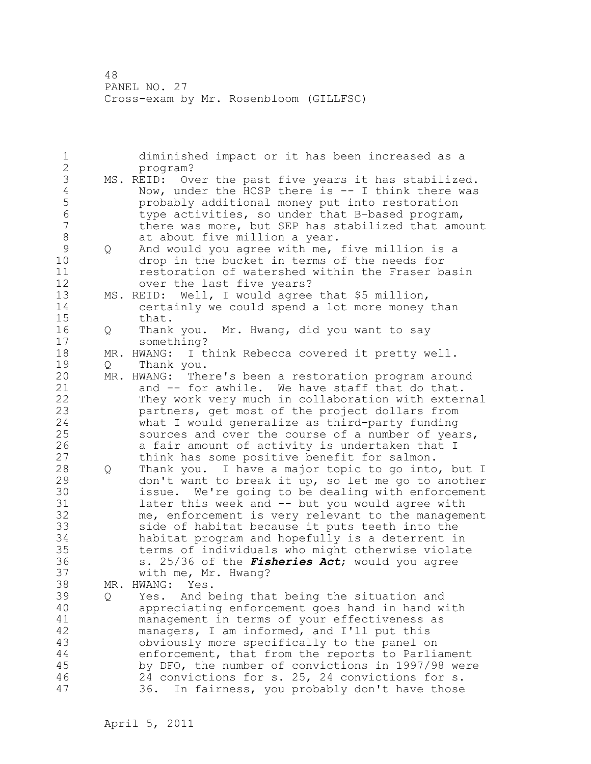1 diminished impact or it has been increased as a 2 program? 3 MS. REID: Over the past five years it has stabilized.<br>4 Now, under the HCSP there is -- I think there was 4 Now, under the HCSP there is -- I think there was<br>5 probably additional money put into restoration 5 probably additional money put into restoration 6 type activities, so under that B-based program, there was more, but SEP has stabilized that amount 8 at about five million a year.<br>9 0 And would you agree with me, 9 Q And would you agree with me, five million is a<br>10 drop in the bucket in terms of the needs for drop in the bucket in terms of the needs for 11 restoration of watershed within the Fraser basin 12 over the last five years? 13 MS. REID: Well, I would agree that \$5 million, 14 certainly we could spend a lot more money than 15 that. 16 Q Thank you. Mr. Hwang, did you want to say 17 something? 18 MR. HWANG: I think Rebecca covered it pretty well. 19 Q Thank you.<br>20 MR. HWANG: The MR. HWANG: There's been a restoration program around 21 and -- for awhile. We have staff that do that. 22 They work very much in collaboration with external 23 partners, get most of the project dollars from 24 what I would generalize as third-party funding 25 sources and over the course of a number of years, 26 a fair amount of activity is undertaken that I<br>27 think has some positive benefit for salmon. think has some positive benefit for salmon. 28 Q Thank you. I have a major topic to go into, but I 29 don't want to break it up, so let me go to another 30 issue. We're going to be dealing with enforcement<br>31 later this week and -- but you would agree with later this week and -- but you would agree with 32 me, enforcement is very relevant to the management 33 side of habitat because it puts teeth into the 34 habitat program and hopefully is a deterrent in 35 terms of individuals who might otherwise violate 36 s. 25/36 of the *Fisheries Act*; would you agree 37 with me, Mr. Hwang? 38 MR. HWANG: Yes. 39 Q Yes. And being that being the situation and 40 appreciating enforcement goes hand in hand with 41 management in terms of your effectiveness as<br>42 managers, I am informed, and I'll put this managers, I am informed, and I'll put this 43 obviously more specifically to the panel on 44 enforcement, that from the reports to Parliament 45 by DFO, the number of convictions in 1997/98 were 46 24 convictions for s. 25, 24 convictions for s. 47 36. In fairness, you probably don't have those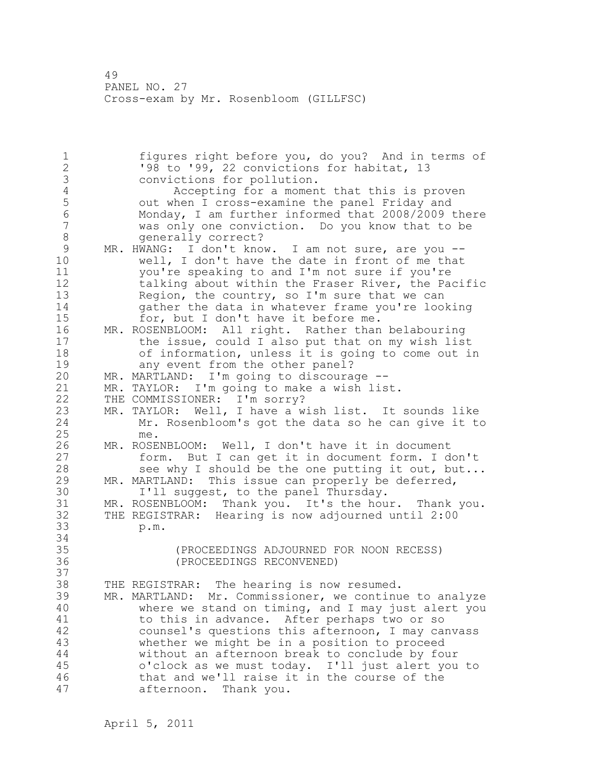1 figures right before you, do you? And in terms of 2 '98 to '99, 22 convictions for habitat, 13 3 convictions for pollution.<br>4 Accepting for a momen 4 Accepting for a moment that this is proven<br>5 out when I cross-examine the panel Friday and 5 out when I cross-examine the panel Friday and 6 Monday, I am further informed that 2008/2009 there was only one conviction. Do you know that to be 8 generally correct? 9 MR. HWANG: I don't know. I am not sure, are you --<br>10 well, I don't have the date in front of me that well, I don't have the date in front of me that 11 you're speaking to and I'm not sure if you're 12 talking about within the Fraser River, the Pacific 13 Region, the country, so I'm sure that we can 14 gather the data in whatever frame you're looking 15 for, but I don't have it before me. 16 MR. ROSENBLOOM: All right. Rather than belabouring 17 the issue, could I also put that on my wish list 18 of information, unless it is going to come out in 19 any event from the other panel?<br>20 MR. MARTLAND: I'm going to discoura MR. MARTLAND: I'm going to discourage --21 MR. TAYLOR: I'm going to make a wish list. 22 THE COMMISSIONER: I'm sorry? 23 MR. TAYLOR: Well, I have a wish list. It sounds like 24 Mr. Rosenbloom's got the data so he can give it to 25 me. 26 MR. ROSENBLOOM: Well, I don't have it in document<br>27 form. But I can get it in document form. I d 27 form. But I can get it in document form. I don't<br>28 see why I should be the one putting it out. but.. see why I should be the one putting it out, but... 29 MR. MARTLAND: This issue can properly be deferred, 30 I'll suggest, to the panel Thursday.<br>31 MR. ROSENBLOOM: Thank vou. It's the hou MR. ROSENBLOOM: Thank you. It's the hour. Thank you. 32 THE REGISTRAR: Hearing is now adjourned until 2:00 33 p.m. 34 35 (PROCEEDINGS ADJOURNED FOR NOON RECESS) 36 (PROCEEDINGS RECONVENED) 37 38 THE REGISTRAR: The hearing is now resumed. 39 MR. MARTLAND: Mr. Commissioner, we continue to analyze 40 where we stand on timing, and I may just alert you 41 to this in advance. After perhaps two or so<br>42 counsel's questions this afternoon, I may ca counsel's questions this afternoon, I may canvass 43 whether we might be in a position to proceed 44 without an afternoon break to conclude by four 45 o'clock as we must today. I'll just alert you to 46 that and we'll raise it in the course of the 47 afternoon. Thank you.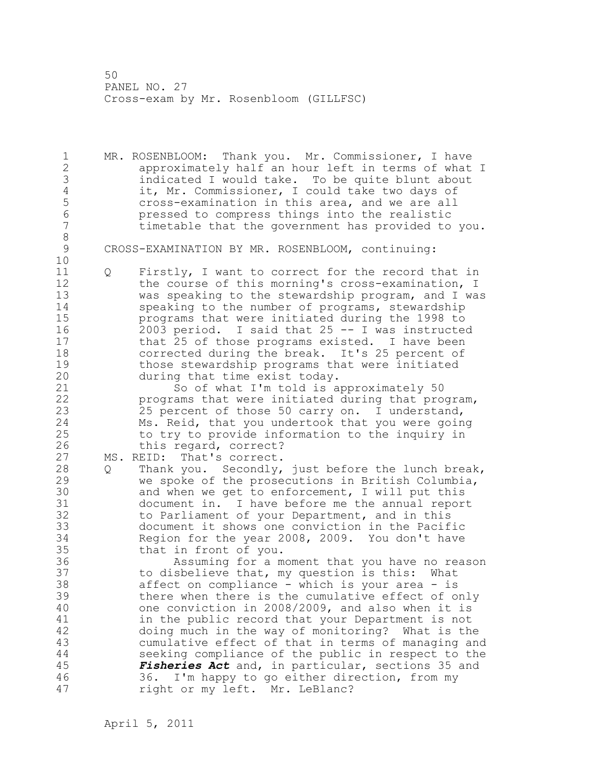1 MR. ROSENBLOOM: Thank you. Mr. Commissioner, I have 2 approximately half an hour left in terms of what I 3 indicated I would take. To be quite blunt about<br>4 it, Mr. Commissioner, I could take two days of 4 it, Mr. Commissioner, I could take two days of<br>5 cross-examination in this area, and we are all 5 cross-examination in this area, and we are all<br>6 cressed to compress things into the realistic 6 pressed to compress things into the realistic timetable that the government has provided to you. 8 CROSS-EXAMINATION BY MR. ROSENBLOOM, continuing: 10 11 Q Firstly, I want to correct for the record that in 12 the course of this morning's cross-examination, I 13 was speaking to the stewardship program, and I was 14 speaking to the number of programs, stewardship 15 programs that were initiated during the 1998 to 16 2003 period. I said that 25 -- I was instructed 17 that 25 of those programs existed. I have been 18 corrected during the break. It's 25 percent of 19 those stewardship programs that were initiated<br>20 during that time exist today. during that time exist today. 21 So of what I'm told is approximately 50 22 programs that were initiated during that program, 23 25 percent of those 50 carry on. I understand, 24 Ms. Reid, that you undertook that you were going 25 to try to provide information to the inquiry in 26 this regard, correct?<br>27 MS. REID: That's correct.

MS. REID: That's correct.

28 Q Thank you. Secondly, just before the lunch break, 29 we spoke of the prosecutions in British Columbia, 30 and when we get to enforcement, I will put this<br>31 document in. I have before me the annual repor document in. I have before me the annual report 32 to Parliament of your Department, and in this 33 document it shows one conviction in the Pacific 34 Region for the year 2008, 2009. You don't have 35 that in front of you.

36 Assuming for a moment that you have no reason 37 to disbelieve that, my question is this: What 38 affect on compliance - which is your area - is 39 there when there is the cumulative effect of only 40 one conviction in 2008/2009, and also when it is 41 in the public record that your Department is not<br>42 doing much in the way of monitoring? What is the doing much in the way of monitoring? What is the 43 cumulative effect of that in terms of managing and 44 seeking compliance of the public in respect to the 45 *Fisheries Act* and, in particular, sections 35 and 46 36. I'm happy to go either direction, from my 47 right or my left. Mr. LeBlanc?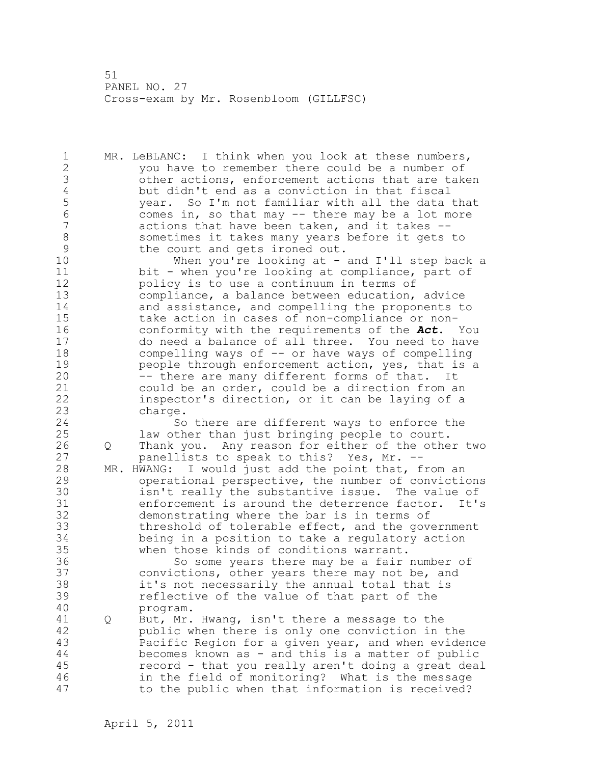1 MR. LeBLANC: I think when you look at these numbers, 2 you have to remember there could be a number of 3 other actions, enforcement actions that are taken<br>4 but didn't end as a conviction in that fiscal 4 but didn't end as a conviction in that fiscal<br>5 vear. So I'm not familiar with all the data 5 year. So I'm not familiar with all the data that<br>6 comes in, so that may -- there may be a lot more 6 comes in, so that may  $-$  there may be a lot more<br>7 actions that have been taken, and it takes  $$ actions that have been taken, and it takes --8 sometimes it takes many years before it gets to<br>9 the court and gets ironed out. 9 the court and gets ironed out.<br>10 When you're looking at -When you're looking at  $-$  and I'll step back a

11 bit - when you're looking at compliance, part of 12 policy is to use a continuum in terms of 13 compliance, a balance between education, advice 14 and assistance, and compelling the proponents to 15 take action in cases of non-compliance or non-16 conformity with the requirements of the *Act*. You 17 do need a balance of all three. You need to have 18 compelling ways of -- or have ways of compelling 19 beople through enforcement action, yes, that is a<br>20 -- there are many different forms of that. It -- there are many different forms of that. It 21 could be an order, could be a direction from an 22 inspector's direction, or it can be laying of a 23 charge.

24 So there are different ways to enforce the 25 law other than just bringing people to court. 26 Q Thank you. Any reason for either of the other two<br>27 banellists to speak to this? Yes, Mr. -panellists to speak to this? Yes, Mr. --

28 MR. HWANG: I would just add the point that, from an 29 operational perspective, the number of convictions 30 isn't really the substantive issue. The value of<br>31 enforcement is around the deterrence factor. It's 31 enforcement is around the deterrence factor. It's<br>32 demonstrating where the bar is in terms of demonstrating where the bar is in terms of 33 threshold of tolerable effect, and the government 34 being in a position to take a regulatory action 35 when those kinds of conditions warrant.

36 So some years there may be a fair number of 37 convictions, other years there may not be, and 38 it's not necessarily the annual total that is 39 reflective of the value of that part of the 40 program.

41 Q But, Mr. Hwang, isn't there a message to the<br>42 bublic when there is only one conviction in public when there is only one conviction in the 43 Pacific Region for a given year, and when evidence 44 becomes known as - and this is a matter of public 45 record - that you really aren't doing a great deal 46 in the field of monitoring? What is the message 47 to the public when that information is received?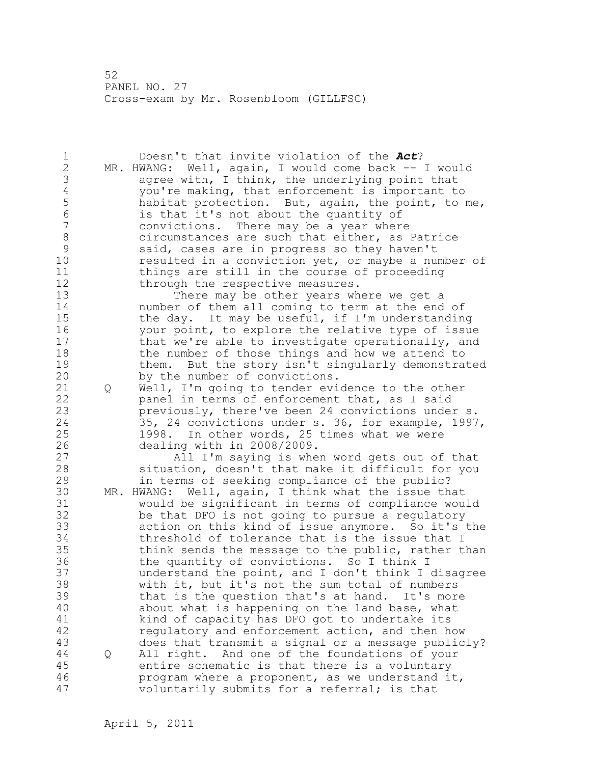1 Doesn't that invite violation of the *Act*? 2 MR. HWANG: Well, again, I would come back -- I would 3 agree with, I think, the underlying point that<br>4 you're making, that enforcement is important to 4 you're making, that enforcement is important to<br>5 habitat protection. But, again, the point, to m 5 habitat protection. But, again, the point, to me, 6 is that it's not about the quantity of convictions. There may be a year where 8 circumstances are such that either, as Patrice<br>9 said, cases are in progress so they haven't 9 said, cases are in progress so they haven't<br>10 sesulted in a conviction vet, or mavbe a nu resulted in a conviction yet, or maybe a number of 11 things are still in the course of proceeding 12 through the respective measures. 13 There may be other years where we get a 14 number of them all coming to term at the end of 15 the day. It may be useful, if I'm understanding 16 your point, to explore the relative type of issue 17 that we're able to investigate operationally, and 18 the number of those things and how we attend to 19 them. But the story isn't singularly demonstrated<br>20 by the number of convictions. by the number of convictions. 21 Q Well, I'm going to tender evidence to the other 22 panel in terms of enforcement that, as I said 23 previously, there've been 24 convictions under s. 24 35, 24 convictions under s. 36, for example, 1997, 25 1998. In other words, 25 times what we were 26 dealing with in 2008/2009.<br>27 All I'm saying is whe All I'm saying is when word gets out of that 28 situation, doesn't that make it difficult for you 29 in terms of seeking compliance of the public? 30 MR. HWANG: Well, again, I think what the issue that 31 would be significant in terms of compliance would be that DFO is not going to pursue a regulatory 33 action on this kind of issue anymore. So it's the 34 threshold of tolerance that is the issue that I 35 think sends the message to the public, rather than 36 the quantity of convictions. So I think I 37 understand the point, and I don't think I disagree 38 with it, but it's not the sum total of numbers 39 that is the question that's at hand. It's more 40 about what is happening on the land base, what 41 kind of capacity has DFO got to undertake its<br>42 equlatory and enforcement action, and then h regulatory and enforcement action, and then how 43 does that transmit a signal or a message publicly? 44 Q All right. And one of the foundations of your 45 entire schematic is that there is a voluntary 46 program where a proponent, as we understand it, 47 voluntarily submits for a referral; is that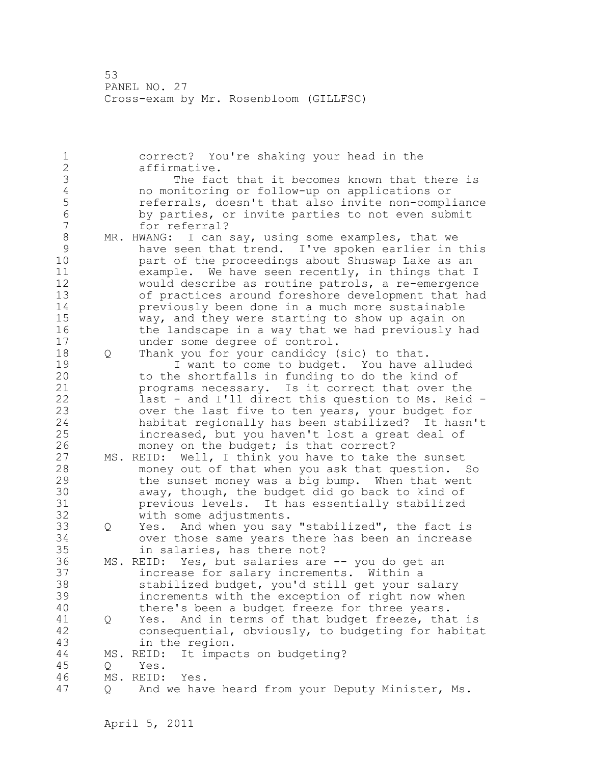1 correct? You're shaking your head in the 2 affirmative. 3 The fact that it becomes known that there is<br>4 no monitoring or follow-up on applications or 4 no monitoring or follow-up on applications or 5 5 referrals, doesn't that also invite non-compliance<br>6 by parties, or invite parties to not even submit 6 by parties, or invite parties to not even submit for referral? 8 MR. HWANG: I can say, using some examples, that we<br>9 have seen that trend. I've spoken earlier in 9 have seen that trend. I've spoken earlier in this part of the proceedings about Shuswap Lake as an 11 example. We have seen recently, in things that I 12 would describe as routine patrols, a re-emergence 13 of practices around foreshore development that had 14 previously been done in a much more sustainable 15 way, and they were starting to show up again on 16 the landscape in a way that we had previously had 17 under some degree of control. 18 Q Thank you for your candidcy (sic) to that. 19 I want to come to budget. You have alluded<br>20 to the shortfalls in funding to do the kind of to the shortfalls in funding to do the kind of 21 programs necessary. Is it correct that over the 22 last - and I'll direct this question to Ms. Reid - 23 over the last five to ten years, your budget for 24 habitat regionally has been stabilized? It hasn't 25 increased, but you haven't lost a great deal of 26 money on the budget; is that correct?<br>27 MS. REID: Well, I think you have to take MS. REID: Well, I think you have to take the sunset 28 money out of that when you ask that question. So 29 the sunset money was a big bump. When that went 30 away, though, the budget did go back to kind of<br>31 brevious levels. It has essentially stabilized previous levels. It has essentially stabilized 32 with some adjustments. 33 Q Yes. And when you say "stabilized", the fact is 34 over those same years there has been an increase 35 in salaries, has there not? 36 MS. REID: Yes, but salaries are -- you do get an 37 increase for salary increments. Within a 38 stabilized budget, you'd still get your salary 39 increments with the exception of right now when 40 there's been a budget freeze for three years. 41 Q Yes. And in terms of that budget freeze, that is consequential, obviously, to budgeting for habitat 43 in the region. 44 MS. REID: It impacts on budgeting? 45 Q Yes. 46 MS. REID: Yes. 47 Q And we have heard from your Deputy Minister, Ms.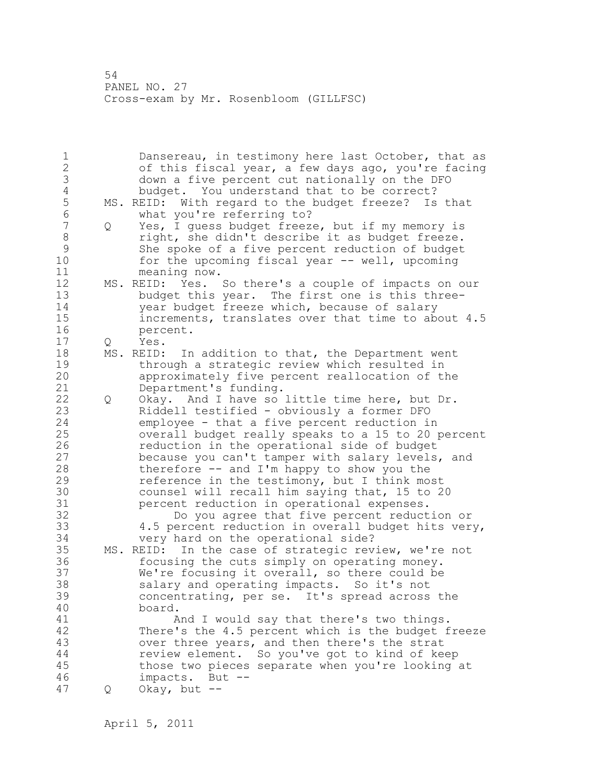1 Dansereau, in testimony here last October, that as 2 of this fiscal year, a few days ago, you're facing 3 down a five percent cut nationally on the DFO 4 budget. You understand that to be correct?<br>5 MS. REID: With regard to the budget freeze? Is 5 MS. REID: With regard to the budget freeze? Is that<br>6 What you're referring to? 6 what you're referring to?<br>7 0 Yes. I quess budget freeze 7 Q Yes, I guess budget freeze, but if my memory is 8 a right, she didn't describe it as budget freeze.<br>8 9 She spoke of a five percent reduction of budget 9 She spoke of a five percent reduction of budget<br>10 for the upcoming fiscal year -- well, upcoming for the upcoming fiscal year  $--$  well, upcoming 11 meaning now. 12 MS. REID: Yes. So there's a couple of impacts on our 13 budget this year. The first one is this three-14 year budget freeze which, because of salary 15 increments, translates over that time to about 4.5 16 percent. 17 Q Yes. 18 MS. REID: In addition to that, the Department went 19 through a strategic review which resulted in<br>20 approximately five percent reallocation of t approximately five percent reallocation of the 21 Department's funding. 22 Q Okay. And I have so little time here, but Dr. 23 Riddell testified - obviously a former DFO 24 employee - that a five percent reduction in 25 overall budget really speaks to a 15 to 20 percent 26 reduction in the operational side of budget<br>27 because you can't tamper with salary levels, because you can't tamper with salary levels, and 28 therefore -- and I'm happy to show you the 29 reference in the testimony, but I think most 30 counsel will recall him saying that, 15 to 20<br>31 experient reduction in operational expenses. 31 **beedeming percent reduction in operational expenses.**<br>32 **bo** you agree that five percent reduct Do you agree that five percent reduction or 33 4.5 percent reduction in overall budget hits very, 34 very hard on the operational side? 35 MS. REID: In the case of strategic review, we're not 36 focusing the cuts simply on operating money. 37 We're focusing it overall, so there could be 38 salary and operating impacts. So it's not 39 concentrating, per se. It's spread across the 40 board. 41 And I would say that there's two things.<br>42 There's the 4.5 percent which is the budget f There's the 4.5 percent which is the budget freeze 43 over three years, and then there's the strat 44 review element. So you've got to kind of keep 45 those two pieces separate when you're looking at 46 impacts. But -- 47 Q Okay, but --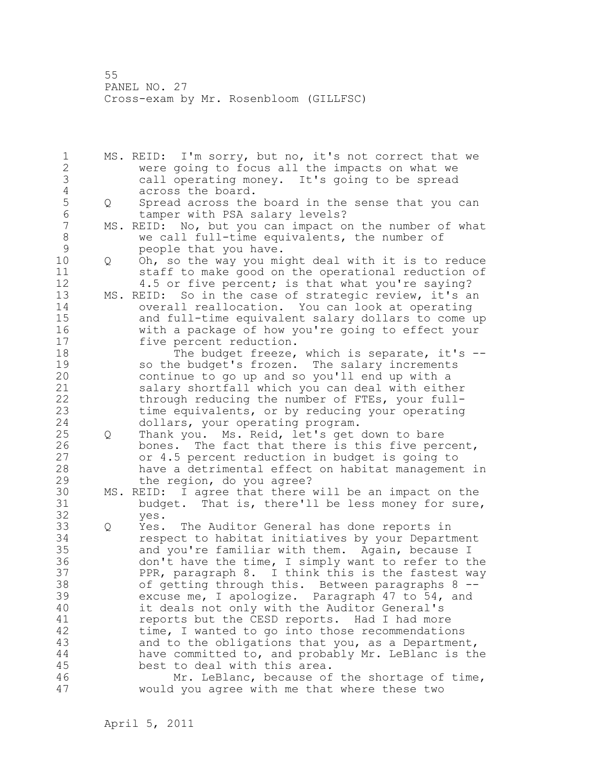1 MS. REID: I'm sorry, but no, it's not correct that we 2 were going to focus all the impacts on what we 3 call operating money. It's going to be spread 4 across the board.<br>5 0 Spread across the 5 Q Spread across the board in the sense that you can 6 tamper with PSA salary levels?<br>7 MS. REID: No. but you can impact of MS. REID: No, but you can impact on the number of what 8 we call full-time equivalents, the number of 9 people that you have.<br>10 0 Oh, so the way you mi 10 Q Oh, so the way you might deal with it is to reduce 11 staff to make good on the operational reduction of 12 4.5 or five percent; is that what you're saying? 13 MS. REID: So in the case of strategic review, it's an 14 overall reallocation. You can look at operating 15 and full-time equivalent salary dollars to come up 16 with a package of how you're going to effect your 17 five percent reduction. 18 The budget freeze, which is separate, it's --19 so the budget's frozen. The salary increments<br>20 continue to go up and so you'll end up with a continue to go up and so you'll end up with a 21 salary shortfall which you can deal with either 22 through reducing the number of FTEs, your full-23 time equivalents, or by reducing your operating 24 dollars, your operating program. 25 Q Thank you. Ms. Reid, let's get down to bare 26 bones. The fact that there is this five percent,<br>27 or 4.5 percent reduction in budget is going to or 4.5 percent reduction in budget is going to 28 have a detrimental effect on habitat management in 29 the region, do you agree? 30 MS. REID: I agree that there will be an impact on the 31 budget. That is, there'll be less money for sure,<br>32 ves. yes. 33 Q Yes. The Auditor General has done reports in 34 respect to habitat initiatives by your Department 35 and you're familiar with them. Again, because I 36 don't have the time, I simply want to refer to the 37 PPR, paragraph 8. I think this is the fastest way 38 of getting through this. Between paragraphs 8 -- 39 excuse me, I apologize. Paragraph 47 to 54, and 40 it deals not only with the Auditor General's 41 reports but the CESD reports. Had I had more<br>42 time, I wanted to go into those recommendatio time, I wanted to go into those recommendations 43 and to the obligations that you, as a Department, 44 have committed to, and probably Mr. LeBlanc is the 45 best to deal with this area. 46 Mr. LeBlanc, because of the shortage of time, 47 would you agree with me that where these two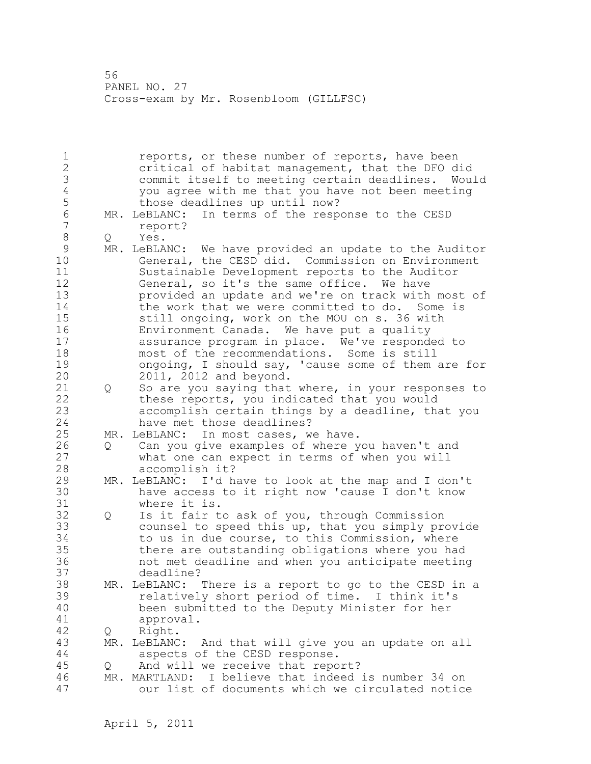1 **1** reports, or these number of reports, have been 2 critical of habitat management, that the DFO did 3 commit itself to meeting certain deadlines. Would 4 you agree with me that you have not been meeting those deadlines up until now? 6 MR. LeBLANC: In terms of the response to the CESD<br>7 report? 7 report? 8 Q Yes.<br>9 MR. LeBLA 9 MR. LeBLANC: We have provided an update to the Auditor<br>10 General, the CESD did. Commission on Environment General, the CESD did. Commission on Environment 11 Sustainable Development reports to the Auditor 12 General, so it's the same office. We have 13 provided an update and we're on track with most of 14 the work that we were committed to do. Some is 15 still ongoing, work on the MOU on s. 36 with 16 Environment Canada. We have put a quality 17 assurance program in place. We've responded to 18 most of the recommendations. Some is still 19 ongoing, I should say, 'cause some of them are for<br>20 2011, 2012 and beyond. 20 2011, 2012 and beyond. 21 Q So are you saying that where, in your responses to 22 these reports, you indicated that you would 23 accomplish certain things by a deadline, that you 24 have met those deadlines? 25 MR. LeBLANC: In most cases, we have. 26 Q Can you give examples of where you haven't and<br>27 what one can expect in terms of when you will what one can expect in terms of when you will 28 accomplish it? 29 MR. LeBLANC: I'd have to look at the map and I don't 30 have access to it right now 'cause I don't know where it is. 32 Q Is it fair to ask of you, through Commission 33 counsel to speed this up, that you simply provide 34 to us in due course, to this Commission, where 35 there are outstanding obligations where you had 36 not met deadline and when you anticipate meeting 37 deadline? 38 MR. LeBLANC: There is a report to go to the CESD in a 39 relatively short period of time. I think it's 40 been submitted to the Deputy Minister for her 41 approval.<br>42 0 Right. Q Right. 43 MR. LeBLANC: And that will give you an update on all 44 aspects of the CESD response. 45 Q And will we receive that report? 46 MR. MARTLAND: I believe that indeed is number 34 on 47 our list of documents which we circulated notice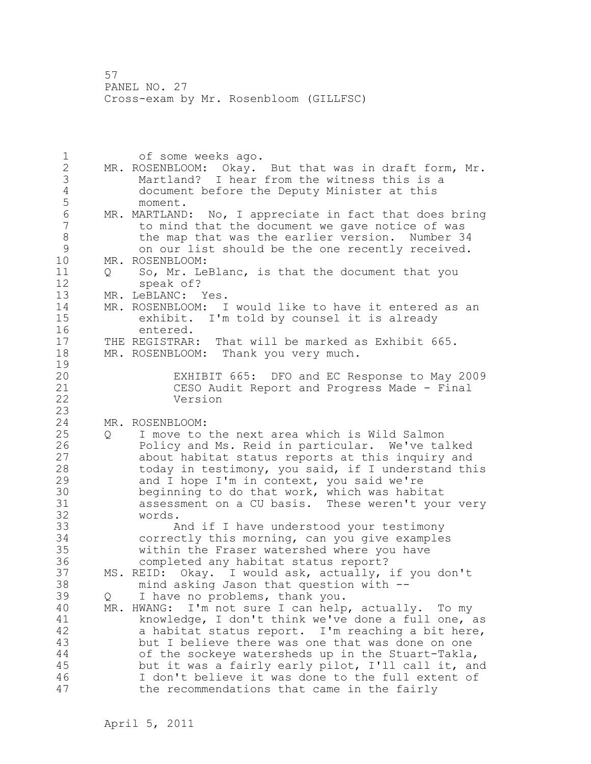1 of some weeks ago. 2 MR. ROSENBLOOM: Okay. But that was in draft form, Mr. 3 Martland? I hear from the witness this is a 4 document before the Deputy Minister at this 5 moment.<br>6 MR.MARTLAND 6 MR. MARTLAND: No, I appreciate in fact that does bring to mind that the document we gave notice of was 8 the map that was the earlier version. Number 34<br>9 on our list should be the one recently received. 9 on our list should be the one recently received.<br>10 MR. ROSENBLOOM: MR. ROSENBLOOM: 11 Q So, Mr. LeBlanc, is that the document that you 12 speak of? 13 MR. LeBLANC: Yes. 14 MR. ROSENBLOOM: I would like to have it entered as an 15 exhibit. I'm told by counsel it is already 16 entered.<br>17 THE REGISTRAR: 17 THE REGISTRAR: That will be marked as Exhibit 665. 18 MR. ROSENBLOOM: Thank you very much.  $\frac{19}{20}$ EXHIBIT 665: DFO and EC Response to May 2009 21 CESO Audit Report and Progress Made - Final 22 Version 23 24 MR. ROSENBLOOM: 25 Q I move to the next area which is Wild Salmon 26 Policy and Ms. Reid in particular. We've talked<br>27 about habitat status reports at this inquiry and about habitat status reports at this inquiry and 28 today in testimony, you said, if I understand this 29 and I hope I'm in context, you said we're 30 beginning to do that work, which was habitat<br>31 assessment on a CU basis. These weren't you 31 assessment on a CU basis. These weren't your very words. 33 And if I have understood your testimony 34 correctly this morning, can you give examples 35 within the Fraser watershed where you have 36 completed any habitat status report? 37 MS. REID: Okay. I would ask, actually, if you don't 38 mind asking Jason that question with -- 39 Q I have no problems, thank you. 40 MR. HWANG: I'm not sure I can help, actually. To my 41 knowledge, I don't think we've done a full one, as<br>42 a habitat status report. I'm reaching a bit here, a habitat status report. I'm reaching a bit here, 43 but I believe there was one that was done on one 44 of the sockeye watersheds up in the Stuart-Takla, 45 but it was a fairly early pilot, I'll call it, and 46 I don't believe it was done to the full extent of 47 the recommendations that came in the fairly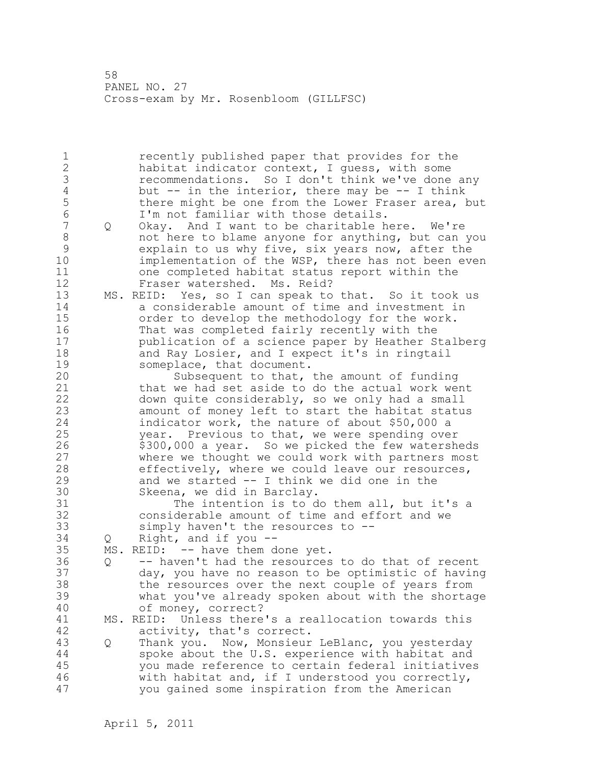1 recently published paper that provides for the 2 habitat indicator context, I guess, with some 3 recommendations. So I don't think we've done any<br>4 but -- in the interior, there may be -- I think 4 but -- in the interior, there may be -- I think<br>5 there might be one from the Lower Fraser area, k 5 there might be one from the Lower Fraser area, but<br>6 I'm not familiar with those details. 6 I'm not familiar with those details. Q Okay. And I want to be charitable here. We're 8 not here to blame anyone for anything, but can you 9 explain to us why five, six years now, after the<br>10 implementation of the WSP, there has not been even implementation of the WSP, there has not been even 11 one completed habitat status report within the 12 Fraser watershed. Ms. Reid? 13 MS. REID: Yes, so I can speak to that. So it took us 14 a considerable amount of time and investment in 15 order to develop the methodology for the work. 16 That was completed fairly recently with the 17 publication of a science paper by Heather Stalberg 18 and Ray Losier, and I expect it's in ringtail 19 someplace, that document.<br>20 Subsequent to that, Subsequent to that, the amount of funding 21 that we had set aside to do the actual work went 22 down quite considerably, so we only had a small 23 amount of money left to start the habitat status 24 indicator work, the nature of about \$50,000 a 25 year. Previous to that, we were spending over 26 \$300,000 a year. So we picked the few watersheds<br>27 where we thought we could work with partners most where we thought we could work with partners most 28 effectively, where we could leave our resources, 29 and we started -- I think we did one in the 30 Skeena, we did in Barclay.<br>31 The intention is to d 31 The intention is to do them all, but it's a<br>32 considerable amount of time and effort and we considerable amount of time and effort and we 33 simply haven't the resources to -- 34 Q Right, and if you -- 35 MS. REID: -- have them done yet. 36 Q -- haven't had the resources to do that of recent 37 day, you have no reason to be optimistic of having 38 the resources over the next couple of years from 39 what you've already spoken about with the shortage 40 of money, correct? 41 MS. REID: Unless there's a reallocation towards this<br>42 activity, that's correct. activity, that's correct. 43 Q Thank you. Now, Monsieur LeBlanc, you yesterday 44 spoke about the U.S. experience with habitat and 45 you made reference to certain federal initiatives 46 with habitat and, if I understood you correctly, 47 you gained some inspiration from the American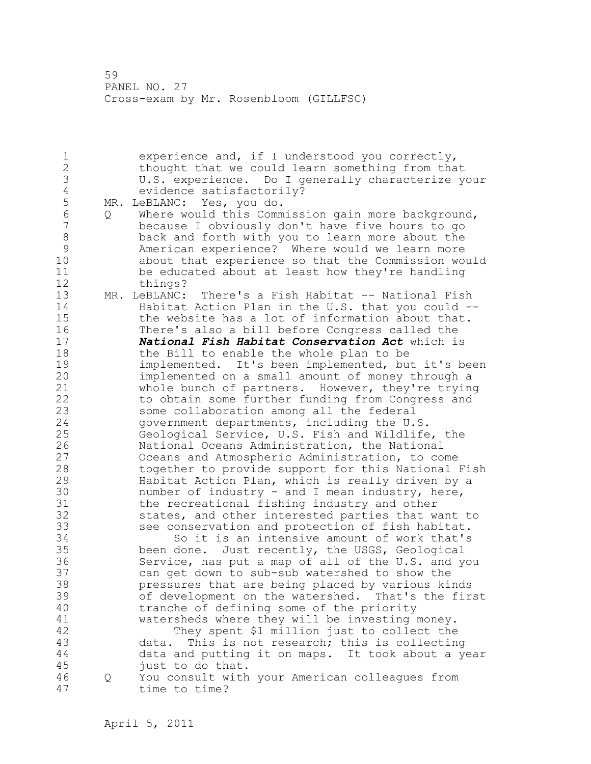1 experience and, if I understood you correctly, 2 thought that we could learn something from that 3 U.S. experience. Do I generally characterize your 4 evidence satisfactorily?<br>5 MR. LeBLANC: Yes, you do. 5 MR. LeBLANC: Yes, you do. 6 Q Where would this Commission gain more background, because I obviously don't have five hours to go 8 back and forth with you to learn more about the 9 American experience? Where would we learn more<br>10 about that experience so that the Commission wo about that experience so that the Commission would 11 be educated about at least how they're handling 12 things? 13 MR. LeBLANC: There's a Fish Habitat -- National Fish 14 Habitat Action Plan in the U.S. that you could -- 15 the website has a lot of information about that. 16 There's also a bill before Congress called the 17 *National Fish Habitat Conservation Act* which is 18 the Bill to enable the whole plan to be 19 implemented. It's been implemented, but it's been<br>20 implemented on a small amount of money through a implemented on a small amount of money through a 21 whole bunch of partners. However, they're trying 22 to obtain some further funding from Congress and 23 some collaboration among all the federal 24 government departments, including the U.S. 25 Geological Service, U.S. Fish and Wildlife, the 26 120 National Oceans Administration, the National<br>27 0 Oceans and Atmospheric Administration, to com Oceans and Atmospheric Administration, to come 28 together to provide support for this National Fish 29 Habitat Action Plan, which is really driven by a 30 mumber of industry - and I mean industry, here,<br>31 the recreational fishing industry and other 31 the recreational fishing industry and other<br>32 states, and other interested parties that w states, and other interested parties that want to 33 see conservation and protection of fish habitat. 34 So it is an intensive amount of work that's 35 been done. Just recently, the USGS, Geological 36 Service, has put a map of all of the U.S. and you 37 can get down to sub-sub watershed to show the 38 pressures that are being placed by various kinds 39 of development on the watershed. That's the first 40 tranche of defining some of the priority 41 watersheds where they will be investing money.<br>42 They spent \$1 million just to collect the They spent \$1 million just to collect the 43 data. This is not research; this is collecting 44 data and putting it on maps. It took about a year 45 just to do that. 46 Q You consult with your American colleagues from 47 time to time?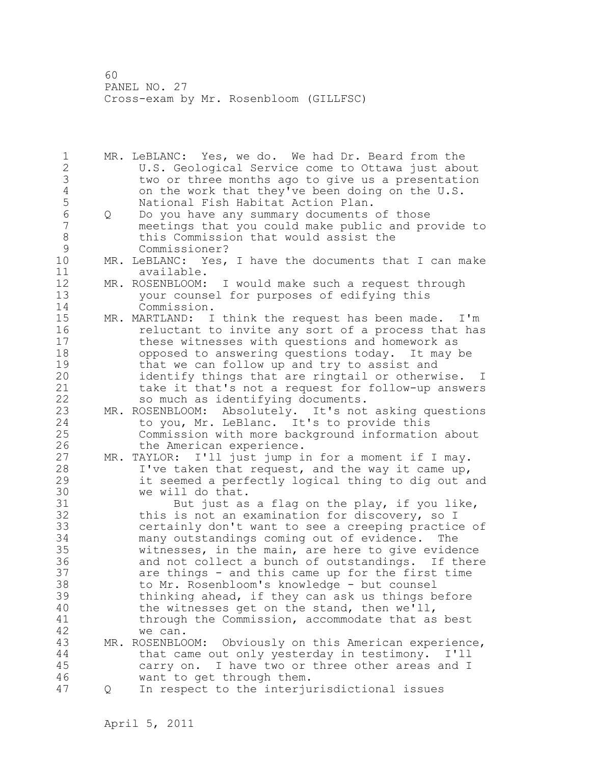1 MR. LeBLANC: Yes, we do. We had Dr. Beard from the 2 U.S. Geological Service come to Ottawa just about 3 two or three months ago to give us a presentation<br>4 on the work that they've been doing on the U.S. 4 on the work that they've been doing on the U.S.<br>5 National Fish Habitat Action Plan. 5 National Fish Habitat Action Plan.<br>6 0 Do you have any summary documents 6 Q Do you have any summary documents of those meetings that you could make public and provide to 8 this Commission that would assist the<br>9 Commissioner? 9 Commissioner?<br>10 MR. LeBLANC: Yes, MR. LeBLANC: Yes, I have the documents that I can make 11 available. 12 MR. ROSENBLOOM: I would make such a request through 13 your counsel for purposes of edifying this 14 Commission. 15 MR. MARTLAND: I think the request has been made. I'm 16 reluctant to invite any sort of a process that has 17 these witnesses with questions and homework as 18 opposed to answering questions today. It may be 19 that we can follow up and try to assist and<br>20 identify things that are ringtail or otherw identify things that are ringtail or otherwise. I 21 take it that's not a request for follow-up answers 22 so much as identifying documents. 23 MR. ROSENBLOOM: Absolutely. It's not asking questions 24 to you, Mr. LeBlanc. It's to provide this 25 Commission with more background information about 26 the American experience.<br>27 MR. TAYLOR: I'll just jump i MR. TAYLOR: I'll just jump in for a moment if I may. 28 I've taken that request, and the way it came up, 29 it seemed a perfectly logical thing to dig out and 30 we will do that.<br>31 But just as But just as a flag on the play, if you like, 32 this is not an examination for discovery, so I 33 certainly don't want to see a creeping practice of 34 many outstandings coming out of evidence. The 35 witnesses, in the main, are here to give evidence 36 and not collect a bunch of outstandings. If there 37 are things - and this came up for the first time 38 to Mr. Rosenbloom's knowledge - but counsel 39 thinking ahead, if they can ask us things before 40 the witnesses get on the stand, then we'll, 41 through the Commission, accommodate that as best<br>42 we can. we can. 43 MR. ROSENBLOOM: Obviously on this American experience, 44 that came out only yesterday in testimony. I'll 45 carry on. I have two or three other areas and I 46 want to get through them. 47 Q In respect to the interjurisdictional issues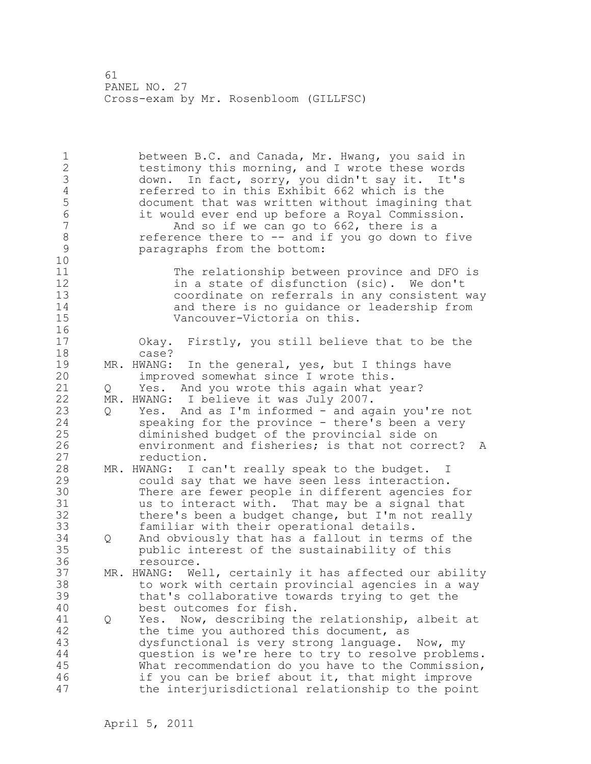1 between B.C. and Canada, Mr. Hwang, you said in 2 testimony this morning, and I wrote these words 3 down. In fact, sorry, you didn't say it. It's 4 referred to in this Exhibit 662 which is the<br>5 document that was written without imagining 5 document that was written without imagining that 6 it would ever end up before a Royal Commission. And so if we can go to 662, there is a 8 reference there to -- and if you go down to five<br>9 paragraphs from the bottom: paragraphs from the bottom: 10 11 The relationship between province and DFO is 12 in a state of disfunction (sic). We don't<br>13 coordinate on referrals in any consistent coordinate on referrals in any consistent way 14 and there is no guidance or leadership from 15 Vancouver-Victoria on this. 16 17 Okay. Firstly, you still believe that to be the 18 case? 19 MR. HWANG: In the general, yes, but I things have<br>20 improved somewhat since I wrote this. improved somewhat since I wrote this. 21 Q Yes. And you wrote this again what year? 22 MR. HWANG: I believe it was July 2007. 23 Q Yes. And as I'm informed - and again you're not 24 speaking for the province - there's been a very 25 diminished budget of the provincial side on 26 environment and fisheries; is that not correct? A<br>27 eduction. reduction. 28 MR. HWANG: I can't really speak to the budget. I 29 could say that we have seen less interaction. 30 There are fewer people in different agencies for<br>31 and the interact with. That may be a signal that us to interact with. That may be a signal that 32 there's been a budget change, but I'm not really 33 familiar with their operational details. 34 Q And obviously that has a fallout in terms of the 35 public interest of the sustainability of this 36 resource. 37 MR. HWANG: Well, certainly it has affected our ability 38 to work with certain provincial agencies in a way 39 that's collaborative towards trying to get the 40 best outcomes for fish. 41 Q Yes. Now, describing the relationship, albeit at 42 the time you authored this document, as 43 dysfunctional is very strong language. Now, my 44 question is we're here to try to resolve problems. 45 What recommendation do you have to the Commission, 46 if you can be brief about it, that might improve 47 the interjurisdictional relationship to the point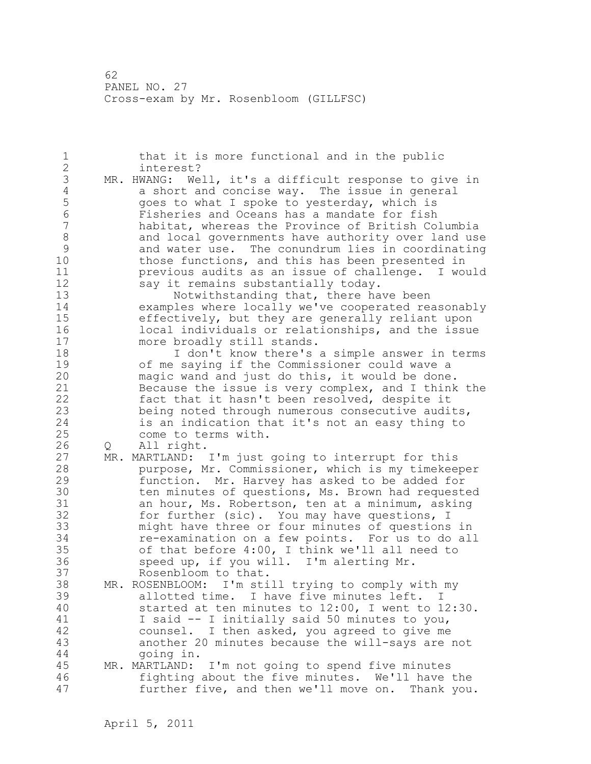1 that it is more functional and in the public 2 interest? 3 MR. HWANG: Well, it's a difficult response to give in<br>4 a short and concise way. The issue in general 4 a short and concise way. The issue in general 5 goes to what I spoke to yesterday, which is 6 Fisheries and Oceans has a mandate for fish habitat, whereas the Province of British Columbia 8 and local governments have authority over land use<br>9 and water use. The conundrum lies in coordinating 9 and water use. The conundrum lies in coordinating those functions, and this has been presented in 11 previous audits as an issue of challenge. I would 12 say it remains substantially today.<br>13 Notwithstanding that, there ha Notwithstanding that, there have been 14 examples where locally we've cooperated reasonably 15 effectively, but they are generally reliant upon 16 local individuals or relationships, and the issue 17 more broadly still stands. 18 I don't know there's a simple answer in terms 19 of me saying if the Commissioner could wave a<br>20 maqic wand and just do this, it would be done magic wand and just do this, it would be done. 21 Because the issue is very complex, and I think the 22 fact that it hasn't been resolved, despite it 23 being noted through numerous consecutive audits, 24 is an indication that it's not an easy thing to 25 come to terms with. 26 Q All right.<br>27 MR. MARTLAND: MR. MARTLAND: I'm just going to interrupt for this 28 purpose, Mr. Commissioner, which is my timekeeper 29 function. Mr. Harvey has asked to be added for 30 ten minutes of questions, Ms. Brown had requested<br>31 an hour, Ms. Robertson, ten at a minimum, asking an hour, Ms. Robertson, ten at a minimum, asking 32 for further (sic). You may have questions, I 33 might have three or four minutes of questions in 34 re-examination on a few points. For us to do all 35 of that before 4:00, I think we'll all need to 36 speed up, if you will. I'm alerting Mr. 37 Rosenbloom to that. 38 MR. ROSENBLOOM: I'm still trying to comply with my 39 allotted time. I have five minutes left. I 40 started at ten minutes to 12:00, I went to 12:30. 41 I said -- I initially said 50 minutes to you, counsel. I then asked, you agreed to give me 43 another 20 minutes because the will-says are not 44 going in. 45 MR. MARTLAND: I'm not going to spend five minutes 46 fighting about the five minutes. We'll have the 47 further five, and then we'll move on. Thank you.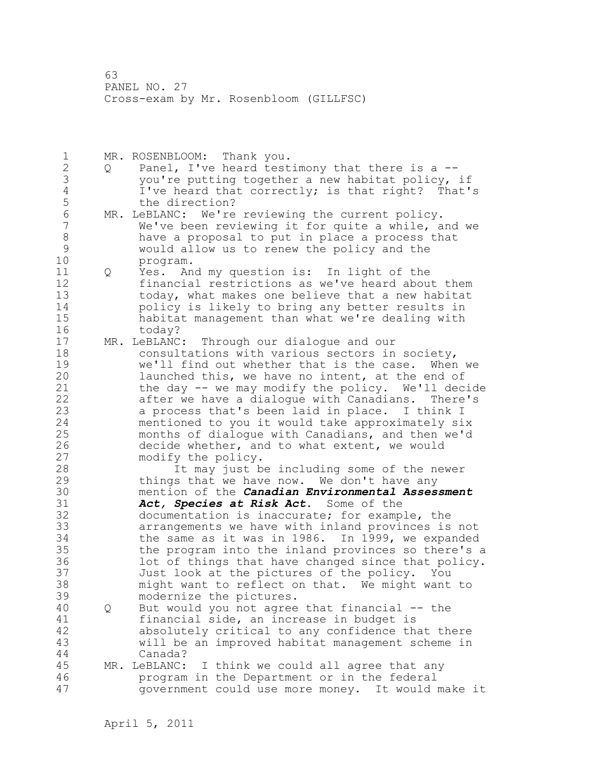1 MR. ROSENBLOOM: Thank you. 2 Q Panel, I've heard testimony that there is a -- 3 you're putting together a new habitat policy, if 4 I've heard that correctly; is that right? That's 5 the direction?<br>6 MR. LeBLANC: We're 6 MR. LeBLANC: We're reviewing the current policy.<br>7 We've been reviewing it for quite a while, a We've been reviewing it for quite a while, and we 8 have a proposal to put in place a process that 9 would allow us to renew the policy and the program. 11 Q Yes. And my question is: In light of the 12 financial restrictions as we've heard about them 13 today, what makes one believe that a new habitat<br>14 bolicy is likely to bring any better results in policy is likely to bring any better results in 15 habitat management than what we're dealing with 16 today? 17 MR. LeBLANC: Through our dialogue and our 18 consultations with various sectors in society, 19 we'll find out whether that is the case. When we<br>20 launched this, we have no intent, at the end of launched this, we have no intent, at the end of 21 the day -- we may modify the policy. We'll decide 22 after we have a dialogue with Canadians. There's 23 a process that's been laid in place. I think I 24 mentioned to you it would take approximately six 25 months of dialogue with Canadians, and then we'd 26 decide whether, and to what extent, we would<br>27 modify the policy. modify the policy. 28 It may just be including some of the newer 29 things that we have now. We don't have any 30 mention of the *Canadian Environmental Assessment*  Act, Species at Risk Act. Some of the 32 documentation is inaccurate; for example, the 33 arrangements we have with inland provinces is not 34 the same as it was in 1986. In 1999, we expanded 35 the program into the inland provinces so there's a 36 lot of things that have changed since that policy. 37 Just look at the pictures of the policy. You 38 might want to reflect on that. We might want to 39 modernize the pictures. 40 Q But would you not agree that financial -- the 41 financial side, an increase in budget is<br>42 absolutely critical to any confidence the absolutely critical to any confidence that there 43 will be an improved habitat management scheme in 44 Canada? 45 MR. LeBLANC: I think we could all agree that any 46 program in the Department or in the federal 47 government could use more money. It would make it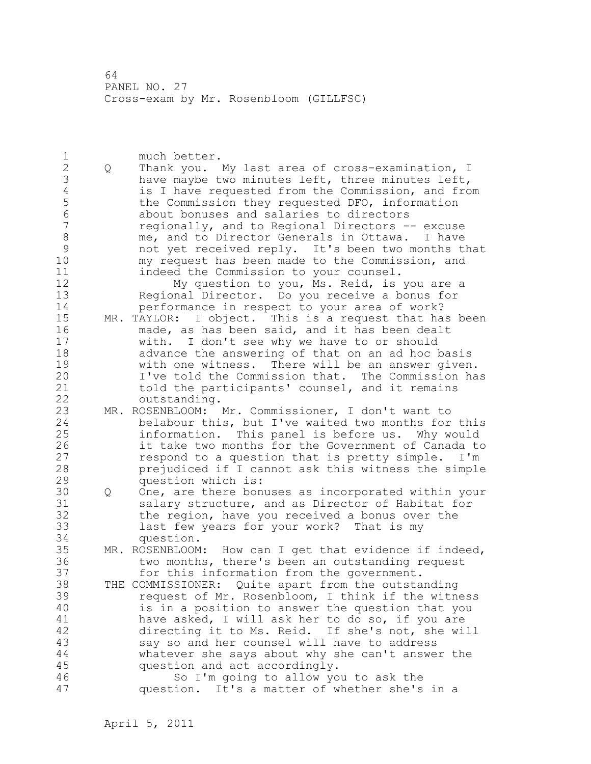1 much better. 2 Q Thank you. My last area of cross-examination, I 3 have maybe two minutes left, three minutes left,<br>4 is I have requested from the Commission, and fro 4 is I have requested from the Commission, and from<br>5 the Commission they requested DFO, information 5 the Commission they requested DFO, information 6 about bonuses and salaries to directors 7 regionally, and to Regional Directors -- excuse 8 me, and to Director Generals in Ottawa. I have 9 mot yet received reply. It's been two months that<br>10 my request has been made to the Commission, and my request has been made to the Commission, and 11 indeed the Commission to your counsel. 12 My question to you, Ms. Reid, is you are a 13 Regional Director. Do you receive a bonus for 14 performance in respect to your area of work? 15 MR. TAYLOR: I object. This is a request that has been 16 made, as has been said, and it has been dealt 17 with. I don't see why we have to or should 18 advance the answering of that on an ad hoc basis 19 with one witness. There will be an answer given.<br>20 1've told the Commission that. The Commission ha I've told the Commission that. The Commission has 21 told the participants' counsel, and it remains 22 outstanding. 23 MR. ROSENBLOOM: Mr. Commissioner, I don't want to 24 belabour this, but I've waited two months for this 25 information. This panel is before us. Why would 26 it take two months for the Government of Canada to<br>27 sepend to a question that is pretty simple. I'm respond to a question that is pretty simple. I'm 28 prejudiced if I cannot ask this witness the simple 29 question which is: 30 Q One, are there bonuses as incorporated within your<br>31 Salary structure, and as Director of Habitat for salary structure, and as Director of Habitat for 32 the region, have you received a bonus over the 33 last few years for your work? That is my 34 question. 35 MR. ROSENBLOOM: How can I get that evidence if indeed, 36 two months, there's been an outstanding request 37 for this information from the government. 38 THE COMMISSIONER: Quite apart from the outstanding 39 request of Mr. Rosenbloom, I think if the witness 40 is in a position to answer the question that you 41 have asked, I will ask her to do so, if you are<br>42 directing it to Ms. Reid. If she's not, she wi directing it to Ms. Reid. If she's not, she will 43 say so and her counsel will have to address 44 whatever she says about why she can't answer the 45 question and act accordingly. 46 So I'm going to allow you to ask the 47 question. It's a matter of whether she's in a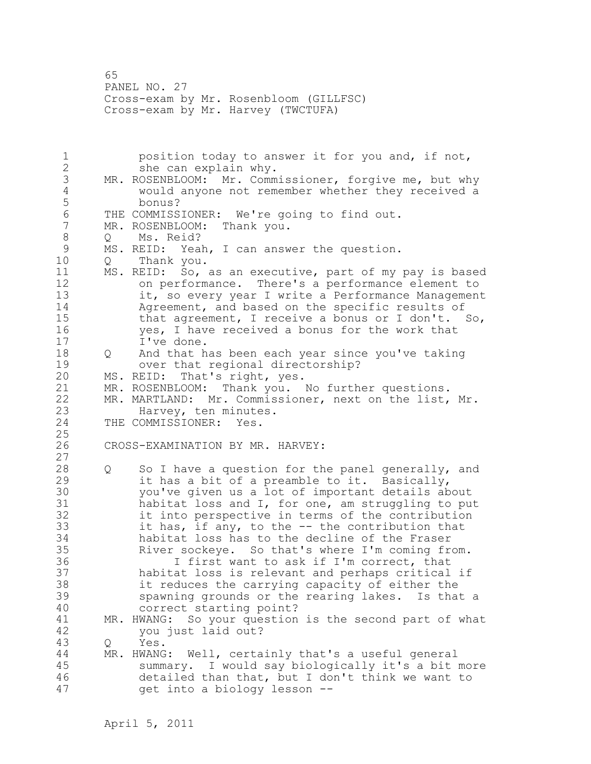65 PANEL NO. 27 Cross-exam by Mr. Rosenbloom (GILLFSC) Cross-exam by Mr. Harvey (TWCTUFA)

1 position today to answer it for you and, if not, 2 she can explain why. 3 MR. ROSENBLOOM: Mr. Commissioner, forgive me, but why 4 would anyone not remember whether they received a 5 bonus?<br>6 THE COMMISSIONER: 6 THE COMMISSIONER: We're going to find out.<br>7 MR. ROSENBLOOM: Thank you. MR. ROSENBLOOM: Thank you. 8 Q Ms. Reid? 9 MS. REID: Yeah, I can answer the question.<br>10 0 Thank you. 10 Q Thank you. 11 MS. REID: So, as an executive, part of my pay is based 12 on performance. There's a performance element to 13 it, so every year I write a Performance Management 14 Agreement, and based on the specific results of 15 that agreement, I receive a bonus or I don't. So, 16 yes, I have received a bonus for the work that 17 I've done. 18 Q And that has been each year since you've taking 19 over that regional directorship?<br>20 MS. REID: That's right, yes. MS. REID: That's right, yes. 21 MR. ROSENBLOOM: Thank you. No further questions. 22 MR. MARTLAND: Mr. Commissioner, next on the list, Mr. 23 Harvey, ten minutes.<br>24 THE COMMISSIONER: Yes. THE COMMISSIONER: Yes. 25 26 CROSS-EXAMINATION BY MR. HARVEY: 27 28 Q So I have a question for the panel generally, and 29 it has a bit of a preamble to it. Basically, 30 you've given us a lot of important details about<br>31 habitat loss and I, for one, am struggling to pu habitat loss and I, for one, am struggling to put 32 it into perspective in terms of the contribution 33 it has, if any, to the -- the contribution that 34 habitat loss has to the decline of the Fraser 35 River sockeye. So that's where I'm coming from. 36 I first want to ask if I'm correct, that 37 habitat loss is relevant and perhaps critical if 38 it reduces the carrying capacity of either the 39 spawning grounds or the rearing lakes. Is that a 40 correct starting point? 41 MR. HWANG: So your question is the second part of what<br>42 vou just laid out? you just laid out? 43 Q Yes. 44 MR. HWANG: Well, certainly that's a useful general 45 summary. I would say biologically it's a bit more 46 detailed than that, but I don't think we want to 47 get into a biology lesson --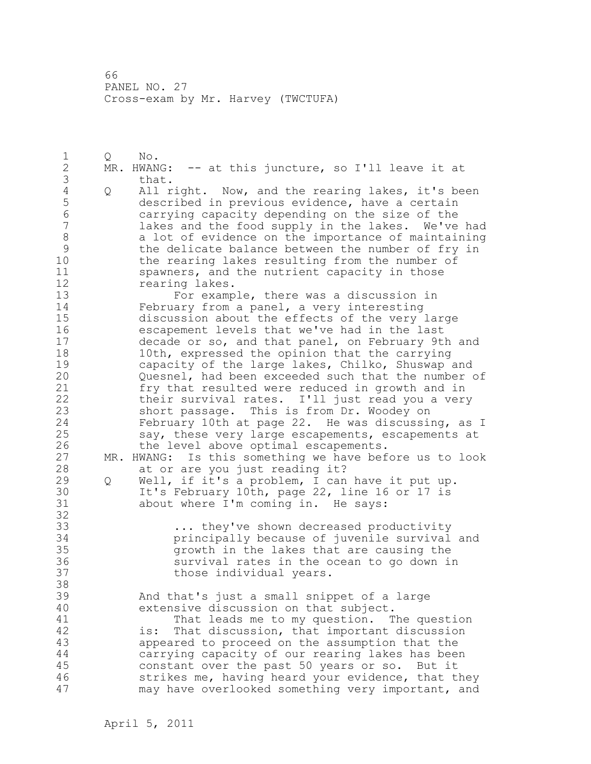66 PANEL NO. 27 Cross-exam by Mr. Harvey (TWCTUFA)

1 Q No. 2 MR. HWANG: -- at this juncture, so I'll leave it at 3 that.<br>4 Q All r 4 Q All right. Now, and the rearing lakes, it's been<br>5 described in previous evidence, have a certain 5 described in previous evidence, have a certain 6 carrying capacity depending on the size of the lakes and the food supply in the lakes. We've had 8 a lot of evidence on the importance of maintaining<br>9 the delicate balance between the number of fry in 9 the delicate balance between the number of fry in the rearing lakes resulting from the number of 11 spawners, and the nutrient capacity in those 12 rearing lakes. 13 For example, there was a discussion in 14 February from a panel, a very interesting 15 discussion about the effects of the very large 16 escapement levels that we've had in the last 17 decade or so, and that panel, on February 9th and 18 10th, expressed the opinion that the carrying 19 capacity of the large lakes, Chilko, Shuswap and<br>20 000 000 meshel, had been exceeded such that the number Quesnel, had been exceeded such that the number of 21 fry that resulted were reduced in growth and in 22 their survival rates. I'll just read you a very 23 short passage. This is from Dr. Woodey on 24 February 10th at page 22. He was discussing, as I 25 say, these very large escapements, escapements at 26 the level above optimal escapements.<br>27 MR. HWANG: Is this something we have bef MR. HWANG: Is this something we have before us to look 28 at or are you just reading it? 29 Q Well, if it's a problem, I can have it put up. 30 It's February 10th, page 22, line 16 or 17 is<br>31 about where I'm coming in. He savs: about where I'm coming in. He says: 32 33 ... they've shown decreased productivity 34 principally because of juvenile survival and 35 growth in the lakes that are causing the 36 survival rates in the ocean to go down in 37 those individual years. 38 39 And that's just a small snippet of a large 40 extensive discussion on that subject. 41 That leads me to my question. The question<br>42 is: That discussion, that important discussion is: That discussion, that important discussion 43 appeared to proceed on the assumption that the 44 carrying capacity of our rearing lakes has been 45 constant over the past 50 years or so. But it 46 strikes me, having heard your evidence, that they 47 may have overlooked something very important, and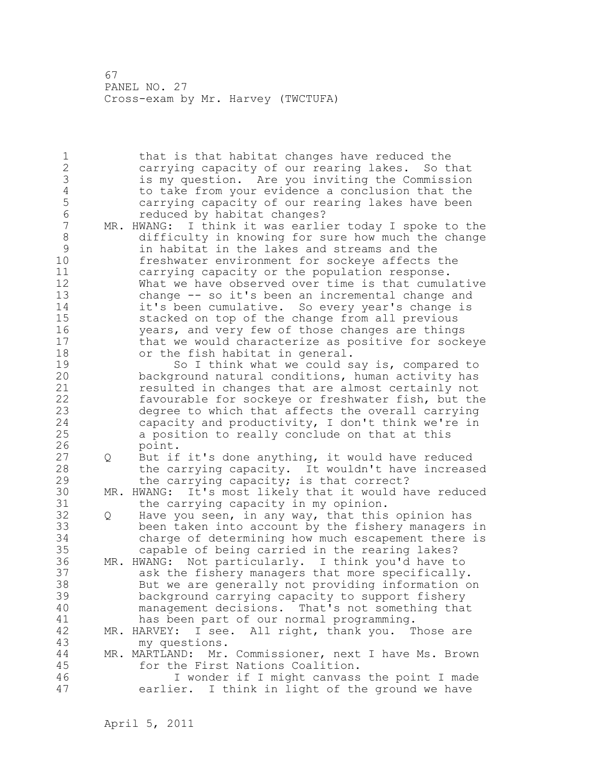67 PANEL NO. 27 Cross-exam by Mr. Harvey (TWCTUFA)

1 that is that habitat changes have reduced the 2 carrying capacity of our rearing lakes. So that 3 is my question. Are you inviting the Commission 4 to take from your evidence a conclusion that the<br>5 carrying capacity of our rearing lakes have been 5 carrying capacity of our rearing lakes have been 6 6 reduced by habitat changes?<br>7 MR. HWANG: I think it was earli MR. HWANG: I think it was earlier today I spoke to the 8 difficulty in knowing for sure how much the change 9 in habitat in the lakes and streams and the freshwater environment for sockeye affects the 11 carrying capacity or the population response. 12 What we have observed over time is that cumulative 13 change -- so it's been an incremental change and 14 it's been cumulative. So every year's change is 15 stacked on top of the change from all previous 16 years, and very few of those changes are things 17 that we would characterize as positive for sockeye 18 or the fish habitat in general. 19 So I think what we could say is, compared to<br>20 background natural conditions, human activity has background natural conditions, human activity has 21 resulted in changes that are almost certainly not 22 favourable for sockeye or freshwater fish, but the 23 degree to which that affects the overall carrying 24 capacity and productivity, I don't think we're in 25 a position to really conclude on that at this 26 point.<br>27 Q But if Q But if it's done anything, it would have reduced 28 the carrying capacity. It wouldn't have increased 29 the carrying capacity; is that correct? 30 MR. HWANG: It's most likely that it would have reduced the carrying capacity in my opinion. 32 Q Have you seen, in any way, that this opinion has 33 been taken into account by the fishery managers in 34 charge of determining how much escapement there is 35 capable of being carried in the rearing lakes? 36 MR. HWANG: Not particularly. I think you'd have to 37 ask the fishery managers that more specifically. 38 But we are generally not providing information on 39 background carrying capacity to support fishery 40 management decisions. That's not something that 41 has been part of our normal programming.<br>42 MR. HARVEY: I see. All right, thank you. T MR. HARVEY: I see. All right, thank you. Those are 43 my questions. 44 MR. MARTLAND: Mr. Commissioner, next I have Ms. Brown 45 for the First Nations Coalition. 46 I wonder if I might canvass the point I made 47 earlier. I think in light of the ground we have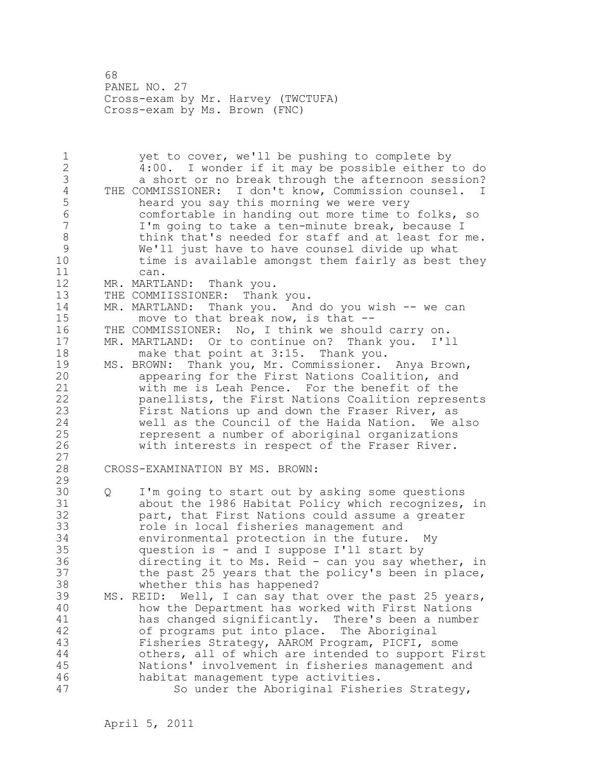68 PANEL NO. 27 Cross-exam by Mr. Harvey (TWCTUFA) Cross-exam by Ms. Brown (FNC)

1 yet to cover, we'll be pushing to complete by 2 4:00. I wonder if it may be possible either to do 3 a short or no break through the afternoon session?<br>4 THE COMMISSIONER: I don't know, Commission counsel. I 4 THE COMMISSIONER: I don't know, Commission counsel. I<br>5 heard you say this morning we were very 5 heard you say this morning we were very 6 comfortable in handing out more time to folks, so I'm going to take a ten-minute break, because I 8 think that's needed for staff and at least for me. 9 We'll just have to have counsel divide up what<br>10 time is available amongst them fairly as best time is available amongst them fairly as best they 11 can. 12 MR. MARTLAND: Thank you. 13 THE COMMIISSIONER: Thank you. 14 MR. MARTLAND: Thank you. And do you wish -- we can 15 move to that break now, is that -- 16 THE COMMISSIONER: No, I think we should carry on. 17 MR. MARTLAND: Or to continue on? Thank you. I'll 18 make that point at 3:15. Thank you. 19 MS. BROWN: Thank you, Mr. Commissioner. Anya Brown,<br>20 appearing for the First Nations Coalition, and appearing for the First Nations Coalition, and 21 with me is Leah Pence. For the benefit of the 22 panellists, the First Nations Coalition represents 23 First Nations up and down the Fraser River, as 24 well as the Council of the Haida Nation. We also 25 represent a number of aboriginal organizations 26 with interests in respect of the Fraser River. 27 28 CROSS-EXAMINATION BY MS. BROWN: 29 30 Q I'm going to start out by asking some questions<br>31 about the 1986 Habitat Policy which recognizes. about the 1986 Habitat Policy which recognizes, in 32 part, that First Nations could assume a greater 33 role in local fisheries management and 34 environmental protection in the future. My 35 question is - and I suppose I'll start by 36 directing it to Ms. Reid - can you say whether, in 37 the past 25 years that the policy's been in place, 38 whether this has happened? 39 MS. REID: Well, I can say that over the past 25 years, 40 how the Department has worked with First Nations 41 has changed significantly. There's been a number<br>42 of programs put into place. The Aboriginal of programs put into place. The Aboriginal 43 Fisheries Strategy, AAROM Program, PICFI, some 44 others, all of which are intended to support First 45 Nations' involvement in fisheries management and 46 habitat management type activities. 47 So under the Aboriginal Fisheries Strategy,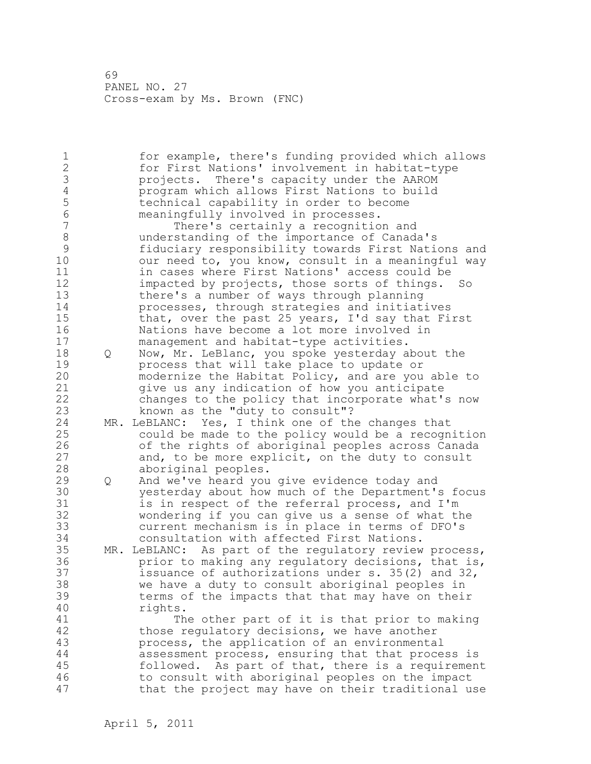1 for example, there's funding provided which allows 2 for First Nations' involvement in habitat-type 3 projects. There's capacity under the AAROM 4 program which allows First Nations to build<br>5 technical capability in order to become 5 technical capability in order to become 6 meaningfully involved in processes. There's certainly a recognition and 8 understanding of the importance of Canada's 9 fiduciary responsibility towards First Nations and our need to, you know, consult in a meaningful way 11 in cases where First Nations' access could be 12 impacted by projects, those sorts of things. So 13 there's a number of ways through planning 14 processes, through strategies and initiatives 15 that, over the past 25 years, I'd say that First 16 Nations have become a lot more involved in 17 management and habitat-type activities. 18 Q Now, Mr. LeBlanc, you spoke yesterday about the 19 **process that will take place to update or**<br>20 **modernize the Habitat Policy, and are you** modernize the Habitat Policy, and are you able to 21 give us any indication of how you anticipate 22 changes to the policy that incorporate what's now 23 known as the "duty to consult"? 24 MR. LeBLANC: Yes, I think one of the changes that 25 could be made to the policy would be a recognition 26 of the rights of aboriginal peoples across Canada<br>27 and, to be more explicit, on the duty to consult and, to be more explicit, on the duty to consult 28 aboriginal peoples. 29 Q And we've heard you give evidence today and 30 yesterday about how much of the Department's focus is in respect of the referral process, and I'm 32 wondering if you can give us a sense of what the 33 current mechanism is in place in terms of DFO's 34 consultation with affected First Nations. 35 MR. LeBLANC: As part of the regulatory review process, 36 prior to making any regulatory decisions, that is, 37 issuance of authorizations under s. 35(2) and 32, 38 we have a duty to consult aboriginal peoples in 39 terms of the impacts that that may have on their 40 rights. 41 The other part of it is that prior to making<br>42 those requlatory decisions, we have another those regulatory decisions, we have another 43 process, the application of an environmental 44 assessment process, ensuring that that process is 45 followed. As part of that, there is a requirement 46 to consult with aboriginal peoples on the impact 47 that the project may have on their traditional use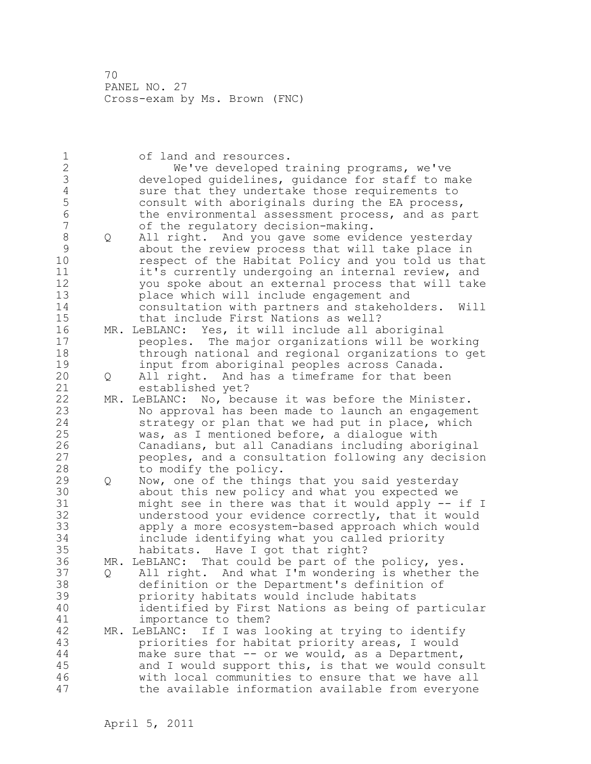| 1<br>$\overline{c}$<br>3<br>4<br>5<br>$\overline{6}$<br>7<br>8<br>$\mathcal{G}$<br>10<br>11<br>12<br>13<br>14<br>15 | Q | of land and resources.<br>We've developed training programs, we've<br>developed guidelines, guidance for staff to make<br>sure that they undertake those requirements to<br>consult with aboriginals during the EA process,<br>the environmental assessment process, and as part<br>of the regulatory decision-making.<br>All right. And you gave some evidence yesterday<br>about the review process that will take place in<br>respect of the Habitat Policy and you told us that<br>it's currently undergoing an internal review, and<br>you spoke about an external process that will take<br>place which will include engagement and<br>consultation with partners and stakeholders.<br>Will<br>that include First Nations as well? |
|---------------------------------------------------------------------------------------------------------------------|---|------------------------------------------------------------------------------------------------------------------------------------------------------------------------------------------------------------------------------------------------------------------------------------------------------------------------------------------------------------------------------------------------------------------------------------------------------------------------------------------------------------------------------------------------------------------------------------------------------------------------------------------------------------------------------------------------------------------------------------------|
| 16                                                                                                                  |   | MR. LeBLANC: Yes, it will include all aboriginal                                                                                                                                                                                                                                                                                                                                                                                                                                                                                                                                                                                                                                                                                         |
| 17<br>18<br>19<br>20                                                                                                | Q | peoples. The major organizations will be working<br>through national and regional organizations to get<br>input from aboriginal peoples across Canada.<br>All right. And has a timeframe for that been                                                                                                                                                                                                                                                                                                                                                                                                                                                                                                                                   |
| 21                                                                                                                  |   | established yet?                                                                                                                                                                                                                                                                                                                                                                                                                                                                                                                                                                                                                                                                                                                         |
| 22<br>23<br>24<br>25<br>26<br>27<br>28                                                                              |   | MR. LeBLANC:<br>No, because it was before the Minister.<br>No approval has been made to launch an engagement<br>strategy or plan that we had put in place, which<br>was, as I mentioned before, a dialoque with<br>Canadians, but all Canadians including aboriginal<br>peoples, and a consultation following any decision<br>to modify the policy.                                                                                                                                                                                                                                                                                                                                                                                      |
| 29<br>30<br>31<br>32<br>33<br>34<br>35                                                                              | Q | Now, one of the things that you said yesterday<br>about this new policy and what you expected we<br>might see in there was that it would apply -- if I<br>understood your evidence correctly, that it would<br>apply a more ecosystem-based approach which would<br>include identifying what you called priority<br>habitats. Have I got that right?                                                                                                                                                                                                                                                                                                                                                                                     |
| 36<br>37<br>38<br>39<br>40<br>41                                                                                    | Q | MR. LeBLANC: That could be part of the policy, yes.<br>All right. And what I'm wondering is whether the<br>definition or the Department's definition of<br>priority habitats would include habitats<br>identified by First Nations as being of particular<br>importance to them?                                                                                                                                                                                                                                                                                                                                                                                                                                                         |
| 42<br>43<br>44<br>45<br>46<br>47                                                                                    |   | If I was looking at trying to identify<br>MR. LeBLANC:<br>priorities for habitat priority areas, I would<br>make sure that -- or we would, as a Department,<br>and I would support this, is that we would consult<br>with local communities to ensure that we have all<br>the available information available from everyone                                                                                                                                                                                                                                                                                                                                                                                                              |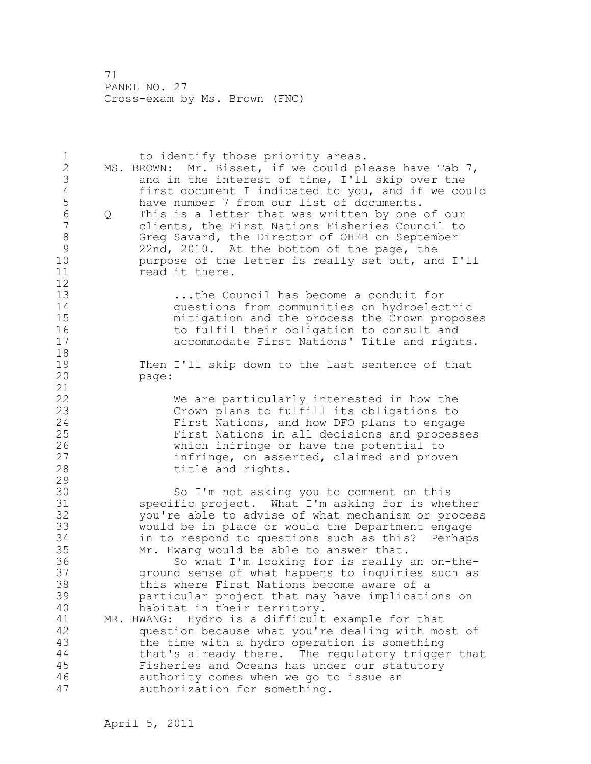1 to identify those priority areas. 2 MS. BROWN: Mr. Bisset, if we could please have Tab 7, 3 and in the interest of time, I'll skip over the<br>4 first document I indicated to you, and if we com 4 first document I indicated to you, and if we could 5 have number 7 from our list of documents.<br>6 0 This is a letter that was written by one 6 Q This is a letter that was written by one of our clients, the First Nations Fisheries Council to 8 Greg Savard, the Director of OHEB on September 9 22nd, 2010. At the bottom of the page, the<br>10 burpose of the letter is really set out, an purpose of the letter is really set out, and I'll 11 read it there.  $\begin{array}{c} 12 \\ 13 \end{array}$ ...the Council has become a conduit for 14 questions from communities on hydroelectric<br>15 mitigation and the process the Crown propos mitigation and the process the Crown proposes 16 to fulfil their obligation to consult and<br>17 the accommodate First Nations' Title and right accommodate First Nations' Title and rights. 18 19 Then I'll skip down to the last sentence of that<br>20 page: page: 21 22 We are particularly interested in how the 23 Crown plans to fulfill its obligations to 24 First Nations, and how DFO plans to engage 25 First Nations in all decisions and processes 26 which infringe or have the potential to<br>27 infringe, on asserted, claimed and prove 27 infringe, on asserted, claimed and proven<br>28 infrite and rights. title and rights. 29 30 So I'm not asking you to comment on this<br>31 Specific project. What I'm asking for is whe 31 specific project. What I'm asking for is whether<br>32 vou're able to advise of what mechanism or proces. you're able to advise of what mechanism or process 33 would be in place or would the Department engage 34 in to respond to questions such as this? Perhaps 35 Mr. Hwang would be able to answer that. 36 So what I'm looking for is really an on-the-37 ground sense of what happens to inquiries such as 38 this where First Nations become aware of a 39 particular project that may have implications on 40 habitat in their territory. 41 MR. HWANG: Hydro is a difficult example for that<br>42 duestion because what you're dealing with mo. question because what you're dealing with most of 43 the time with a hydro operation is something 44 that's already there. The regulatory trigger that 45 Fisheries and Oceans has under our statutory 46 authority comes when we go to issue an 47 authorization for something.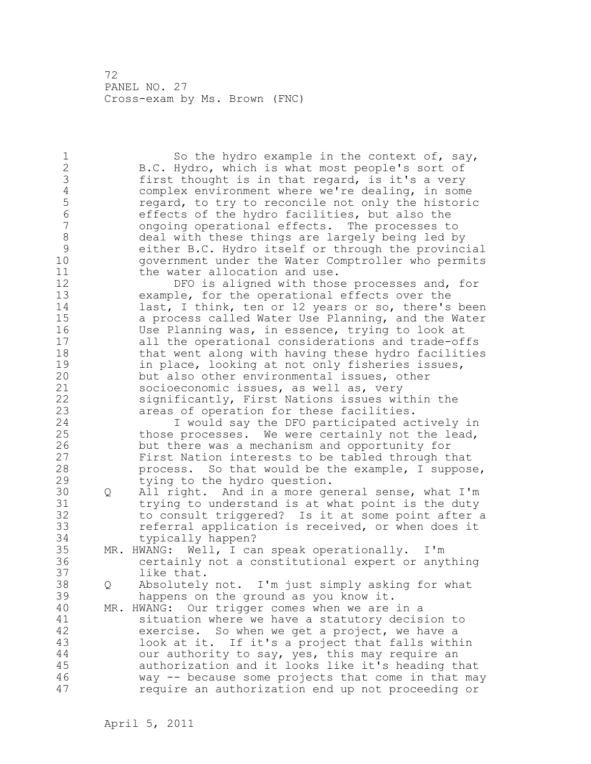1 So the hydro example in the context of, say, 2 B.C. Hydro, which is what most people's sort of 3 first thought is in that regard, is it's a very<br>4 complex environment where we're dealing, in som 4 complex environment where we're dealing, in some<br>5 regard, to try to reconcile not only the histori 5 5 regard, to try to reconcile not only the historic<br>6 6 Feffects of the hydro facilities, but also the 6 effects of the hydro facilities, but also the 7 ongoing operational effects. The processes to 8 deal with these things are largely being led by<br>9 either B.C. Hydro itself or through the provinc 9 either B.C. Hydro itself or through the provincial 10 government under the Water Comptroller who permits 11 the water allocation and use. 12 DFO is aligned with those processes and, for 13 example, for the operational effects over the 14 last, I think, ten or 12 years or so, there's been 15 a process called Water Use Planning, and the Water 16 Use Planning was, in essence, trying to look at 17 all the operational considerations and trade-offs 18 that went along with having these hydro facilities 19 in place, looking at not only fisheries issues,<br>20 but also other environmental issues, other but also other environmental issues, other 21 socioeconomic issues, as well as, very 22 significantly, First Nations issues within the 23 areas of operation for these facilities. 24 I would say the DFO participated actively in 25 those processes. We were certainly not the lead, 26 but there was a mechanism and opportunity for<br>27 First Nation interests to be tabled through t First Nation interests to be tabled through that 28 process. So that would be the example, I suppose, 29 tying to the hydro question. 30 Q All right. And in a more general sense, what I'm<br>31 trying to understand is at what point is the duty 31 trying to understand is at what point is the duty<br>32 to consult triggered? Is it at some point after. to consult triggered? Is it at some point after a 33 referral application is received, or when does it 34 typically happen? 35 MR. HWANG: Well, I can speak operationally. I'm 36 certainly not a constitutional expert or anything 37 like that. 38 Q Absolutely not. I'm just simply asking for what 39 happens on the ground as you know it. 40 MR. HWANG: Our trigger comes when we are in a 41 situation where we have a statutory decision to<br>42 exercise. So when we qet a project, we have a exercise. So when we get a project, we have a 43 look at it. If it's a project that falls within 44 our authority to say, yes, this may require an 45 authorization and it looks like it's heading that 46 way -- because some projects that come in that may 47 require an authorization end up not proceeding or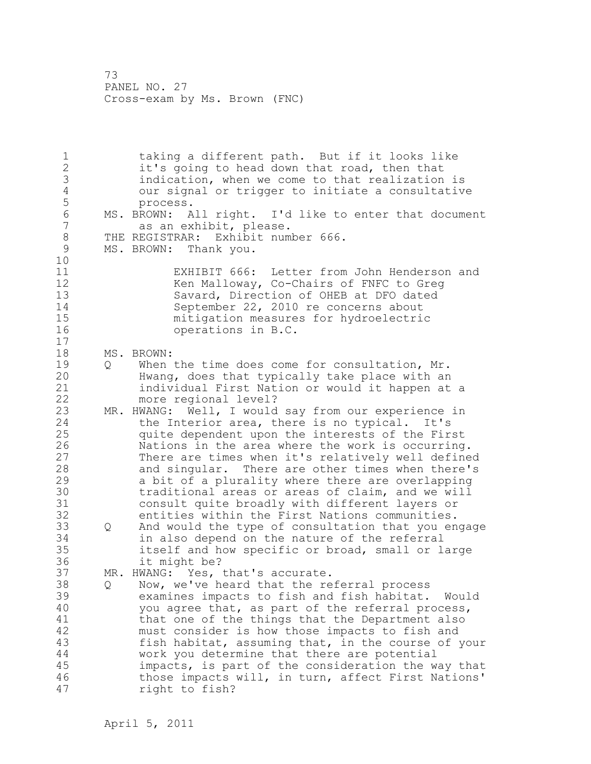1 taking a different path. But if it looks like 2 it's going to head down that road, then that 3 indication, when we come to that realization is 4 our signal or trigger to initiate a consultative process. 6 MS. BROWN: All right. I'd like to enter that document<br>7 as an exhibit, please. as an exhibit, please. 8 THE REGISTRAR: Exhibit number 666.<br>9 MS. BROWN: Thank you. MS. BROWN: Thank you. 10 11 EXHIBIT 666: Letter from John Henderson and 12 Ken Malloway, Co-Chairs of FNFC to Greq 13 Savard, Direction of OHEB at DFO dated 14 September 22, 2010 re concerns about 15 mitigation measures for hydroelectric 16 operations in B.C. 17 18 MS. BROWN: 19 0 When the time does come for consultation, Mr.<br>20 1 Hwang, does that typically take place with an Hwang, does that typically take place with an 21 individual First Nation or would it happen at a 22 more regional level? 23 MR. HWANG: Well, I would say from our experience in 24 the Interior area, there is no typical. It's 25 quite dependent upon the interests of the First 26 Nations in the area where the work is occurring.<br>27 There are times when it's relatively well define There are times when it's relatively well defined 28 and singular. There are other times when there's 29 a bit of a plurality where there are overlapping 30 traditional areas or areas of claim, and we will<br>31 consult quite broadly with different lavers or consult quite broadly with different layers or 32 entities within the First Nations communities. 33 Q And would the type of consultation that you engage 34 in also depend on the nature of the referral 35 itself and how specific or broad, small or large 36 it might be? 37 MR. HWANG: Yes, that's accurate. 38 Q Now, we've heard that the referral process 39 examines impacts to fish and fish habitat. Would 40 you agree that, as part of the referral process, 41 that one of the things that the Department also<br>42 must consider is how those impacts to fish and must consider is how those impacts to fish and 43 fish habitat, assuming that, in the course of your 44 work you determine that there are potential 45 impacts, is part of the consideration the way that 46 those impacts will, in turn, affect First Nations' 47 right to fish?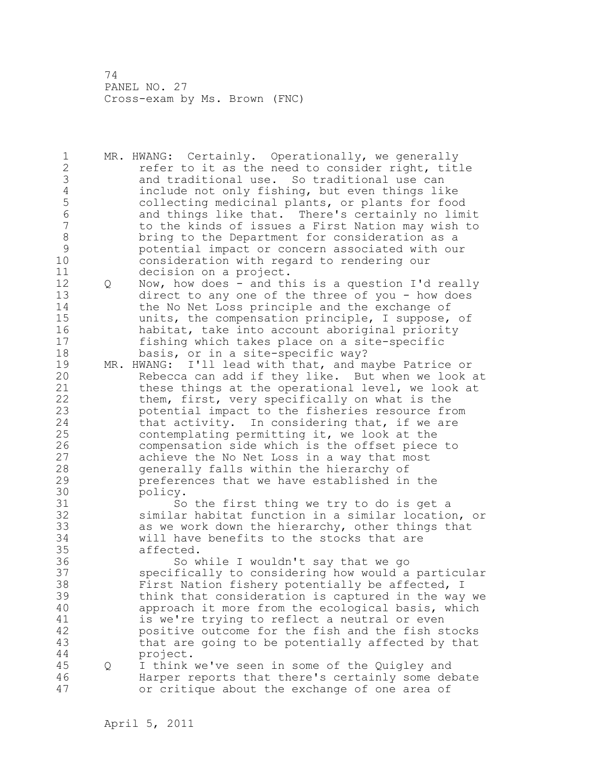1 MR. HWANG: Certainly. Operationally, we generally 2 **refer to it as the need to consider right, title** 3 and traditional use. So traditional use can<br>4 and include not only fishing, but even things li 4 include not only fishing, but even things like<br>5 collecting medicinal plants, or plants for foo 5 collecting medicinal plants, or plants for food 6 and things like that. There's certainly no limit 7 to the kinds of issues a First Nation may wish to 8 bring to the Department for consideration as a<br>9 botential impact or concern associated with ou 9 potential impact or concern associated with our consideration with regard to rendering our 11 decision on a project. 12 Q Now, how does - and this is a question I'd really 13 direct to any one of the three of you - how does 14 the No Net Loss principle and the exchange of 15 units, the compensation principle, I suppose, of 16 habitat, take into account aboriginal priority 17 fishing which takes place on a site-specific 18 basis, or in a site-specific way? 19 MR. HWANG: I'll lead with that, and maybe Patrice or<br>20 Rebecca can add if they like. But when we look Rebecca can add if they like. But when we look at 21 these things at the operational level, we look at 22 them, first, very specifically on what is the 23 potential impact to the fisheries resource from 24 that activity. In considering that, if we are 25 contemplating permitting it, we look at the 26 compensation side which is the offset piece to<br>27 achieve the No Net Loss in a way that most achieve the No Net Loss in a way that most 28 generally falls within the hierarchy of 29 preferences that we have established in the 30 policy.<br>31 So 31 So the first thing we try to do is get a<br>32 similar habitat function in a similar locatio similar habitat function in a similar location, or 33 as we work down the hierarchy, other things that 34 will have benefits to the stocks that are 35 affected. 36 So while I wouldn't say that we go 37 specifically to considering how would a particular 38 First Nation fishery potentially be affected, I 39 think that consideration is captured in the way we 40 approach it more from the ecological basis, which 41 is we're trying to reflect a neutral or even<br>42 positive outcome for the fish and the fish s positive outcome for the fish and the fish stocks 43 that are going to be potentially affected by that 44 project. 45 Q I think we've seen in some of the Quigley and 46 Harper reports that there's certainly some debate 47 or critique about the exchange of one area of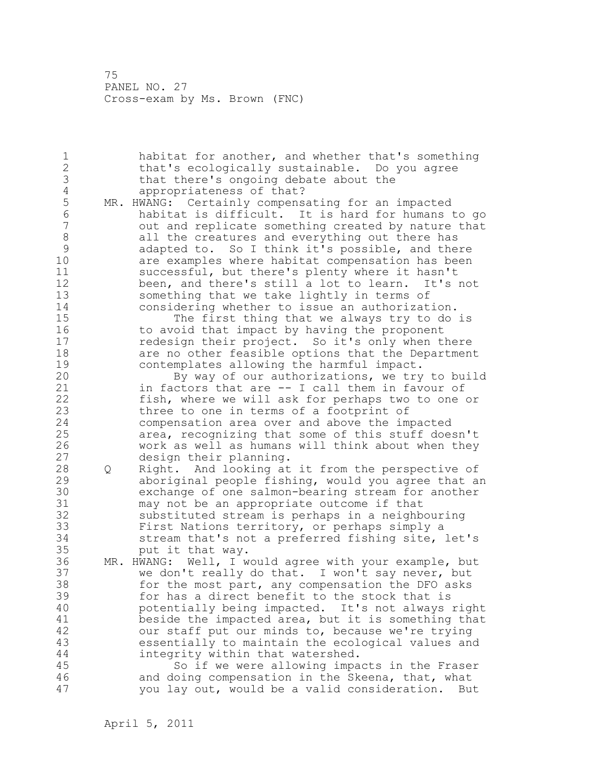1 habitat for another, and whether that's something 2 that's ecologically sustainable. Do you agree 3 that there's ongoing debate about the 4 appropriateness of that?<br>5 MR. HWANG: Certainly compens 5 MR. HWANG: Certainly compensating for an impacted<br>6 habitat is difficult. It is hard for humans 6 habitat is difficult. It is hard for humans to go out and replicate something created by nature that 8 all the creatures and everything out there has 9 adapted to. So I think it's possible, and there<br>10 are examples where habitat compensation has been are examples where habitat compensation has been 11 successful, but there's plenty where it hasn't 12 been, and there's still a lot to learn. It's not 13 something that we take lightly in terms of 14 considering whether to issue an authorization. 15 The first thing that we always try to do is 16 to avoid that impact by having the proponent 17 redesign their project. So it's only when there 18 are no other feasible options that the Department 19 contemplates allowing the harmful impact.<br>20 By way of our authorizations, we try By way of our authorizations, we try to build 21 in factors that are -- I call them in favour of 22 fish, where we will ask for perhaps two to one or 23 three to one in terms of a footprint of 24 compensation area over and above the impacted 25 area, recognizing that some of this stuff doesn't 26 work as well as humans will think about when they<br>27 design their planning. design their planning. 28 Q Right. And looking at it from the perspective of 29 aboriginal people fishing, would you agree that an 30 exchange of one salmon-bearing stream for another may not be an appropriate outcome if that 32 substituted stream is perhaps in a neighbouring 33 First Nations territory, or perhaps simply a 34 stream that's not a preferred fishing site, let's 35 put it that way. 36 MR. HWANG: Well, I would agree with your example, but 37 we don't really do that. I won't say never, but 38 for the most part, any compensation the DFO asks 39 for has a direct benefit to the stock that is 40 potentially being impacted. It's not always right 41 beside the impacted area, but it is something that<br>42 our staff put our minds to, because we're trying our staff put our minds to, because we're trying 43 essentially to maintain the ecological values and 44 integrity within that watershed. 45 So if we were allowing impacts in the Fraser 46 and doing compensation in the Skeena, that, what 47 you lay out, would be a valid consideration. But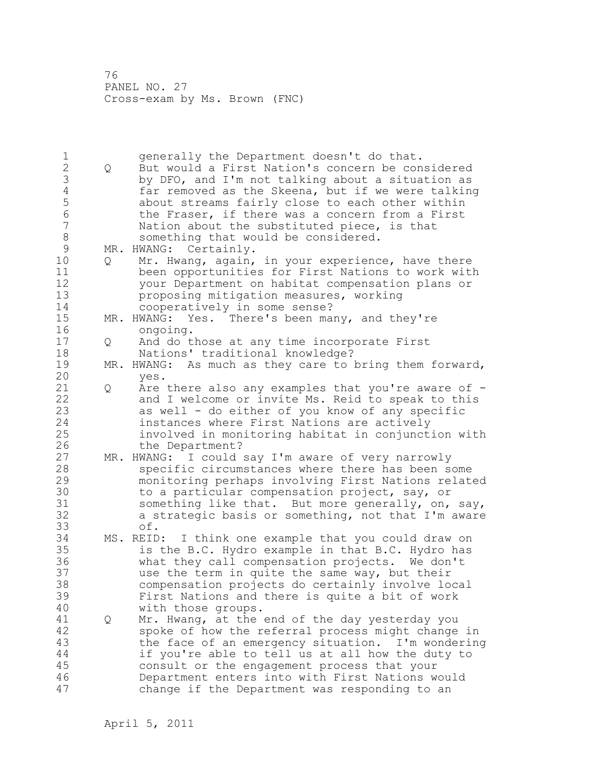1 generally the Department doesn't do that. 2 Q But would a First Nation's concern be considered 3 by DFO, and I'm not talking about a situation as<br>4 far removed as the Skeena, but if we were talkin 4 far removed as the Skeena, but if we were talking<br>5 about streams fairly close to each other within 5 about streams fairly close to each other within 6 the Fraser, if there was a concern from a First<br>7 Nation about the substituted piece, is that Nation about the substituted piece, is that 8 something that would be considered. 9 MR. HWANG: Certainly.<br>10 0 Mr. Hwang, again, Q Mr. Hwang, again, in your experience, have there 11 been opportunities for First Nations to work with 12 your Department on habitat compensation plans or 13 proposing mitigation measures, working 14 cooperatively in some sense? 15 MR. HWANG: Yes. There's been many, and they're 16 ongoing. 17 Q And do those at any time incorporate First 18 Nations' traditional knowledge? 19 MR. HWANG: As much as they care to bring them forward,<br>20 ves. yes. 21 Q Are there also any examples that you're aware of - 22 and I welcome or invite Ms. Reid to speak to this 23 as well - do either of you know of any specific 24 instances where First Nations are actively 25 involved in monitoring habitat in conjunction with 26 the Department?<br>27 MR. HWANG: I could MR. HWANG: I could say I'm aware of very narrowly 28 specific circumstances where there has been some 29 monitoring perhaps involving First Nations related 30 to a particular compensation project, say, or<br>31 something like that. But more generally, on, something like that. But more generally, on, say, 32 a strategic basis or something, not that I'm aware 33 of.<br>34 MS. REID: 34 MS. REID: I think one example that you could draw on 35 is the B.C. Hydro example in that B.C. Hydro has 36 what they call compensation projects. We don't 37 use the term in quite the same way, but their 38 compensation projects do certainly involve local 39 First Nations and there is quite a bit of work 40 with those groups. 41 Q Mr. Hwang, at the end of the day yesterday you<br>42 spoke of how the referral process might change spoke of how the referral process might change in 43 the face of an emergency situation. I'm wondering 44 if you're able to tell us at all how the duty to 45 consult or the engagement process that your 46 Department enters into with First Nations would 47 change if the Department was responding to an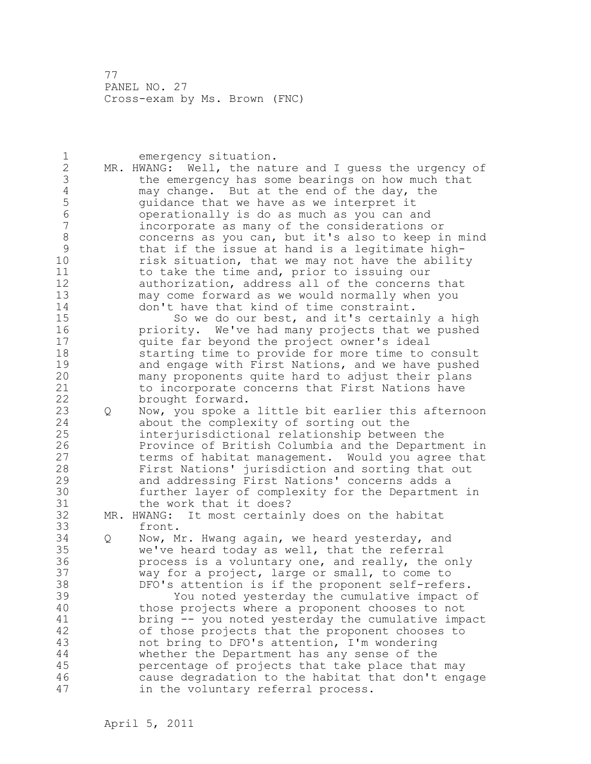1 emergency situation. 2 MR. HWANG: Well, the nature and I guess the urgency of 3 the emergency has some bearings on how much that<br>4 may change. But at the end of the day, the 4 may change. But at the end of the day, the<br>5 quidance that we have as we interpret it 5 5 guidance that we have as we interpret it<br>6 6 000 operationally is do as much as you can a 6 operationally is do as much as you can and incorporate as many of the considerations or 8 concerns as you can, but it's also to keep in mind 9 that if the issue at hand is a legitimate high-<br>10 sisk situation, that we may not have the abilit risk situation, that we may not have the ability 11 to take the time and, prior to issuing our 12 authorization, address all of the concerns that 13 may come forward as we would normally when you 14 don't have that kind of time constraint. 15 So we do our best, and it's certainly a high 16 priority. We've had many projects that we pushed 17 quite far beyond the project owner's ideal 18 starting time to provide for more time to consult 19 and engage with First Nations, and we have pushed<br>20 many proponents quite hard to adjust their plans many proponents quite hard to adjust their plans 21 to incorporate concerns that First Nations have 22 brought forward. 23 Q Now, you spoke a little bit earlier this afternoon 24 about the complexity of sorting out the 25 interjurisdictional relationship between the 26 Province of British Columbia and the Department in<br>27 terms of habitat management. Would you agree that terms of habitat management. Would you agree that 28 First Nations' jurisdiction and sorting that out 29 and addressing First Nations' concerns adds a 30 further layer of complexity for the Department in the work that it does? 32 MR. HWANG: It most certainly does on the habitat 33 front. 34 Q Now, Mr. Hwang again, we heard yesterday, and 35 we've heard today as well, that the referral 36 process is a voluntary one, and really, the only 37 way for a project, large or small, to come to 38 DFO's attention is if the proponent self-refers. 39 You noted yesterday the cumulative impact of 40 those projects where a proponent chooses to not 41 bring -- you noted yesterday the cumulative impact<br>42 of those projects that the proponent chooses to of those projects that the proponent chooses to 43 not bring to DFO's attention, I'm wondering 44 whether the Department has any sense of the 45 percentage of projects that take place that may 46 cause degradation to the habitat that don't engage 47 in the voluntary referral process.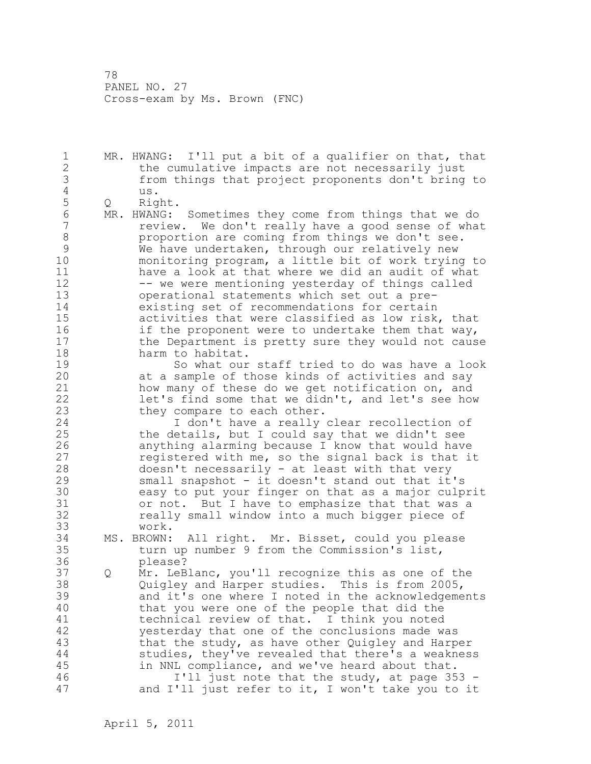1 MR. HWANG: I'll put a bit of a qualifier on that, that 2 the cumulative impacts are not necessarily just 3 from things that project proponents don't bring to 4 us.<br>5 Q Ric 5 Q Right.<br>6 MR.HWANG: 6 MR. HWANG: Sometimes they come from things that we do review. We don't really have a good sense of what 8 proportion are coming from things we don't see. 9 We have undertaken, through our relatively new<br>10 monitoring program, a little bit of work trying monitoring program, a little bit of work trying to 11 have a look at that where we did an audit of what 12 -- we were mentioning yesterday of things called 13 operational statements which set out a pre-14 existing set of recommendations for certain 15 activities that were classified as low risk, that 16 if the proponent were to undertake them that way, 17 the Department is pretty sure they would not cause 18 harm to habitat. 19 So what our staff tried to do was have a look<br>20 at a sample of those kinds of activities and say at a sample of those kinds of activities and say 21 how many of these do we get notification on, and 22 let's find some that we didn't, and let's see how 23 they compare to each other. 24 I don't have a really clear recollection of 25 the details, but I could say that we didn't see 26 anything alarming because I know that would have<br>27 ceqistered with me, so the signal back is that i registered with me, so the signal back is that it 28 doesn't necessarily - at least with that very 29 small snapshot - it doesn't stand out that it's 30 easy to put your finger on that as a major culprit or not. But I have to emphasize that that was a 32 really small window into a much bigger piece of 33 work. 34 MS. BROWN: All right. Mr. Bisset, could you please 35 turn up number 9 from the Commission's list, 36 please? 37 Q Mr. LeBlanc, you'll recognize this as one of the 38 Quigley and Harper studies. This is from 2005, 39 and it's one where I noted in the acknowledgements 40 that you were one of the people that did the 41 technical review of that. I think you noted<br>42 vesterday that one of the conclusions made w yesterday that one of the conclusions made was 43 that the study, as have other Quigley and Harper 44 studies, they've revealed that there's a weakness 45 in NNL compliance, and we've heard about that. 46 I'll just note that the study, at page 353 - 47 and I'll just refer to it, I won't take you to it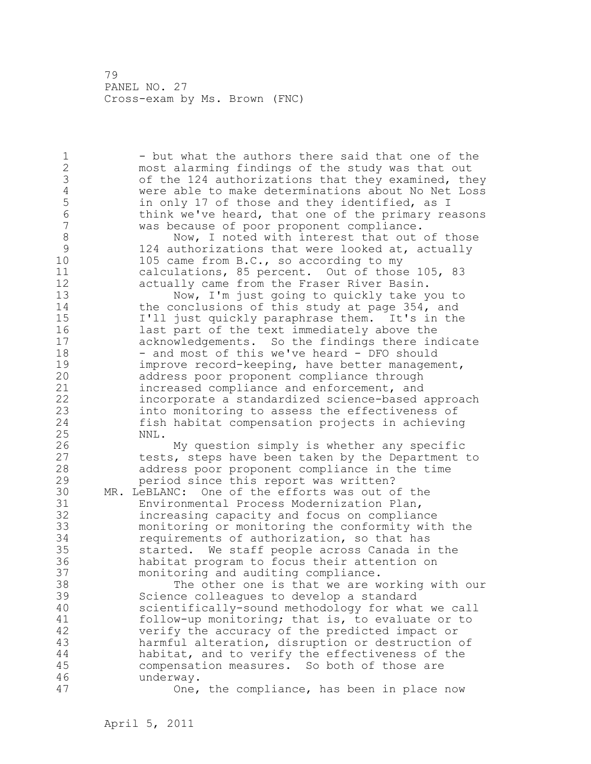1 - but what the authors there said that one of the 2 most alarming findings of the study was that out 3 of the 124 authorizations that they examined, they<br>4 were able to make determinations about No Net Loss 4 were able to make determinations about No Net Loss<br>5 in only 17 of those and they identified, as I 5 in only 17 of those and they identified, as I<br>6 think we've heard, that one of the primary re 6 think we've heard, that one of the primary reasons<br>7 was because of poor proponent compliance. was because of poor proponent compliance. 8 Now, I noted with interest that out of those<br>9 124 authorizations that were looked at, actually 9 124 authorizations that were looked at, actually<br>10 105 came from B.C., so according to my 105 came from  $B.C.,$  so according to my 11 calculations, 85 percent. Out of those 105, 83 12 actually came from the Fraser River Basin. 13 Now, I'm just going to quickly take you to 14 the conclusions of this study at page 354, and 15 I'll just quickly paraphrase them. It's in the 16 last part of the text immediately above the 17 acknowledgements. So the findings there indicate 18 - and most of this we've heard - DFO should 19 improve record-keeping, have better management,<br>20 address poor proponent compliance through address poor proponent compliance through 21 increased compliance and enforcement, and 22 incorporate a standardized science-based approach 23 into monitoring to assess the effectiveness of 24 fish habitat compensation projects in achieving 25 NNL. 26 My question simply is whether any specific<br>27 tests, steps have been taken by the Department tests, steps have been taken by the Department to 28 address poor proponent compliance in the time 29 period since this report was written? 30 MR. LeBLANC: One of the efforts was out of the Environmental Process Modernization Plan, 32 increasing capacity and focus on compliance 33 monitoring or monitoring the conformity with the 34 requirements of authorization, so that has 35 started. We staff people across Canada in the 36 habitat program to focus their attention on 37 monitoring and auditing compliance. 38 The other one is that we are working with our 39 Science colleagues to develop a standard 40 scientifically-sound methodology for what we call 41 follow-up monitoring; that is, to evaluate or to<br>42 verify the accuracy of the predicted impact or verify the accuracy of the predicted impact or 43 harmful alteration, disruption or destruction of 44 habitat, and to verify the effectiveness of the 45 compensation measures. So both of those are 46 underway. 47 One, the compliance, has been in place now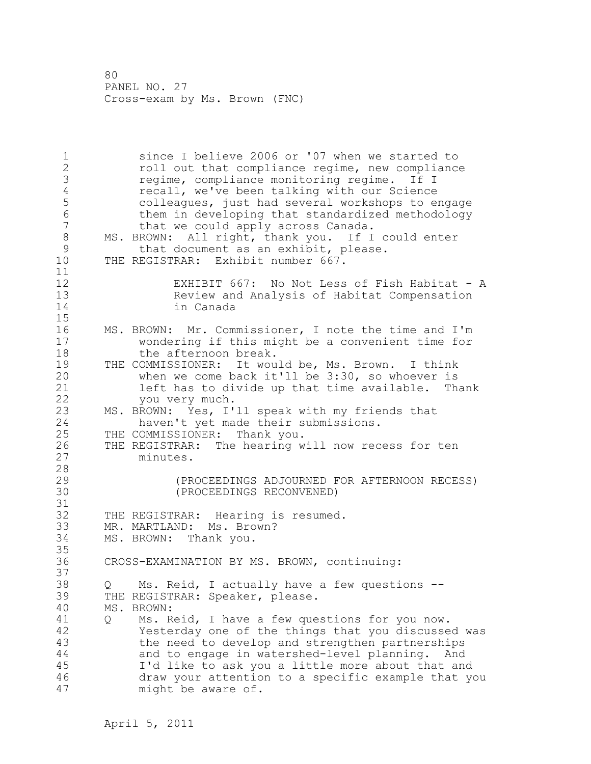1 since I believe 2006 or '07 when we started to 2 roll out that compliance regime, new compliance 3 regime, compliance monitoring regime. If I<br>4 recall, we've been talking with our Science 4 recall, we've been talking with our Science<br>5 colleagues, just had several workshops to e 5 colleagues, just had several workshops to engage<br>6 them in developing that standardized methodology 6 them in developing that standardized methodology<br>7 that we could apply across Canada. that we could apply across Canada. 8 MS. BROWN: All right, thank you. If I could enter<br>9 that document as an exhibit, please. 9 that document as an exhibit, please.<br>10 THE REGISTRAR: Exhibit number 667. THE REGISTRAR: Exhibit number 667. 11 12 EXHIBIT 667: No Not Less of Fish Habitat - A Review and Analysis of Habitat Compensation 14 in Canada 15 16 MS. BROWN: Mr. Commissioner, I note the time and I'm 17 wondering if this might be a convenient time for 18 the afternoon break. 19 THE COMMISSIONER: It would be, Ms. Brown. I think<br>20 When we come back it'll be 3:30, so whoever is when we come back it'll be  $3:30$ , so whoever is 21 left has to divide up that time available. Thank 22 you very much. 23 MS. BROWN: Yes, I'll speak with my friends that 24 haven't yet made their submissions. 25 THE COMMISSIONER: Thank you. 26 THE REGISTRAR: The hearing will now recess for ten<br>27 minutes. minutes. 28 29 (PROCEEDINGS ADJOURNED FOR AFTERNOON RECESS) 30 (PROCEEDINGS RECONVENED) 31<br>32 THE REGISTRAR: Hearing is resumed. 33 MR. MARTLAND: Ms. Brown? 34 MS. BROWN: Thank you. 35 36 CROSS-EXAMINATION BY MS. BROWN, continuing: 37 38 Q Ms. Reid, I actually have a few questions -- 39 THE REGISTRAR: Speaker, please. 40 MS. BROWN: 41 Q Ms. Reid, I have a few questions for you now.<br>42 Yesterday one of the things that you discusse Yesterday one of the things that you discussed was 43 the need to develop and strengthen partnerships 44 and to engage in watershed-level planning. And 45 I'd like to ask you a little more about that and 46 draw your attention to a specific example that you 47 might be aware of.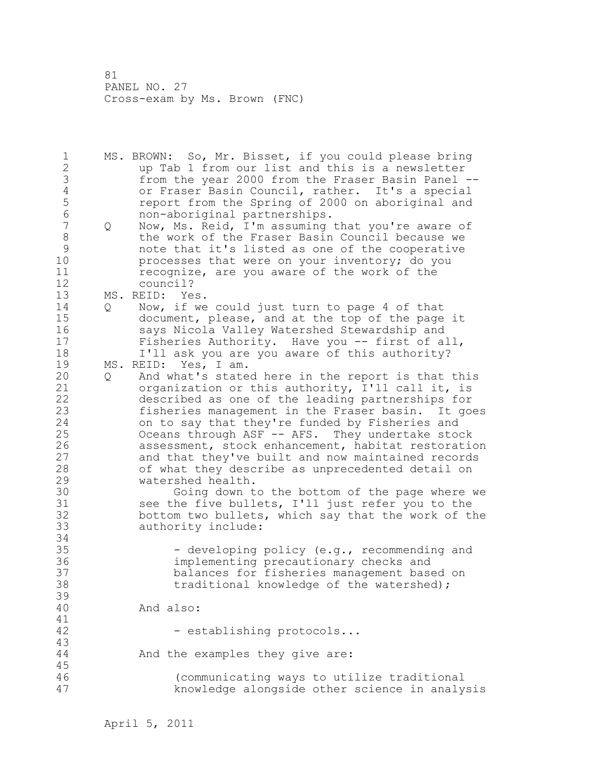1 MS. BROWN: So, Mr. Bisset, if you could please bring 2 up Tab 1 from our list and this is a newsletter 3 from the year 2000 from the Fraser Basin Panel --<br>4 or Fraser Basin Council, rather. It's a special 4 or Fraser Basin Council, rather. It's a special<br>5 ceport from the Spring of 2000 on aboriginal and 5 **1988** report from the Spring of 2000 on aboriginal and<br>6 1989 non-aboriginal partnerships. 6 non-aboriginal partnerships. 7 Q Now, Ms. Reid, I'm assuming that you're aware of 8 the work of the Fraser Basin Council because we 9 mote that it's listed as one of the cooperative<br>10 morocesses that were on your inventory; do you processes that were on your inventory; do you 11 recognize, are you aware of the work of the 12 council? 13 MS. REID: Yes. 14 Q Now, if we could just turn to page 4 of that 15 document, please, and at the top of the page it 16 says Nicola Valley Watershed Stewardship and 17 Fisheries Authority. Have you -- first of all, 18 I'll ask you are you aware of this authority? 19 MS. REID: Yes, I am. 20 Q And what's stated here in the report is that this 21 organization or this authority, I'll call it, is 22 described as one of the leading partnerships for 23 fisheries management in the Fraser basin. It goes 24 on to say that they're funded by Fisheries and 25 Oceans through ASF -- AFS. They undertake stock 26 assessment, stock enhancement, habitat restoration<br>27 and that they've built and now maintained records and that they've built and now maintained records 28 of what they describe as unprecedented detail on 29 watershed health. 30 Going down to the bottom of the page where we<br>31 See the five bullets, I'll just refer you to the see the five bullets, I'll just refer you to the 32 bottom two bullets, which say that the work of the 33 authority include: 34 35 - developing policy (e.g., recommending and 36 implementing precautionary checks and 37 balances for fisheries management based on 38 traditional knowledge of the watershed); 39 40 And also: 41<br>42 - establishing protocols... 43 44 And the examples they give are: 45 46 (communicating ways to utilize traditional 47 knowledge alongside other science in analysis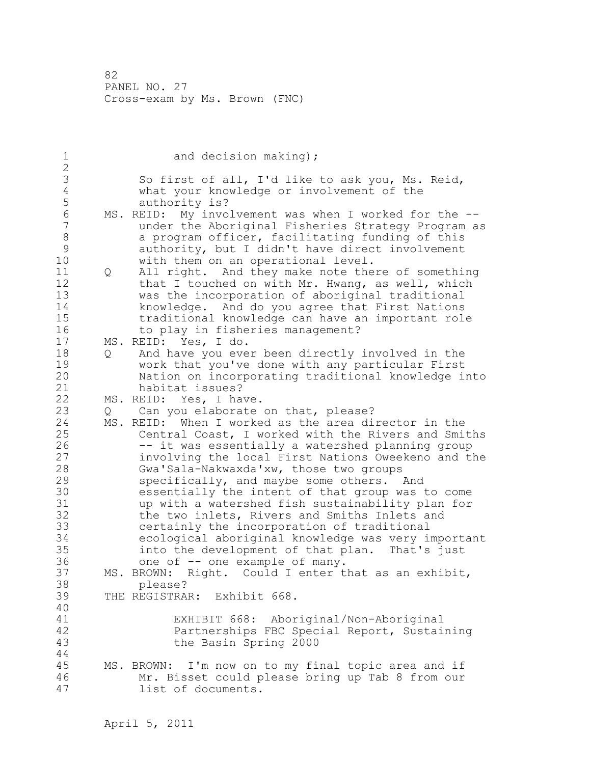| $\mathbf 1$      |         | and decision making);                                                                        |
|------------------|---------|----------------------------------------------------------------------------------------------|
| $\sqrt{2}$<br>3  |         |                                                                                              |
| $\sqrt{4}$       |         | So first of all, I'd like to ask you, Ms. Reid,<br>what your knowledge or involvement of the |
| 5                |         | authority is?                                                                                |
| $\sqrt{6}$       |         | MS. REID: My involvement was when I worked for the --                                        |
| $\boldsymbol{7}$ |         | under the Aboriginal Fisheries Strategy Program as                                           |
| $\,8\,$          |         | a program officer, facilitating funding of this                                              |
| $\mathsf 9$      |         | authority, but I didn't have direct involvement                                              |
| 10               |         | with them on an operational level.                                                           |
| 11               | Q       | All right. And they make note there of something                                             |
| 12               |         | that I touched on with Mr. Hwang, as well, which                                             |
| 13               |         | was the incorporation of aboriginal traditional                                              |
| 14               |         | knowledge. And do you agree that First Nations                                               |
| 15               |         | traditional knowledge can have an important role                                             |
| 16               |         | to play in fisheries management?                                                             |
| 17               |         | MS. REID: Yes, I do.                                                                         |
| 18               | Q       | And have you ever been directly involved in the                                              |
| 19               |         | work that you've done with any particular First                                              |
| 20               |         | Nation on incorporating traditional knowledge into                                           |
| 21               |         | habitat issues?                                                                              |
| 22               |         | MS. REID: Yes, I have.                                                                       |
| 23               | $\circ$ | Can you elaborate on that, please?                                                           |
| 24               | MS.     | REID: When I worked as the area director in the                                              |
| 25               |         | Central Coast, I worked with the Rivers and Smiths                                           |
| 26               |         | -- it was essentially a watershed planning group                                             |
| 27               |         | involving the local First Nations Oweekeno and the                                           |
| 28               |         | Gwa'Sala-Nakwaxda'xw, those two groups                                                       |
| 29<br>30         |         | specifically, and maybe some others. And<br>essentially the intent of that group was to come |
| 31               |         | up with a watershed fish sustainability plan for                                             |
| 32               |         | the two inlets, Rivers and Smiths Inlets and                                                 |
| 33               |         | certainly the incorporation of traditional                                                   |
| 34               |         | ecological aboriginal knowledge was very important                                           |
| 35               |         | into the development of that plan. That's just                                               |
| 36               |         | one of -- one example of many.                                                               |
| 37               |         | MS. BROWN: Right. Could I enter that as an exhibit,                                          |
| 38               |         | please?                                                                                      |
| 39               |         | THE REGISTRAR: Exhibit 668.                                                                  |
| 40               |         |                                                                                              |
| 41               |         | EXHIBIT 668: Aboriginal/Non-Aboriginal                                                       |
| 42               |         | Partnerships FBC Special Report, Sustaining                                                  |
| 43               |         | the Basin Spring 2000                                                                        |
| 44               |         |                                                                                              |
| 45               |         | I'm now on to my final topic area and if<br>MS. BROWN:                                       |
| 46               |         | Mr. Bisset could please bring up Tab 8 from our                                              |
| 47               |         | list of documents.                                                                           |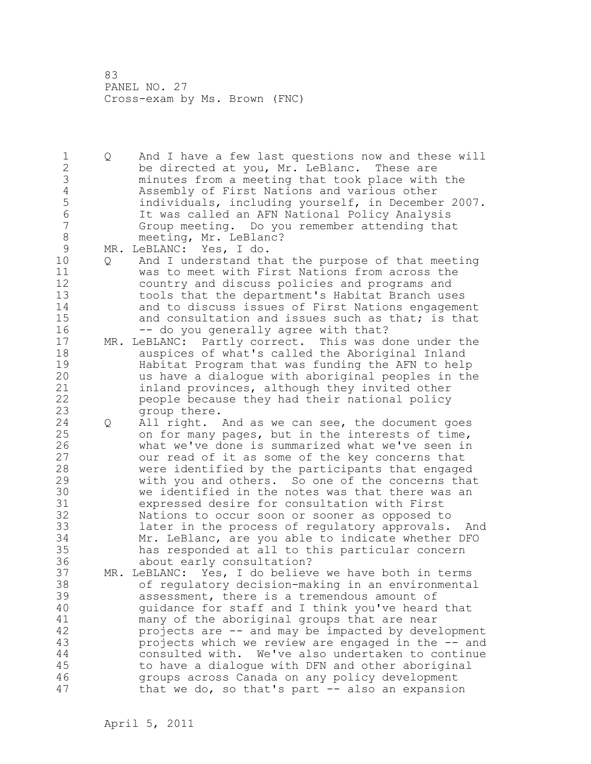1 Q And I have a few last questions now and these will 2 be directed at you, Mr. LeBlanc. These are 3 minutes from a meeting that took place with the 4 Assembly of First Nations and various other<br>5 individuals, including yourself, in Decembe 5 individuals, including yourself, in December 2007. 6 It was called an AFN National Policy Analysis Group meeting. Do you remember attending that 8 meeting, Mr. LeBlanc? 9 MR. LeBLANC: Yes, I do.<br>10 0 And I understand th 10 Q And I understand that the purpose of that meeting 11 was to meet with First Nations from across the 12 country and discuss policies and programs and 13 tools that the department's Habitat Branch uses 14 and to discuss issues of First Nations engagement 15 and consultation and issues such as that; is that 16 -- do you generally agree with that? 17 MR. LeBLANC: Partly correct. This was done under the 18 auspices of what's called the Aboriginal Inland 19 Habitat Program that was funding the AFN to help<br>20 as have a dialoque with aboriginal peoples in the us have a dialogue with aboriginal peoples in the 21 inland provinces, although they invited other 22 people because they had their national policy 23 group there. 24 Q All right. And as we can see, the document goes 25 on for many pages, but in the interests of time, 26 what we've done is summarized what we've seen in<br>27 our read of it as some of the key concerns that our read of it as some of the key concerns that 28 were identified by the participants that engaged 29 with you and others. So one of the concerns that 30 we identified in the notes was that there was an<br>31 expressed desire for consultation with First 31 expressed desire for consultation with First Nations to occur soon or sooner as opposed to 33 later in the process of regulatory approvals. And 34 Mr. LeBlanc, are you able to indicate whether DFO 35 has responded at all to this particular concern 36 about early consultation? 37 MR. LeBLANC: Yes, I do believe we have both in terms 38 of regulatory decision-making in an environmental 39 assessment, there is a tremendous amount of 40 guidance for staff and I think you've heard that 41 many of the aboriginal groups that are near<br>42 projects are -- and may be impacted by deve projects are -- and may be impacted by development 43 projects which we review are engaged in the -- and 44 consulted with. We've also undertaken to continue 45 to have a dialogue with DFN and other aboriginal 46 groups across Canada on any policy development 47 that we do, so that's part -- also an expansion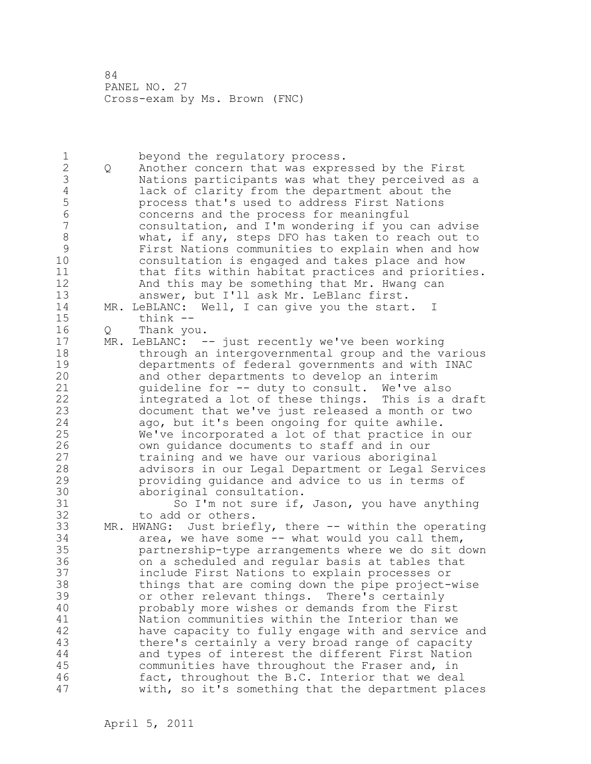1 beyond the regulatory process.<br>2 0 Another concern that was expre 2 Q Another concern that was expressed by the First 3 Nations participants was what they perceived as a 4 lack of clarity from the department about the<br>5 process that's used to address First Nations 5 **19 process that's used to address First Nations**<br>6 **19 concerns and the process for meaningful** 6 6 concerns and the process for meaningful<br>7 consultation, and I'm wondering if you consultation, and I'm wondering if you can advise 8 what, if any, steps DFO has taken to reach out to<br>9 First Nations communities to explain when and how 9 First Nations communities to explain when and how consultation is engaged and takes place and how 11 that fits within habitat practices and priorities. 12 And this may be something that Mr. Hwang can 13 answer, but I'll ask Mr. LeBlanc first. 14 MR. LeBLANC: Well, I can give you the start. I 15 think -- 16 Q Thank you. 17 MR. LeBLANC: -- just recently we've been working 18 through an intergovernmental group and the various 19 departments of federal governments and with INAC<br>20 and other departments to develop an interim and other departments to develop an interim 21 guideline for -- duty to consult. We've also 22 integrated a lot of these things. This is a draft 23 document that we've just released a month or two 24 ago, but it's been ongoing for quite awhile. 25 We've incorporated a lot of that practice in our 26 own guidance documents to staff and in our<br>27 training and we have our various aborigina training and we have our various aboriginal 28 advisors in our Legal Department or Legal Services 29 providing guidance and advice to us in terms of 30 aboriginal consultation.<br>31 50 J'm not sure if. 31 So I'm not sure if, Jason, you have anything<br>32 to add or others. to add or others. 33 MR. HWANG: Just briefly, there -- within the operating 34 area, we have some -- what would you call them, 35 partnership-type arrangements where we do sit down 36 on a scheduled and regular basis at tables that 37 include First Nations to explain processes or 38 things that are coming down the pipe project-wise 39 or other relevant things. There's certainly 40 probably more wishes or demands from the First 41 Nation communities within the Interior than we<br>42 have capacity to fully engage with and service have capacity to fully engage with and service and 43 there's certainly a very broad range of capacity 44 and types of interest the different First Nation 45 communities have throughout the Fraser and, in 46 fact, throughout the B.C. Interior that we deal 47 with, so it's something that the department places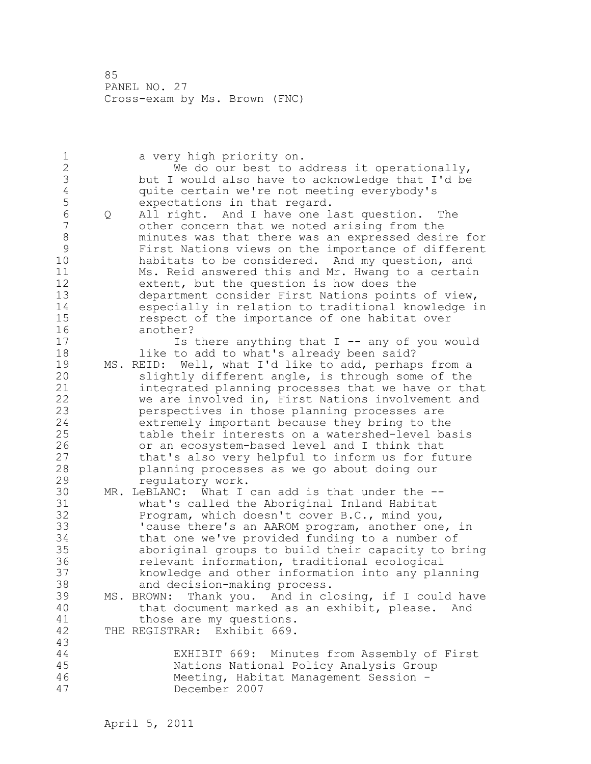1 a very high priority on. 2 We do our best to address it operationally, 3 but I would also have to acknowledge that I'd be 4 quite certain we're not meeting everybody's<br>5 expectations in that regard. 5 expectations in that regard.<br>6 0 All right. And I have one l 6 Q All right. And I have one last question. The other concern that we noted arising from the 8 minutes was that there was an expressed desire for 9 First Nations views on the importance of different habitats to be considered. And my question, and 11 Ms. Reid answered this and Mr. Hwang to a certain 12 extent, but the question is how does the 13 department consider First Nations points of view, 14 especially in relation to traditional knowledge in 15 respect of the importance of one habitat over 16 another? 17 **Is there anything that I -- any of you would** 18 **like to add to what's already been said?** 19 MS. REID: Well, what I'd like to add, perhaps from a<br>20 Slightly different angle, is through some of the slightly different angle, is through some of the 21 integrated planning processes that we have or that 22 we are involved in, First Nations involvement and 23 perspectives in those planning processes are 24 extremely important because they bring to the 25 table their interests on a watershed-level basis 26 or an ecosystem-based level and I think that<br>27 that's also very helpful to inform us for fu 27 that's also very helpful to inform us for future<br>28 planning processes as we go about doing our planning processes as we go about doing our 29 regulatory work. 30 MR. LeBLANC: What I can add is that under the -- 31 what's called the Aboriginal Inland Habitat<br>32 Program, which doesn't cover B.C., mind you Program, which doesn't cover B.C., mind you, 33 'cause there's an AAROM program, another one, in 34 that one we've provided funding to a number of 35 aboriginal groups to build their capacity to bring 36 relevant information, traditional ecological 37 knowledge and other information into any planning 38 and decision-making process. 39 MS. BROWN: Thank you. And in closing, if I could have 40 that document marked as an exhibit, please. And 41 those are my questions.<br>42 THE REGISTRAR: Exhibit 669. THE REGISTRAR: Exhibit 669. 43 44 EXHIBIT 669: Minutes from Assembly of First 45 Nations National Policy Analysis Group 46 Meeting, Habitat Management Session - 47 December 2007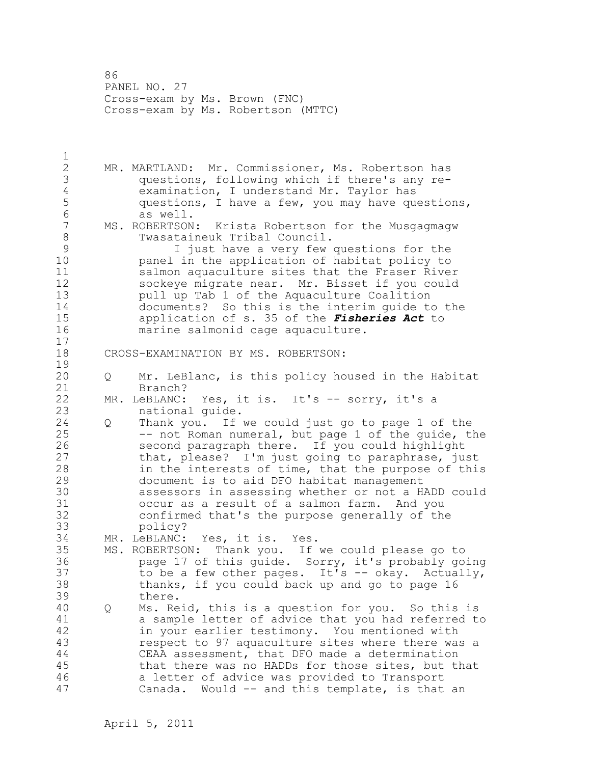86 PANEL NO. 27 Cross-exam by Ms. Brown (FNC) Cross-exam by Ms. Robertson (MTTC)

1

2 MR. MARTLAND: Mr. Commissioner, Ms. Robertson has 3 questions, following which if there's any re-4 examination, I understand Mr. Taylor has<br>5 questions, I have a few, you may have que 5 questions, I have a few, you may have questions,<br>6 as well. 6 as well.<br>7 MS. ROBERTSON MS. ROBERTSON: Krista Robertson for the Musgagmagw 8 Twasataineuk Tribal Council. 9 T just have a very few questions for the<br>10 The application of habitat policy to panel in the application of habitat policy to 11 salmon aquaculture sites that the Fraser River 12 sockeye migrate near. Mr. Bisset if you could 13 pull up Tab 1 of the Aquaculture Coalition 14 documents? So this is the interim guide to the 15 application of s. 35 of the *Fisheries Act* to 16 marine salmonid cage aquaculture. 17 18 CROSS-EXAMINATION BY MS. ROBERTSON:  $\begin{array}{c} 19 \\ 20 \end{array}$ 20 Q Mr. LeBlanc, is this policy housed in the Habitat 21 Branch? 22 MR. LeBLANC: Yes, it is. It's -- sorry, it's a 23 national guide. 24 Q Thank you. If we could just go to page 1 of the 25 -- not Roman numeral, but page 1 of the guide, the 26 second paragraph there. If you could highlight<br>27 that, please? I'm just going to paraphrase, just that, please? I'm just going to paraphrase, just 28 in the interests of time, that the purpose of this 29 document is to aid DFO habitat management 30 assessors in assessing whether or not a HADD could occur as a result of a salmon farm. And you 32 confirmed that's the purpose generally of the 33 policy? 34 MR. LeBLANC: Yes, it is. Yes. 35 MS. ROBERTSON: Thank you. If we could please go to 36 page 17 of this guide. Sorry, it's probably going 37 to be a few other pages. It's -- okay. Actually, 38 thanks, if you could back up and go to page 16 39 there. 40 Q Ms. Reid, this is a question for you. So this is 41 a sample letter of advice that you had referred to<br>42 in your earlier testimony. You mentioned with in your earlier testimony. You mentioned with 43 respect to 97 aquaculture sites where there was a 44 CEAA assessment, that DFO made a determination 45 that there was no HADDs for those sites, but that 46 a letter of advice was provided to Transport 47 Canada. Would -- and this template, is that an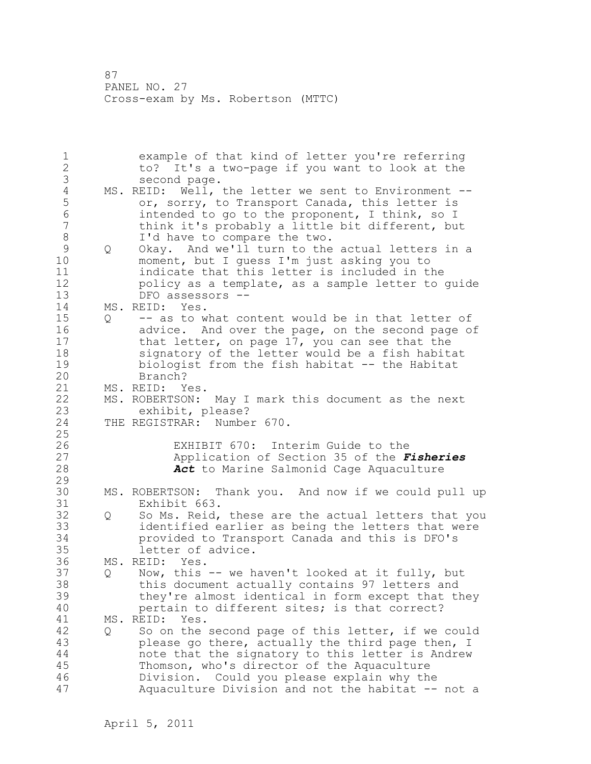87 PANEL NO. 27 Cross-exam by Ms. Robertson (MTTC)

1 example of that kind of letter you're referring 2 to? It's a two-page if you want to look at the 3 second page.<br>4 MS. REID: Well, 4 MS. REID: Well, the letter we sent to Environment --<br>5 or, sorry, to Transport Canada, this letter is 5 or, sorry, to Transport Canada, this letter is<br>6 intended to go to the proponent, I think, so I 6 intended to go to the proponent, I think, so I think it's probably a little bit different, but 8 I'd have to compare the two. 9 Q Okay. And we'll turn to the actual letters in a<br>10 moment, but I quess I'm just asking you to moment, but I guess I'm just asking you to 11 indicate that this letter is included in the 12 policy as a template, as a sample letter to guide 13 DFO assessors -- 14 MS. REID: Yes. 15 Q -- as to what content would be in that letter of 16 advice. And over the page, on the second page of 17 that letter, on page 17, you can see that the 18 signatory of the letter would be a fish habitat 19 biologist from the fish habitat -- the Habitat<br>20 Branch? Branch? 21 MS. REID: Yes. 22 MS. ROBERTSON: May I mark this document as the next 23 exhibit, please?<br>24 THE REGISTRAR: Numbe THE REGISTRAR: Number 670. 25 26 EXHIBIT 670: Interim Guide to the<br>27 Application of Section 35 of the F 27 Application of Section 35 of the *Fisheries*  28 *Act* to Marine Salmonid Cage Aquaculture 29 30 MS. ROBERTSON: Thank you. And now if we could pull up Exhibit 663. 32 Q So Ms. Reid, these are the actual letters that you 33 identified earlier as being the letters that were 34 provided to Transport Canada and this is DFO's 35 letter of advice. 36 MS. REID: Yes. 37 Q Now, this -- we haven't looked at it fully, but 38 this document actually contains 97 letters and 39 they're almost identical in form except that they 40 pertain to different sites; is that correct? 41 MS. REID: Yes.<br>42 0 So on the 42 Q So on the second page of this letter, if we could 43 please go there, actually the third page then, I 44 note that the signatory to this letter is Andrew 45 Thomson, who's director of the Aquaculture 46 Division. Could you please explain why the 47 Aquaculture Division and not the habitat -- not a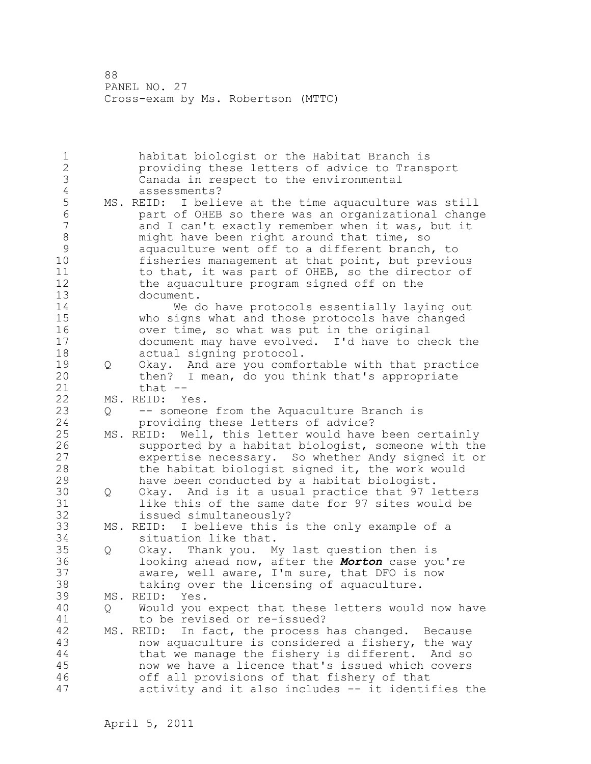88 PANEL NO. 27 Cross-exam by Ms. Robertson (MTTC)

1 habitat biologist or the Habitat Branch is 2 providing these letters of advice to Transport 3 Canada in respect to the environmental 4 assessments?<br>5 MS. REID: I beli 5 MS. REID: I believe at the time aquaculture was still<br>6 6 mart of OHEB so there was an organizational change 6 part of OHEB so there was an organizational change and I can't exactly remember when it was, but it 8 might have been right around that time, so<br>9 aquaculture went off to a different branch 9 aquaculture went off to a different branch, to<br>10 fisheries management at that point, but previo fisheries management at that point, but previous 11 to that, it was part of OHEB, so the director of 12 the aquaculture program signed off on the 13 document. 14 We do have protocols essentially laying out 15 who signs what and those protocols have changed 16 over time, so what was put in the original 17 document may have evolved. I'd have to check the 18 actual signing protocol. 19 Q Okay. And are you comfortable with that practice<br>20 then? I mean, do you think that's appropriate then? I mean, do you think that's appropriate 21 that -- 22 MS. REID: Yes. 23 Q -- someone from the Aquaculture Branch is 24 providing these letters of advice? 25 MS. REID: Well, this letter would have been certainly 26 supported by a habitat biologist, someone with the<br>27 expertise necessary. So whether Andy signed it or expertise necessary. So whether Andy signed it or 28 the habitat biologist signed it, the work would 29 have been conducted by a habitat biologist. 30 Q Okay. And is it a usual practice that 97 letters 31 like this of the same date for 97 sites would be<br>32 issued simultaneously? issued simultaneously? 33 MS. REID: I believe this is the only example of a 34 situation like that. 35 Q Okay. Thank you. My last question then is 36 looking ahead now, after the *Morton* case you're 37 aware, well aware, I'm sure, that DFO is now 38 taking over the licensing of aquaculture. 39 MS. REID: Yes. 40 Q Would you expect that these letters would now have 41 to be revised or re-issued?<br>42 MS. REID: In fact, the process MS. REID: In fact, the process has changed. Because 43 now aquaculture is considered a fishery, the way 44 that we manage the fishery is different. And so 45 now we have a licence that's issued which covers 46 off all provisions of that fishery of that 47 activity and it also includes -- it identifies the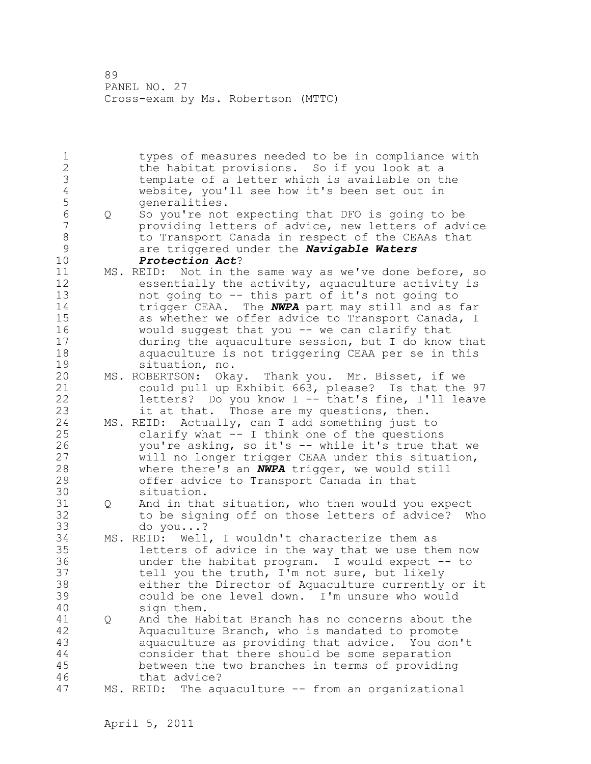89 PANEL NO. 27 Cross-exam by Ms. Robertson (MTTC)

1 types of measures needed to be in compliance with 2 the habitat provisions. So if you look at a 3 template of a letter which is available on the 4 website, you'll see how it's been set out in 5 generalities.<br>6 0 So vou're not 6 Q So you're not expecting that DFO is going to be providing letters of advice, new letters of advice 8 6 12 to Transport Canada in respect of the CEAAs that 9 are triggered under the *Navigable Waters*  10 *Protection Act*? 11 MS. REID: Not in the same way as we've done before, so 12 essentially the activity, aquaculture activity is 13 not going to -- this part of it's not going to 14 trigger CEAA. The *NWPA* part may still and as far 15 as whether we offer advice to Transport Canada, I 16 would suggest that you -- we can clarify that 17 during the aquaculture session, but I do know that 18 aquaculture is not triggering CEAA per se in this 19 situation, no.<br>20 MS. ROBERTSON: Oka MS. ROBERTSON: Okay. Thank you. Mr. Bisset, if we 21 could pull up Exhibit 663, please? Is that the 97 22 letters? Do you know I -- that's fine, I'll leave 23 it at that. Those are my questions, then. 24 MS. REID: Actually, can I add something just to 25 clarify what -- I think one of the questions 26 you're asking, so it's -- while it's true that we<br>27 will no longer trigger CEAA under this situation, will no longer trigger CEAA under this situation, 28 where there's an *NWPA* trigger, we would still 29 offer advice to Transport Canada in that 30 situation.<br>31 0 And in tha Q And in that situation, who then would you expect 32 to be signing off on those letters of advice? Who 33 do you...? 34 MS. REID: Well, I wouldn't characterize them as 35 letters of advice in the way that we use them now 36 under the habitat program. I would expect -- to 37 tell you the truth, I'm not sure, but likely 38 either the Director of Aquaculture currently or it 39 could be one level down. I'm unsure who would 40 sign them. 41 Q And the Habitat Branch has no concerns about the 42 Aquaculture Branch, who is mandated to promote 43 aquaculture as providing that advice. You don't 44 consider that there should be some separation 45 between the two branches in terms of providing 46 that advice? 47 MS. REID: The aquaculture -- from an organizational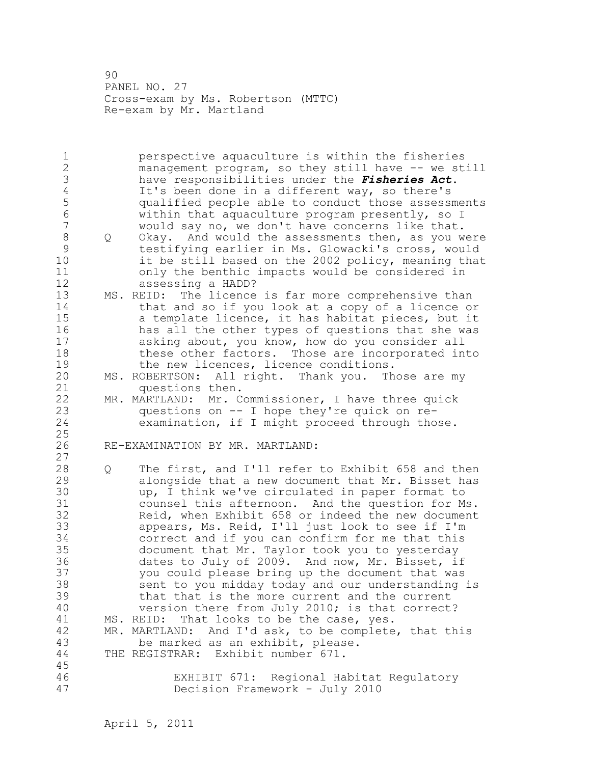90 PANEL NO. 27 Cross-exam by Ms. Robertson (MTTC) Re-exam by Mr. Martland

1 perspective aquaculture is within the fisheries 2 management program, so they still have -- we still 3 have responsibilities under the *Fisheries Act*. 4 It's been done in a different way, so there's<br>5 qualified people able to conduct those assess 5 qualified people able to conduct those assessments 6 within that aquaculture program presently, so I would say no, we don't have concerns like that. 8 Q Okay. And would the assessments then, as you were 9 testifying earlier in Ms. Glowacki's cross, would it be still based on the 2002 policy, meaning that 11 only the benthic impacts would be considered in 12 assessing a HADD? 13 MS. REID: The licence is far more comprehensive than 14 that and so if you look at a copy of a licence or 15 a template licence, it has habitat pieces, but it 16 has all the other types of questions that she was 17 asking about, you know, how do you consider all 18 these other factors. Those are incorporated into 19 the new licences, licence conditions.<br>20 MS. ROBERTSON: All right. Thank you. Th MS. ROBERTSON: All right. Thank you. Those are my 21 questions then. 22 MR. MARTLAND: Mr. Commissioner, I have three quick 23 questions on -- I hope they're quick on re-<br>24 examination, if I might proceed through tho examination, if I might proceed through those. 25 26 RE-EXAMINATION BY MR. MARTLAND: 27 28 Q The first, and I'll refer to Exhibit 658 and then 29 alongside that a new document that Mr. Bisset has 30 bup, I think we've circulated in paper format to<br>31 counsel this afternoon. And the question for M counsel this afternoon. And the question for Ms. 32 Reid, when Exhibit 658 or indeed the new document 33 appears, Ms. Reid, I'll just look to see if I'm 34 correct and if you can confirm for me that this 35 document that Mr. Taylor took you to yesterday 36 dates to July of 2009. And now, Mr. Bisset, if 37 you could please bring up the document that was 38 sent to you midday today and our understanding is 39 that that is the more current and the current 40 version there from July 2010; is that correct? 41 MS. REID: That looks to be the case, yes.<br>42 MR. MARTLAND: And I'd ask, to be complete MR. MARTLAND: And I'd ask, to be complete, that this 43 be marked as an exhibit, please. 44 THE REGISTRAR: Exhibit number 671. 45 46 EXHIBIT 671: Regional Habitat Regulatory 47 Decision Framework - July 2010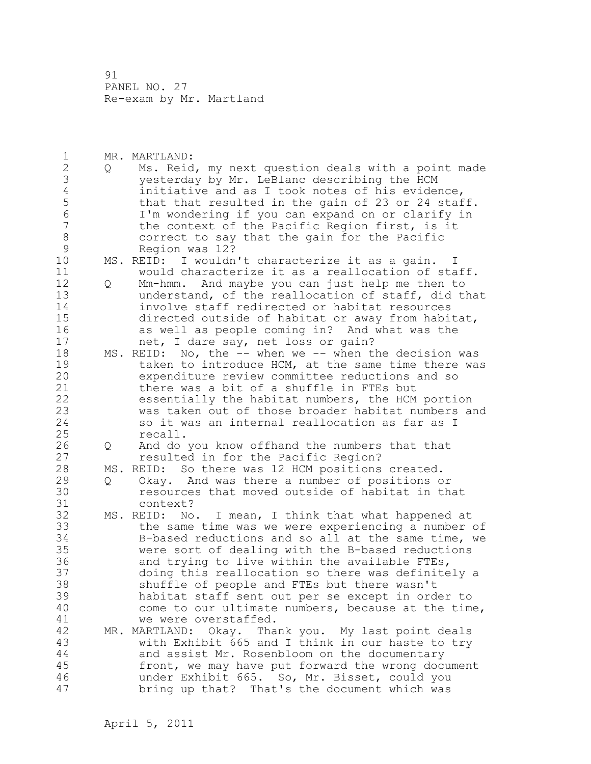91 PANEL NO. 27 Re-exam by Mr. Martland

1 MR. MARTLAND: 2 Q Ms. Reid, my next question deals with a point made 3 yesterday by Mr. LeBlanc describing the HCM 4 initiative and as I took notes of his evidence,<br>5 that that resulted in the gain of 23 or 24 staf 5 that that resulted in the gain of 23 or 24 staff.<br>6 I'm wondering if you can expand on or clarify in 6 I'm wondering if you can expand on or clarify in the context of the Pacific Region first, is it 8 correct to say that the gain for the Pacific<br>9 Region was 12? 9 Region was 12?<br>10 MS. REID: I wouldn MS. REID: I wouldn't characterize it as a gain. I 11 would characterize it as a reallocation of staff. 12 Q Mm-hmm. And maybe you can just help me then to 13 understand, of the reallocation of staff, did that 14 involve staff redirected or habitat resources 15 directed outside of habitat or away from habitat, 16 as well as people coming in? And what was the 17 net, I dare say, net loss or gain? 18 MS. REID: No, the -- when we -- when the decision was 19 taken to introduce HCM, at the same time there was<br>20 expenditure review committee reductions and so expenditure review committee reductions and so 21 there was a bit of a shuffle in FTEs but 22 essentially the habitat numbers, the HCM portion 23 was taken out of those broader habitat numbers and 24 so it was an internal reallocation as far as I 25 recall. 26 Q And do you know offhand the numbers that that<br>27 cesulted in for the Pacific Region? resulted in for the Pacific Region? 28 MS. REID: So there was 12 HCM positions created. 29 Q Okay. And was there a number of positions or 30 resources that moved outside of habitat in that context? 32 MS. REID: No. I mean, I think that what happened at 33 the same time was we were experiencing a number of 34 B-based reductions and so all at the same time, we 35 were sort of dealing with the B-based reductions 36 and trying to live within the available FTEs, 37 doing this reallocation so there was definitely a 38 shuffle of people and FTEs but there wasn't 39 habitat staff sent out per se except in order to 40 come to our ultimate numbers, because at the time, 41 we were overstaffed.<br>42 MR. MARTLAND: Okay. Tha MR. MARTLAND: Okay. Thank you. My last point deals 43 with Exhibit 665 and I think in our haste to try 44 and assist Mr. Rosenbloom on the documentary 45 front, we may have put forward the wrong document 46 under Exhibit 665. So, Mr. Bisset, could you 47 bring up that? That's the document which was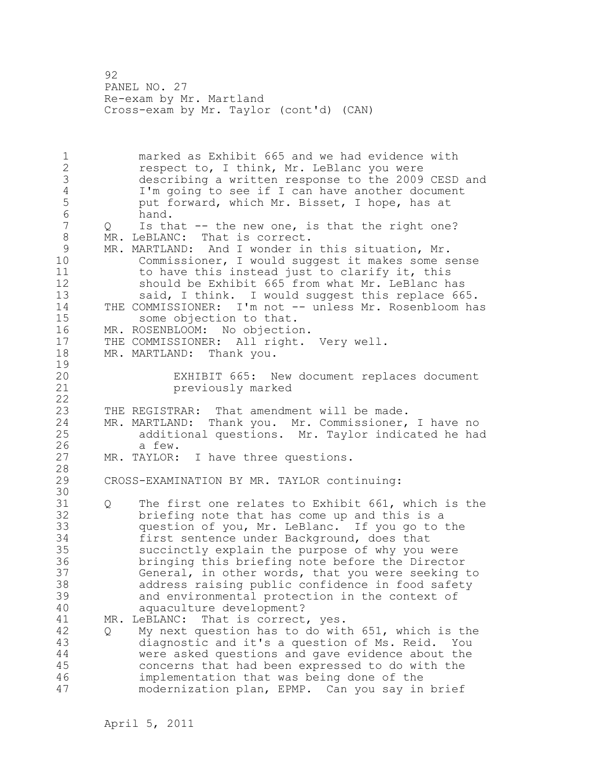92 PANEL NO. 27 Re-exam by Mr. Martland Cross-exam by Mr. Taylor (cont'd) (CAN)

1 marked as Exhibit 665 and we had evidence with 2 respect to, I think, Mr. LeBlanc you were 3 describing a written response to the 2009 CESD and 4 I'm going to see if I can have another document<br>5 but forward, which Mr. Bisset, I hope, has at 5 put forward, which Mr. Bisset, I hope, has at<br>6 hand. 6 hand.<br>7 0 Isth Is that  $-$  the new one, is that the right one? 8 MR. LeBLANC: That is correct. 9 MR. MARTLAND: And I wonder in this situation, Mr.<br>10 Commissioner, I would suggest it makes some s Commissioner, I would suggest it makes some sense 11 to have this instead just to clarify it, this 12 should be Exhibit 665 from what Mr. LeBlanc has 13 said, I think. I would suggest this replace 665. 14 THE COMMISSIONER: I'm not -- unless Mr. Rosenbloom has 15 some objection to that. 16 MR. ROSENBLOOM: No objection. 17 THE COMMISSIONER: All right. Very well. 18 MR. MARTLAND: Thank you.  $\frac{19}{20}$ EXHIBIT 665: New document replaces document 21 previously marked 22 23 THE REGISTRAR: That amendment will be made. 24 MR. MARTLAND: Thank you. Mr. Commissioner, I have no 25 additional questions. Mr. Taylor indicated he had 26 a few.<br>27 MR. TAYLOR: MR. TAYLOR: I have three questions. 28 29 CROSS-EXAMINATION BY MR. TAYLOR continuing: 30<br>31 Q The first one relates to Exhibit 661, which is the 32 briefing note that has come up and this is a 33 question of you, Mr. LeBlanc. If you go to the 34 first sentence under Background, does that 35 succinctly explain the purpose of why you were 36 bringing this briefing note before the Director 37 General, in other words, that you were seeking to 38 address raising public confidence in food safety 39 and environmental protection in the context of 40 aquaculture development? 41 MR. LeBLANC: That is correct, yes.<br>42 0 My next question has to do wit 42 Q My next question has to do with 651, which is the 43 diagnostic and it's a question of Ms. Reid. You 44 were asked questions and gave evidence about the 45 concerns that had been expressed to do with the 46 implementation that was being done of the 47 modernization plan, EPMP. Can you say in brief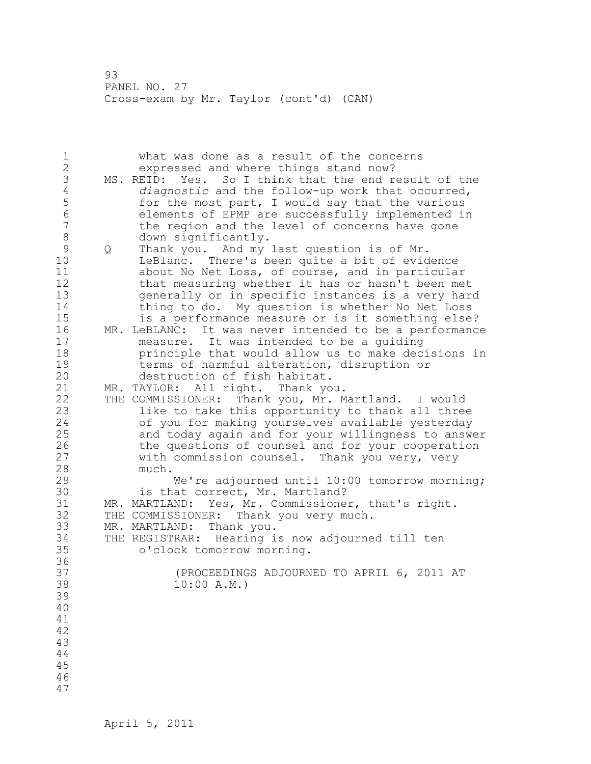93 PANEL NO. 27 Cross-exam by Mr. Taylor (cont'd) (CAN)

| $\mathbf 1$    |   | what was done as a result of the concerns              |
|----------------|---|--------------------------------------------------------|
| $\overline{c}$ |   | expressed and where things stand now?                  |
| 3              |   | MS. REID: Yes. So I think that the end result of the   |
| $\overline{4}$ |   | diagnostic and the follow-up work that occurred,       |
| 5              |   | for the most part, I would say that the various        |
| 6              |   | elements of EPMP are successfully implemented in       |
| $\overline{7}$ |   | the region and the level of concerns have gone         |
| $\,8\,$        |   | down significantly.                                    |
| $\mathcal{G}$  | Q | Thank you. And my last question is of Mr.              |
| 10             |   | LeBlanc. There's been quite a bit of evidence          |
| 11             |   | about No Net Loss, of course, and in particular        |
| 12             |   | that measuring whether it has or hasn't been met       |
| 13             |   | generally or in specific instances is a very hard      |
| 14             |   | thing to do. My question is whether No Net Loss        |
| 15             |   | is a performance measure or is it something else?      |
| 16             |   | MR. LeBLANC: It was never intended to be a performance |
| 17             |   | measure. It was intended to be a guiding               |
| 18             |   | principle that would allow us to make decisions in     |
| 19             |   | terms of harmful alteration, disruption or             |
| 20             |   | destruction of fish habitat.                           |
| 21             |   | MR. TAYLOR: All right. Thank you.                      |
| 22             |   | THE COMMISSIONER: Thank you, Mr. Martland. I would     |
| 23             |   | like to take this opportunity to thank all three       |
| 24             |   | of you for making yourselves available yesterday       |
| 25             |   | and today again and for your willingness to answer     |
| 26             |   | the questions of counsel and for your cooperation      |
| 27             |   | with commission counsel. Thank you very, very          |
| 28             |   | much.                                                  |
| 29             |   | We're adjourned until 10:00 tomorrow morning;          |
| 30             |   | is that correct, Mr. Martland?                         |
| 31             |   | MR. MARTLAND: Yes, Mr. Commissioner, that's right.     |
| 32             |   | THE COMMISSIONER: Thank you very much.                 |
| 33             |   | MR. MARTLAND: Thank you.                               |
| 34             |   | THE REGISTRAR: Hearing is now adjourned till ten       |
| 35             |   | o'clock tomorrow morning.                              |
| 36             |   |                                                        |
| 37             |   | (PROCEEDINGS ADJOURNED TO APRIL 6, 2011 AT             |
| 38             |   | 10:00 A.M.                                             |
| 39             |   |                                                        |
| 40             |   |                                                        |
| 41             |   |                                                        |
| 42             |   |                                                        |
| 43             |   |                                                        |
| 44             |   |                                                        |
| 45             |   |                                                        |
| 46             |   |                                                        |
| 47             |   |                                                        |